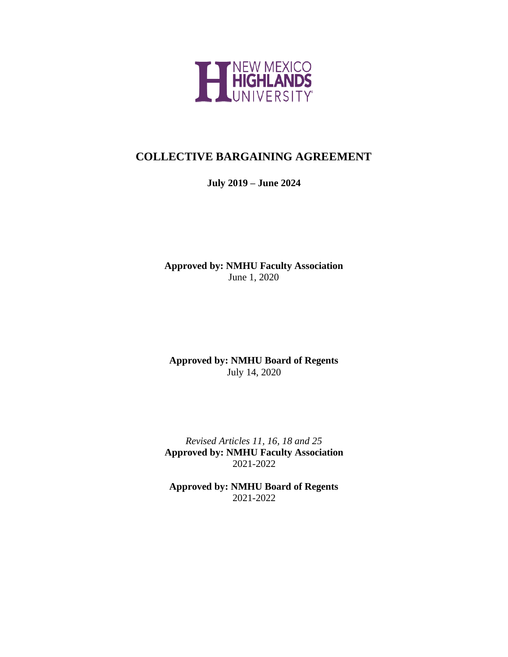

# **COLLECTIVE BARGAINING AGREEMENT**

# **July 2019 – June 2024**

**Approved by: NMHU Faculty Association** June 1, 2020

**Approved by: NMHU Board of Regents** July 14, 2020

*Revised Articles 11, 16, 18 and 25* **Approved by: NMHU Faculty Association** 2021-2022

**Approved by: NMHU Board of Regents** 2021-2022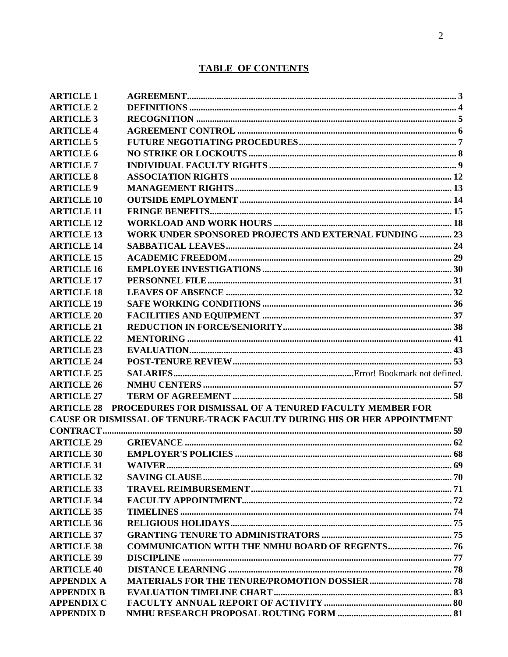# **TABLE OF CONTENTS**

| <b>ARTICLE 1</b>  |                                                                          |  |
|-------------------|--------------------------------------------------------------------------|--|
| <b>ARTICLE 2</b>  |                                                                          |  |
| <b>ARTICLE 3</b>  |                                                                          |  |
| <b>ARTICLE 4</b>  |                                                                          |  |
| <b>ARTICLE 5</b>  |                                                                          |  |
| <b>ARTICLE 6</b>  |                                                                          |  |
| <b>ARTICLE 7</b>  |                                                                          |  |
| <b>ARTICLE 8</b>  |                                                                          |  |
| <b>ARTICLE 9</b>  |                                                                          |  |
| <b>ARTICLE 10</b> |                                                                          |  |
| <b>ARTICLE 11</b> |                                                                          |  |
| <b>ARTICLE 12</b> |                                                                          |  |
| <b>ARTICLE 13</b> | <b>WORK UNDER SPONSORED PROJECTS AND EXTERNAL FUNDING  23</b>            |  |
| <b>ARTICLE 14</b> |                                                                          |  |
| <b>ARTICLE 15</b> |                                                                          |  |
| <b>ARTICLE 16</b> |                                                                          |  |
| <b>ARTICLE 17</b> |                                                                          |  |
| <b>ARTICLE 18</b> |                                                                          |  |
| <b>ARTICLE 19</b> |                                                                          |  |
| <b>ARTICLE 20</b> |                                                                          |  |
| <b>ARTICLE 21</b> |                                                                          |  |
| <b>ARTICLE 22</b> |                                                                          |  |
| <b>ARTICLE 23</b> |                                                                          |  |
| <b>ARTICLE 24</b> |                                                                          |  |
| <b>ARTICLE 25</b> |                                                                          |  |
| <b>ARTICLE 26</b> |                                                                          |  |
| <b>ARTICLE 27</b> |                                                                          |  |
| <b>ARTICLE 28</b> | PROCEDURES FOR DISMISSAL OF A TENURED FACULTY MEMBER FOR                 |  |
|                   | CAUSE OR DISMISSAL OF TENURE-TRACK FACULTY DURING HIS OR HER APPOINTMENT |  |
|                   |                                                                          |  |
| <b>ARTICLE 29</b> |                                                                          |  |
| <b>ARTICLE 30</b> |                                                                          |  |
| <b>ARTICLE 31</b> |                                                                          |  |
| <b>ARTICLE 32</b> |                                                                          |  |
| <b>ARTICLE 33</b> |                                                                          |  |
| <b>ARTICLE 34</b> |                                                                          |  |
| <b>ARTICLE 35</b> |                                                                          |  |
| <b>ARTICLE 36</b> |                                                                          |  |
| <b>ARTICLE 37</b> |                                                                          |  |
| <b>ARTICLE 38</b> | <b>COMMUNICATION WITH THE NMHU BOARD OF REGENTS 76</b>                   |  |
| <b>ARTICLE 39</b> |                                                                          |  |
| <b>ARTICLE 40</b> |                                                                          |  |
| <b>APPENDIX A</b> |                                                                          |  |
| <b>APPENDIX B</b> |                                                                          |  |
| <b>APPENDIX C</b> |                                                                          |  |
| <b>APPENDIX D</b> |                                                                          |  |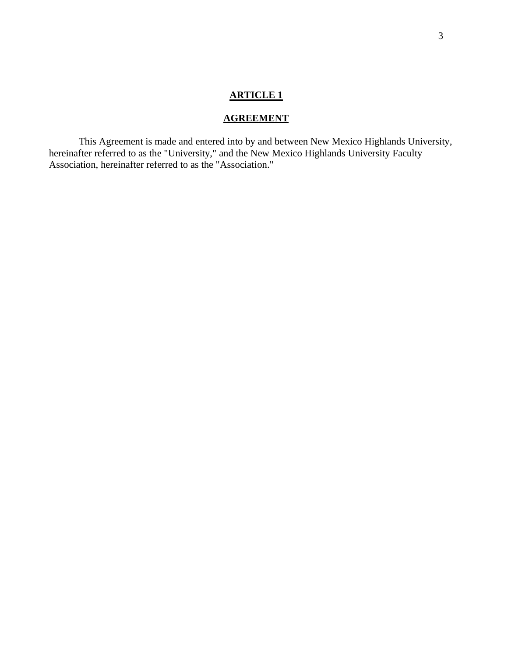## **AGREEMENT**

<span id="page-2-0"></span>This Agreement is made and entered into by and between New Mexico Highlands University, hereinafter referred to as the "University," and the New Mexico Highlands University Faculty Association, hereinafter referred to as the "Association."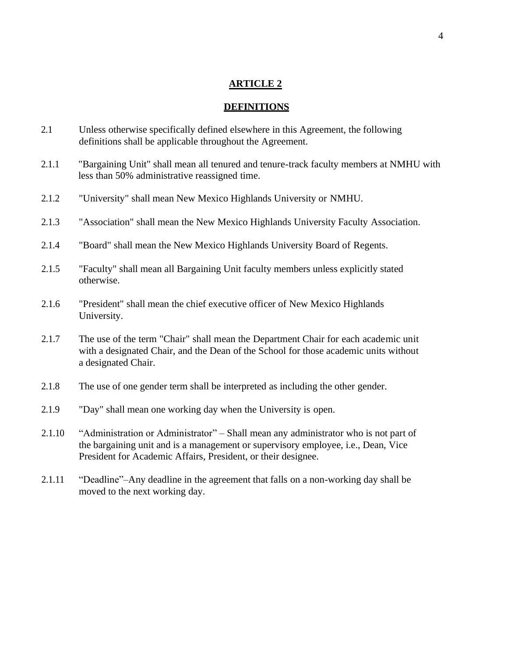#### **DEFINITIONS**

- <span id="page-3-0"></span>2.1 Unless otherwise specifically defined elsewhere in this Agreement, the following definitions shall be applicable throughout the Agreement.
- 2.1.1 "Bargaining Unit" shall mean all tenured and tenure-track faculty members at NMHU with less than 50% administrative reassigned time.
- 2.1.2 "University" shall mean New Mexico Highlands University or NMHU.
- 2.1.3 "Association" shall mean the New Mexico Highlands University Faculty Association.
- 2.1.4 "Board" shall mean the New Mexico Highlands University Board of Regents.
- 2.1.5 "Faculty" shall mean all Bargaining Unit faculty members unless explicitly stated otherwise.
- 2.1.6 "President" shall mean the chief executive officer of New Mexico Highlands University.
- 2.1.7 The use of the term "Chair" shall mean the Department Chair for each academic unit with a designated Chair, and the Dean of the School for those academic units without a designated Chair.
- 2.1.8 The use of one gender term shall be interpreted as including the other gender.
- 2.1.9 "Day" shall mean one working day when the University is open.
- 2.1.10 "Administration or Administrator" Shall mean any administrator who is not part of the bargaining unit and is a management or supervisory employee, i.e., Dean, Vice President for Academic Affairs, President, or their designee.
- 2.1.11 "Deadline"–Any deadline in the agreement that falls on a non-working day shall be moved to the next working day.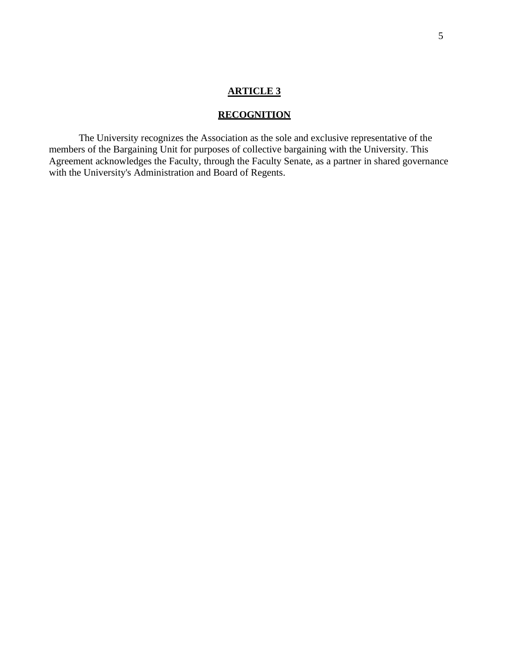## **RECOGNITION**

<span id="page-4-0"></span>The University recognizes the Association as the sole and exclusive representative of the members of the Bargaining Unit for purposes of collective bargaining with the University. This Agreement acknowledges the Faculty, through the Faculty Senate, as a partner in shared governance with the University's Administration and Board of Regents.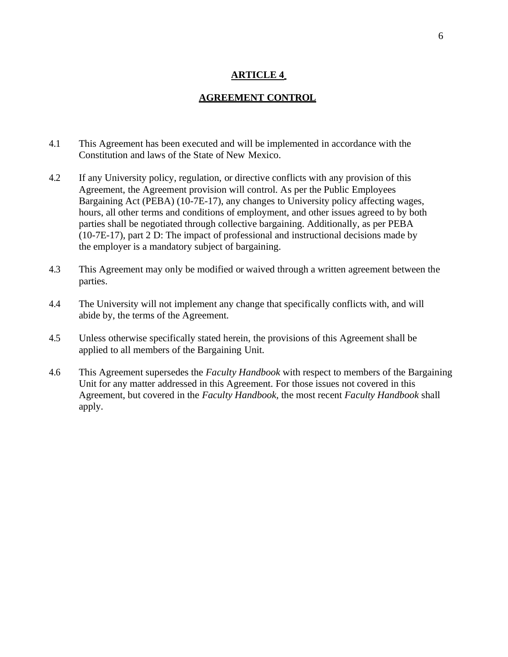## <span id="page-5-0"></span>**AGREEMENT CONTROL**

- 4.1 This Agreement has been executed and will be implemented in accordance with the Constitution and laws of the State of New Mexico.
- 4.2 If any University policy, regulation, or directive conflicts with any provision of this Agreement, the Agreement provision will control. As per the Public Employees Bargaining Act (PEBA) (10-7E-17), any changes to University policy affecting wages, hours, all other terms and conditions of employment, and other issues agreed to by both parties shall be negotiated through collective bargaining. Additionally, as per PEBA (10-7E-17), part 2 D: The impact of professional and instructional decisions made by the employer is a mandatory subject of bargaining.
- 4.3 This Agreement may only be modified or waived through a written agreement between the parties.
- 4.4 The University will not implement any change that specifically conflicts with, and will abide by, the terms of the Agreement.
- 4.5 Unless otherwise specifically stated herein, the provisions of this Agreement shall be applied to all members of the Bargaining Unit.
- 4.6 This Agreement supersedes the *Faculty Handbook* with respect to members of the Bargaining Unit for any matter addressed in this Agreement. For those issues not covered in this Agreement, but covered in the *Faculty Handbook,* the most recent *Faculty Handbook* shall apply.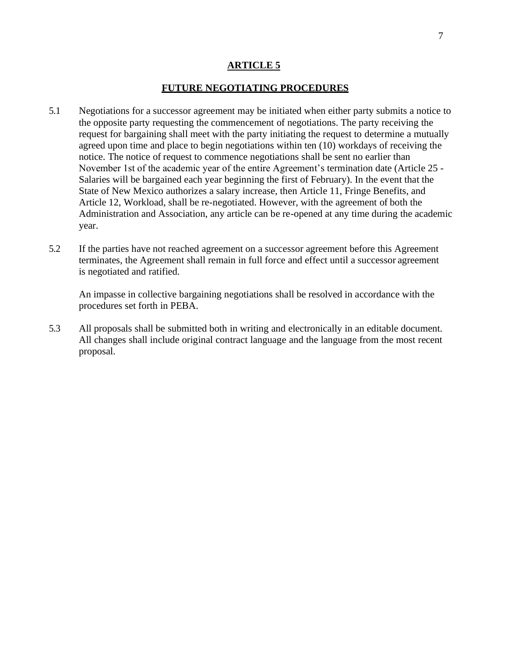### **FUTURE NEGOTIATING PROCEDURES**

- <span id="page-6-0"></span>5.1 Negotiations for a successor agreement may be initiated when either party submits a notice to the opposite party requesting the commencement of negotiations. The party receiving the request for bargaining shall meet with the party initiating the request to determine a mutually agreed upon time and place to begin negotiations within ten (10) workdays of receiving the notice. The notice of request to commence negotiations shall be sent no earlier than November 1st of the academic year of the entire Agreement's termination date (Article 25 - Salaries will be bargained each year beginning the first of February). In the event that the State of New Mexico authorizes a salary increase, then Article 11, Fringe Benefits, and Article 12, Workload, shall be re-negotiated. However, with the agreement of both the Administration and Association, any article can be re-opened at any time during the academic year.
- 5.2 If the parties have not reached agreement on a successor agreement before this Agreement terminates, the Agreement shall remain in full force and effect until a successor agreement is negotiated and ratified.

An impasse in collective bargaining negotiations shall be resolved in accordance with the procedures set forth in PEBA.

5.3 All proposals shall be submitted both in writing and electronically in an editable document. All changes shall include original contract language and the language from the most recent proposal.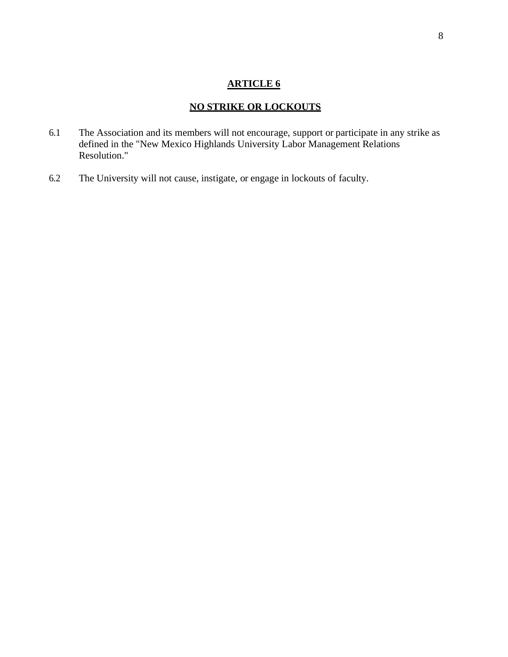# **NO STRIKE OR LOCKOUTS**

- <span id="page-7-0"></span>6.1 The Association and its members will not encourage, support or participate in any strike as defined in the "New Mexico Highlands University Labor Management Relations Resolution."
- 6.2 The University will not cause, instigate, or engage in lockouts of faculty.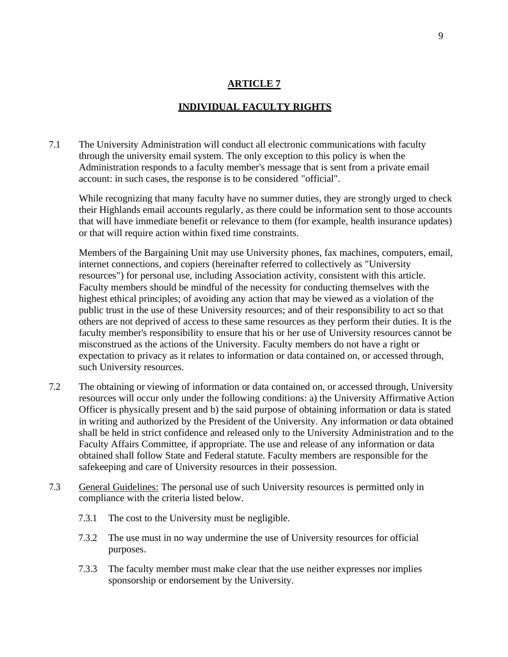## **INDIVIDUAL FACULTY RIGHTS**

<span id="page-8-0"></span>7.1 The University Administration will conduct all electronic communications with faculty through the university email system. The only exception to this policy is when the Administration responds to a faculty member's message that is sent from a private email account: in such cases, the response is to be considered "official".

While recognizing that many faculty have no summer duties, they are strongly urged to check their Highlands email accounts regularly, as there could be information sent to those accounts that will have immediate benefit or relevance to them (for example, health insurance updates) or that will require action within fixed time constraints.

Members of the Bargaining Unit may use University phones, fax machines, computers, email, internet connections, and copiers (hereinafter referred to collectively as "University resources") for personal use, including Association activity, consistent with this article. Faculty members should be mindful of the necessity for conducting themselves with the highest ethical principles; of avoiding any action that may be viewed as a violation of the public trust in the use of these University resources; and of their responsibility to act so that others are not deprived of access to these same resources as they perform their duties. It is the faculty member's responsibility to ensure that his or her use of University resources cannot be misconstrued as the actions of the University. Faculty members do not have a right or expectation to privacy as it relates to information or data contained on, or accessed through, such University resources.

- 7.2 The obtaining or viewing of information or data contained on, or accessed through, University resources will occur only under the following conditions: a) the University Affirmative Action Officer is physically present and b) the said purpose of obtaining information or data is stated in writing and authorized by the President of the University. Any information or data obtained shall be held in strict confidence and released only to the University Administration and to the Faculty Affairs Committee, if appropriate. The use and release of any information or data obtained shall follow State and Federal statute. Faculty members are responsible for the safekeeping and care of University resources in their possession.
- 7.3 General Guidelines: The personal use of such University resources is permitted only in compliance with the criteria listed below.
	- 7.3.1 The cost to the University must be negligible.
	- 7.3.2 The use must in no way undermine the use of University resources for official purposes.
	- 7.3.3 The faculty member must make clear that the use neither expresses nor implies sponsorship or endorsement by the University.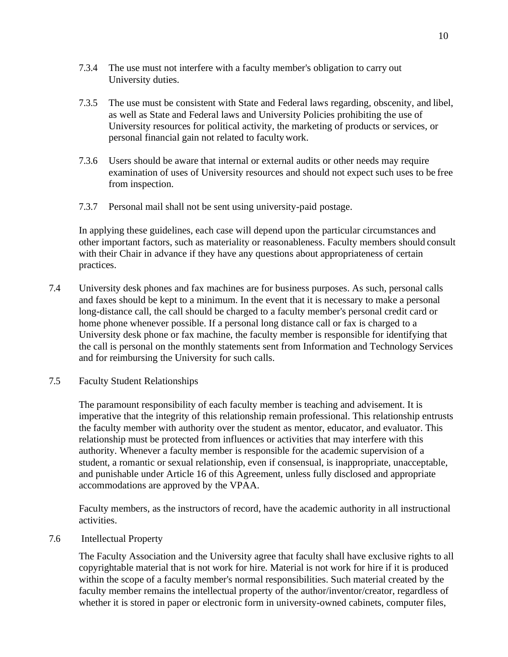- 7.3.4 The use must not interfere with a faculty member's obligation to carry out University duties.
- 7.3.5 The use must be consistent with State and Federal laws regarding, obscenity, and libel, as well as State and Federal laws and University Policies prohibiting the use of University resources for political activity, the marketing of products or services, or personal financial gain not related to facultywork.
- 7.3.6 Users should be aware that internal or external audits or other needs may require examination of uses of University resources and should not expect such uses to be free from inspection.
- 7.3.7 Personal mail shall not be sent using university-paid postage.

In applying these guidelines, each case will depend upon the particular circumstances and other important factors, such as materiality or reasonableness. Faculty members should consult with their Chair in advance if they have any questions about appropriateness of certain practices.

- 7.4 University desk phones and fax machines are for business purposes. As such, personal calls and faxes should be kept to a minimum. In the event that it is necessary to make a personal long-distance call, the call should be charged to a faculty member's personal credit card or home phone whenever possible. If a personal long distance call or fax is charged to a University desk phone or fax machine, the faculty member is responsible for identifying that the call is personal on the monthly statements sent from Information and Technology Services and for reimbursing the University for such calls.
- 7.5 Faculty Student Relationships

The paramount responsibility of each faculty member is teaching and advisement. It is imperative that the integrity of this relationship remain professional. This relationship entrusts the faculty member with authority over the student as mentor, educator, and evaluator. This relationship must be protected from influences or activities that may interfere with this authority. Whenever a faculty member is responsible for the academic supervision of a student, a romantic or sexual relationship, even if consensual, is inappropriate, unacceptable, and punishable under Article 16 of this Agreement, unless fully disclosed and appropriate accommodations are approved by the VPAA.

Faculty members, as the instructors of record, have the academic authority in all instructional activities.

7.6 Intellectual Property

The Faculty Association and the University agree that faculty shall have exclusive rights to all copyrightable material that is not work for hire. Material is not work for hire if it is produced within the scope of a faculty member's normal responsibilities. Such material created by the faculty member remains the intellectual property of the author/inventor/creator, regardless of whether it is stored in paper or electronic form in university-owned cabinets, computer files,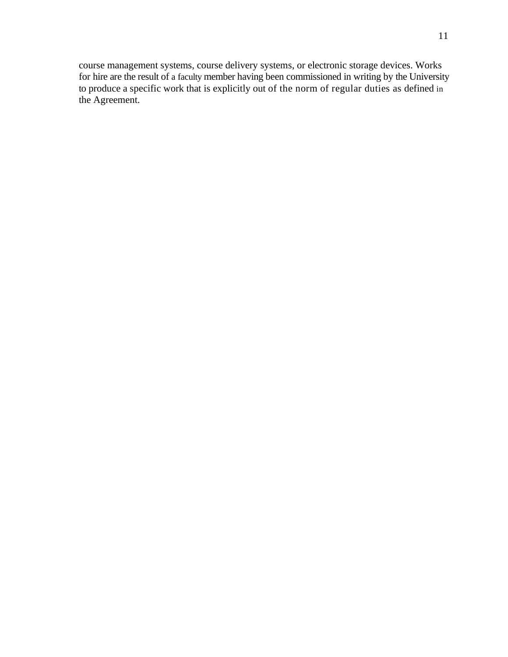course management systems, course delivery systems, or electronic storage devices. Works for hire are the result of a faculty member having been commissioned in writing by the University to produce a specific work that is explicitly out of the norm of regular duties as defined in the Agreement.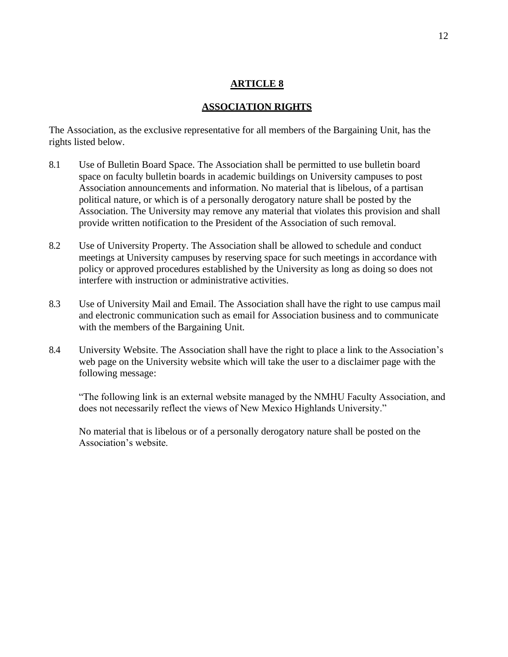## **ASSOCIATION RIGHTS**

<span id="page-11-0"></span>The Association, as the exclusive representative for all members of the Bargaining Unit, has the rights listed below.

- 8.1 Use of Bulletin Board Space. The Association shall be permitted to use bulletin board space on faculty bulletin boards in academic buildings on University campuses to post Association announcements and information. No material that is libelous, of a partisan political nature, or which is of a personally derogatory nature shall be posted by the Association. The University may remove any material that violates this provision and shall provide written notification to the President of the Association of such removal.
- 8.2 Use of University Property. The Association shall be allowed to schedule and conduct meetings at University campuses by reserving space for such meetings in accordance with policy or approved procedures established by the University as long as doing so does not interfere with instruction or administrative activities.
- 8.3 Use of University Mail and Email. The Association shall have the right to use campus mail and electronic communication such as email for Association business and to communicate with the members of the Bargaining Unit.
- 8.4 University Website. The Association shall have the right to place a link to the Association's web page on the University website which will take the user to a disclaimer page with the following message:

"The following link is an external website managed by the NMHU Faculty Association, and does not necessarily reflect the views of New Mexico Highlands University."

No material that is libelous or of a personally derogatory nature shall be posted on the Association's website.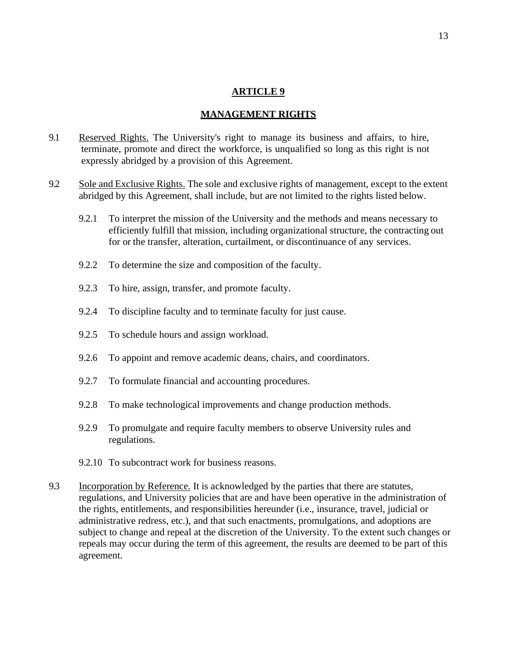#### **MANAGEMENT RIGHTS**

- <span id="page-12-0"></span>9.1 Reserved Rights. The University's right to manage its business and affairs, to hire, terminate, promote and direct the workforce, is unqualified so long as this right is not expressly abridged by a provision of this Agreement.
- 9.2 Sole and Exclusive Rights. The sole and exclusive rights of management, except to the extent abridged by this Agreement, shall include, but are not limited to the rights listed below.
	- 9.2.1 To interpret the mission of the University and the methods and means necessary to efficiently fulfill that mission, including organizational structure, the contracting out for or the transfer, alteration, curtailment, or discontinuance of any services.
	- 9.2.2 To determine the size and composition of the faculty.
	- 9.2.3 To hire, assign, transfer, and promote faculty.
	- 9.2.4 To discipline faculty and to terminate faculty for just cause.
	- 9.2.5 To schedule hours and assign workload.
	- 9.2.6 To appoint and remove academic deans, chairs, and coordinators.
	- 9.2.7 To formulate financial and accounting procedures.
	- 9.2.8 To make technological improvements and change production methods.
	- 9.2.9 To promulgate and require faculty members to observe University rules and regulations.
	- 9.2.10 To subcontract work for business reasons.
- 9.3 Incorporation by Reference. It is acknowledged by the parties that there are statutes, regulations, and University policies that are and have been operative in the administration of the rights, entitlements, and responsibilities hereunder (i.e., insurance, travel, judicial or administrative redress, etc.), and that such enactments, promulgations, and adoptions are subject to change and repeal at the discretion of the University. To the extent such changes or repeals may occur during the term of this agreement, the results are deemed to be part of this agreement.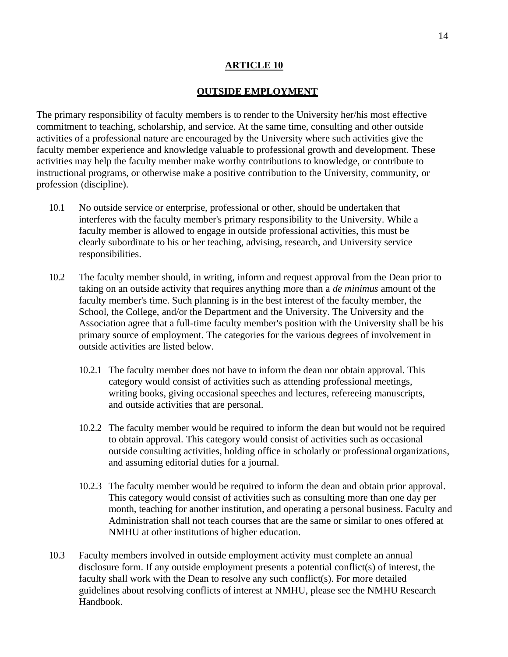#### **OUTSIDE EMPLOYMENT**

The primary responsibility of faculty members is to render to the University her/his most effective commitment to teaching, scholarship, and service. At the same time, consulting and other outside activities of a professional nature are encouraged by the University where such activities give the faculty member experience and knowledge valuable to professional growth and development. These activities may help the faculty member make worthy contributions to knowledge, or contribute to instructional programs, or otherwise make a positive contribution to the University, community, or profession (discipline).

- 10.1 No outside service or enterprise, professional or other, should be undertaken that interferes with the faculty member's primary responsibility to the University. While a faculty member is allowed to engage in outside professional activities, this must be clearly subordinate to his or her teaching, advising, research, and University service responsibilities.
- 10.2 The faculty member should, in writing, inform and request approval from the Dean prior to taking on an outside activity that requires anything more than a *de minimus* amount of the faculty member's time. Such planning is in the best interest of the faculty member, the School, the College, and/or the Department and the University. The University and the Association agree that a full-time faculty member's position with the University shall be his primary source of employment. The categories for the various degrees of involvement in outside activities are listed below.
	- 10.2.1 The faculty member does not have to inform the dean nor obtain approval. This category would consist of activities such as attending professional meetings, writing books, giving occasional speeches and lectures, refereeing manuscripts, and outside activities that are personal.
	- 10.2.2 The faculty member would be required to inform the dean but would not be required to obtain approval. This category would consist of activities such as occasional outside consulting activities, holding office in scholarly or professional organizations, and assuming editorial duties for a journal.
	- 10.2.3 The faculty member would be required to inform the dean and obtain prior approval. This category would consist of activities such as consulting more than one day per month, teaching for another institution, and operating a personal business. Faculty and Administration shall not teach courses that are the same or similar to ones offered at NMHU at other institutions of higher education.
- 10.3 Faculty members involved in outside employment activity must complete an annual disclosure form. If any outside employment presents a potential conflict(s) of interest, the faculty shall work with the Dean to resolve any such conflict(s). For more detailed guidelines about resolving conflicts of interest at NMHU, please see the NMHU Research Handbook.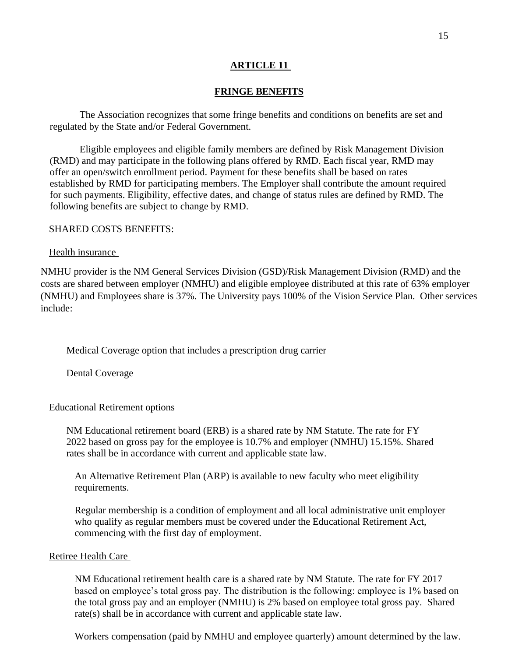## **FRINGE BENEFITS**

<span id="page-14-0"></span>The Association recognizes that some fringe benefits and conditions on benefits are set and regulated by the State and/or Federal Government.

Eligible employees and eligible family members are defined by Risk Management Division (RMD) and may participate in the following plans offered by RMD. Each fiscal year, RMD may offer an open/switch enrollment period. Payment for these benefits shall be based on rates established by RMD for participating members. The Employer shall contribute the amount required for such payments. Eligibility, effective dates, and change of status rules are defined by RMD. The following benefits are subject to change by RMD.

#### SHARED COSTS BENEFITS:

#### Health insurance

NMHU provider is the NM General Services Division (GSD)/Risk Management Division (RMD) and the costs are shared between employer (NMHU) and eligible employee distributed at this rate of 63% employer (NMHU) and Employees share is 37%. The University pays 100% of the Vision Service Plan. Other services include:

Medical Coverage option that includes a prescription drug carrier

Dental Coverage

#### Educational Retirement options

NM Educational retirement board (ERB) is a shared rate by NM Statute. The rate for FY 2022 based on gross pay for the employee is 10.7% and employer (NMHU) 15.15%. Shared rates shall be in accordance with current and applicable state law.

An Alternative Retirement Plan (ARP) is available to new faculty who meet eligibility requirements.

Regular membership is a condition of employment and all local administrative unit employer who qualify as regular members must be covered under the Educational Retirement Act, commencing with the first day of employment.

#### Retiree Health Care

NM Educational retirement health care is a shared rate by NM Statute. The rate for FY 2017 based on employee's total gross pay. The distribution is the following: employee is 1% based on the total gross pay and an employer (NMHU) is 2% based on employee total gross pay. Shared rate(s) shall be in accordance with current and applicable state law.

Workers compensation (paid by NMHU and employee quarterly) amount determined by the law.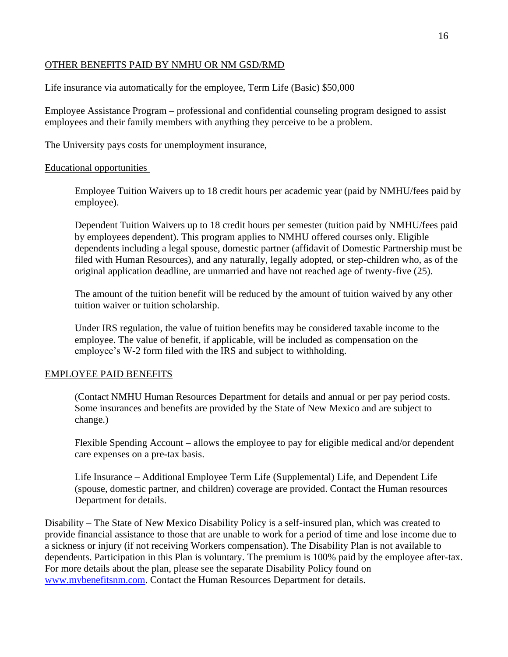## OTHER BENEFITS PAID BY NMHU OR NM GSD/RMD

Life insurance via automatically for the employee, Term Life (Basic) \$50,000

Employee Assistance Program – professional and confidential counseling program designed to assist employees and their family members with anything they perceive to be a problem.

The University pays costs for unemployment insurance,

## Educational opportunities

Employee Tuition Waivers up to 18 credit hours per academic year (paid by NMHU/fees paid by employee).

Dependent Tuition Waivers up to 18 credit hours per semester (tuition paid by NMHU/fees paid by employees dependent). This program applies to NMHU offered courses only. Eligible dependents including a legal spouse, domestic partner (affidavit of Domestic Partnership must be filed with Human Resources), and any naturally, legally adopted, or step-children who, as of the original application deadline, are unmarried and have not reached age of twenty-five (25).

The amount of the tuition benefit will be reduced by the amount of tuition waived by any other tuition waiver or tuition scholarship.

Under IRS regulation, the value of tuition benefits may be considered taxable income to the employee. The value of benefit, if applicable, will be included as compensation on the employee's W-2 form filed with the IRS and subject to withholding.

## EMPLOYEE PAID BENEFITS

(Contact NMHU Human Resources Department for details and annual or per pay period costs. Some insurances and benefits are provided by the State of New Mexico and are subject to change.)

Flexible Spending Account – allows the employee to pay for eligible medical and/or dependent care expenses on a pre-tax basis.

Life Insurance – Additional Employee Term Life (Supplemental) Life, and Dependent Life (spouse, domestic partner, and children) coverage are provided. Contact the Human resources Department for details.

Disability – The State of New Mexico Disability Policy is a self-insured plan, which was created to provide financial assistance to those that are unable to work for a period of time and lose income due to a sickness or injury (if not receiving Workers compensation). The Disability Plan is not available to dependents. Participation in this Plan is voluntary. The premium is 100% paid by the employee after-tax. For more details about the plan, please see the separate Disability Policy found on [www.mybenefitsnm.com.](http://www.mybenefitsnm.com/) Contact the Human Resources Department for details.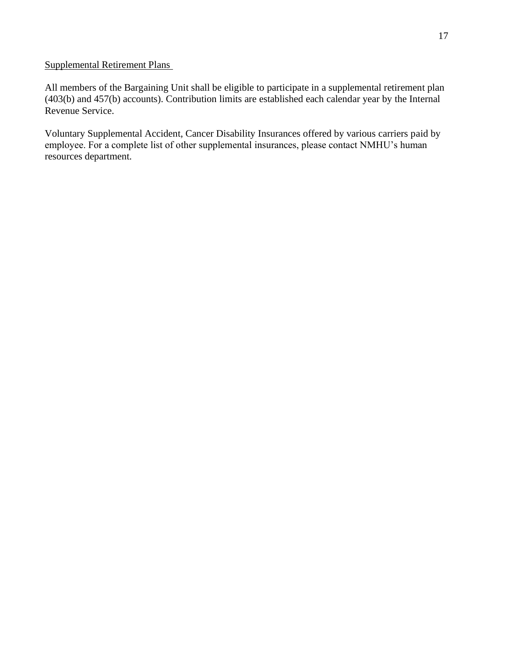# Supplemental Retirement Plans

All members of the Bargaining Unit shall be eligible to participate in a supplemental retirement plan (403(b) and 457(b) accounts). Contribution limits are established each calendar year by the Internal Revenue Service.

Voluntary Supplemental Accident, Cancer Disability Insurances offered by various carriers paid by employee. For a complete list of other supplemental insurances, please contact NMHU's human resources department.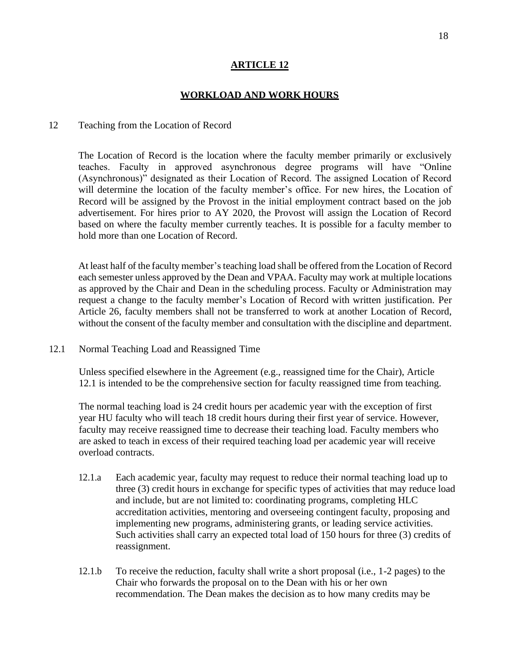#### **WORKLOAD AND WORK HOURS**

#### <span id="page-17-0"></span>12 Teaching from the Location of Record

The Location of Record is the location where the faculty member primarily or exclusively teaches. Faculty in approved asynchronous degree programs will have "Online (Asynchronous)" designated as their Location of Record. The assigned Location of Record will determine the location of the faculty member's office. For new hires, the Location of Record will be assigned by the Provost in the initial employment contract based on the job advertisement. For hires prior to AY 2020, the Provost will assign the Location of Record based on where the faculty member currently teaches. It is possible for a faculty member to hold more than one Location of Record.

At least half of the faculty member's teaching load shall be offered from the Location of Record each semester unless approved by the Dean and VPAA. Faculty may work at multiple locations as approved by the Chair and Dean in the scheduling process. Faculty or Administration may request a change to the faculty member's Location of Record with written justification. Per Article 26, faculty members shall not be transferred to work at another Location of Record, without the consent of the faculty member and consultation with the discipline and department.

12.1 Normal Teaching Load and Reassigned Time

Unless specified elsewhere in the Agreement (e.g., reassigned time for the Chair), Article 12.1 is intended to be the comprehensive section for faculty reassigned time from teaching.

The normal teaching load is 24 credit hours per academic year with the exception of first year HU faculty who will teach 18 credit hours during their first year of service. However, faculty may receive reassigned time to decrease their teaching load. Faculty members who are asked to teach in excess of their required teaching load per academic year will receive overload contracts.

- 12.1.a Each academic year, faculty may request to reduce their normal teaching load up to three (3) credit hours in exchange for specific types of activities that may reduce load and include, but are not limited to: coordinating programs, completing HLC accreditation activities, mentoring and overseeing contingent faculty, proposing and implementing new programs, administering grants, or leading service activities. Such activities shall carry an expected total load of 150 hours for three (3) credits of reassignment.
- 12.1.b To receive the reduction, faculty shall write a short proposal (i.e., 1-2 pages) to the Chair who forwards the proposal on to the Dean with his or her own recommendation. The Dean makes the decision as to how many credits may be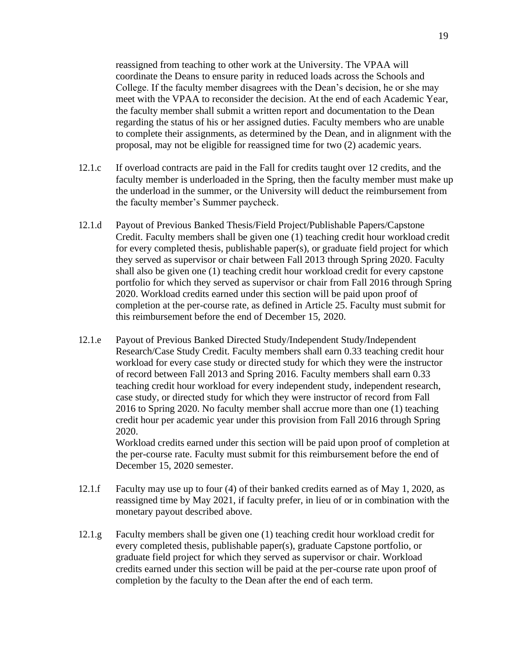reassigned from teaching to other work at the University. The VPAA will coordinate the Deans to ensure parity in reduced loads across the Schools and College. If the faculty member disagrees with the Dean's decision, he or she may meet with the VPAA to reconsider the decision. At the end of each Academic Year, the faculty member shall submit a written report and documentation to the Dean regarding the status of his or her assigned duties. Faculty members who are unable to complete their assignments, as determined by the Dean, and in alignment with the proposal, may not be eligible for reassigned time for two (2) academic years.

- 12.1.c If overload contracts are paid in the Fall for credits taught over 12 credits, and the faculty member is underloaded in the Spring, then the faculty member must make up the underload in the summer, or the University will deduct the reimbursement from the faculty member's Summer paycheck.
- 12.1.d Payout of Previous Banked Thesis/Field Project/Publishable Papers/Capstone Credit. Faculty members shall be given one (1) teaching credit hour workload credit for every completed thesis, publishable paper(s), or graduate field project for which they served as supervisor or chair between Fall 2013 through Spring 2020. Faculty shall also be given one (1) teaching credit hour workload credit for every capstone portfolio for which they served as supervisor or chair from Fall 2016 through Spring 2020. Workload credits earned under this section will be paid upon proof of completion at the per-course rate, as defined in Article 25. Faculty must submit for this reimbursement before the end of December 15, 2020.
- 12.1.e Payout of Previous Banked Directed Study/Independent Study/Independent Research/Case Study Credit. Faculty members shall earn 0.33 teaching credit hour workload for every case study or directed study for which they were the instructor of record between Fall 2013 and Spring 2016. Faculty members shall earn 0.33 teaching credit hour workload for every independent study, independent research, case study, or directed study for which they were instructor of record from Fall 2016 to Spring 2020. No faculty member shall accrue more than one (1) teaching credit hour per academic year under this provision from Fall 2016 through Spring 2020.

Workload credits earned under this section will be paid upon proof of completion at the per-course rate. Faculty must submit for this reimbursement before the end of December 15, 2020 semester.

- 12.1.f Faculty may use up to four (4) of their banked credits earned as of May 1, 2020, as reassigned time by May 2021, if faculty prefer, in lieu of or in combination with the monetary payout described above.
- 12.1.g Faculty members shall be given one (1) teaching credit hour workload credit for every completed thesis, publishable paper(s), graduate Capstone portfolio, or graduate field project for which they served as supervisor or chair. Workload credits earned under this section will be paid at the per-course rate upon proof of completion by the faculty to the Dean after the end of each term.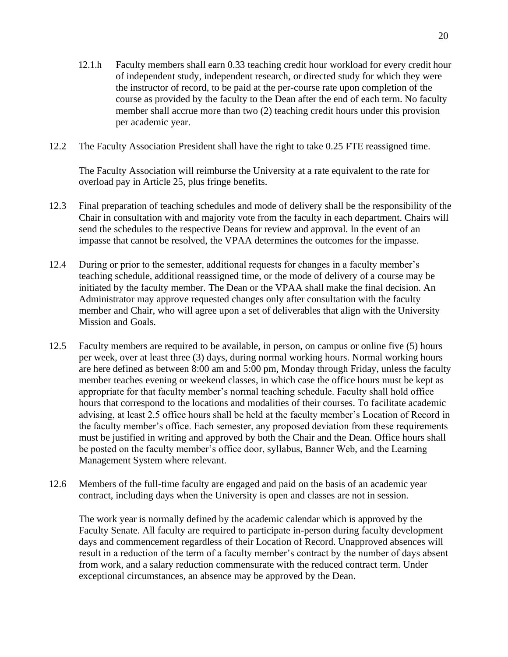- 12.1.h Faculty members shall earn 0.33 teaching credit hour workload for every credit hour of independent study, independent research, or directed study for which they were the instructor of record, to be paid at the per-course rate upon completion of the course as provided by the faculty to the Dean after the end of each term. No faculty member shall accrue more than two (2) teaching credit hours under this provision per academic year.
- 12.2 The Faculty Association President shall have the right to take 0.25 FTE reassigned time.

The Faculty Association will reimburse the University at a rate equivalent to the rate for overload pay in Article 25, plus fringe benefits.

- 12.3 Final preparation of teaching schedules and mode of delivery shall be the responsibility of the Chair in consultation with and majority vote from the faculty in each department. Chairs will send the schedules to the respective Deans for review and approval. In the event of an impasse that cannot be resolved, the VPAA determines the outcomes for the impasse.
- 12.4 During or prior to the semester, additional requests for changes in a faculty member's teaching schedule, additional reassigned time, or the mode of delivery of a course may be initiated by the faculty member. The Dean or the VPAA shall make the final decision. An Administrator may approve requested changes only after consultation with the faculty member and Chair, who will agree upon a set of deliverables that align with the University Mission and Goals.
- 12.5 Faculty members are required to be available, in person, on campus or online five (5) hours per week, over at least three (3) days, during normal working hours. Normal working hours are here defined as between 8:00 am and 5:00 pm, Monday through Friday, unless the faculty member teaches evening or weekend classes, in which case the office hours must be kept as appropriate for that faculty member's normal teaching schedule. Faculty shall hold office hours that correspond to the locations and modalities of their courses. To facilitate academic advising, at least 2.5 office hours shall be held at the faculty member's Location of Record in the faculty member's office. Each semester, any proposed deviation from these requirements must be justified in writing and approved by both the Chair and the Dean. Office hours shall be posted on the faculty member's office door, syllabus, Banner Web, and the Learning Management System where relevant.
- 12.6 Members of the full-time faculty are engaged and paid on the basis of an academic year contract, including days when the University is open and classes are not in session.

The work year is normally defined by the academic calendar which is approved by the Faculty Senate. All faculty are required to participate in-person during faculty development days and commencement regardless of their Location of Record. Unapproved absences will result in a reduction of the term of a faculty member's contract by the number of days absent from work, and a salary reduction commensurate with the reduced contract term. Under exceptional circumstances, an absence may be approved by the Dean.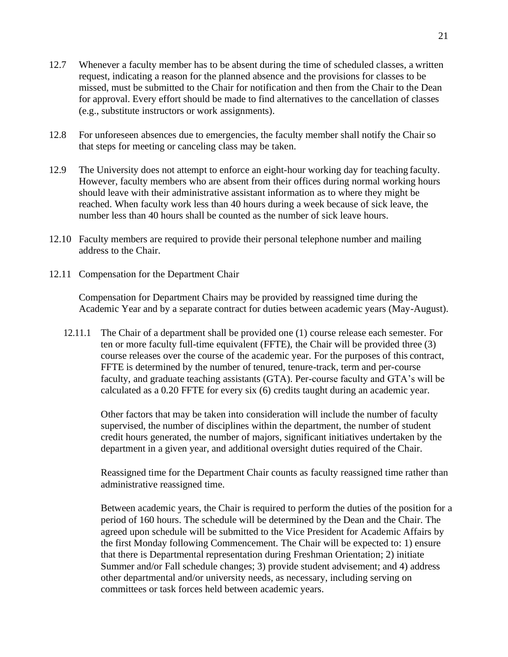- 12.7 Whenever a faculty member has to be absent during the time of scheduled classes, a written request, indicating a reason for the planned absence and the provisions for classes to be missed, must be submitted to the Chair for notification and then from the Chair to the Dean for approval. Every effort should be made to find alternatives to the cancellation of classes (e.g., substitute instructors or work assignments).
- 12.8 For unforeseen absences due to emergencies, the faculty member shall notify the Chair so that steps for meeting or canceling class may be taken.
- 12.9 The University does not attempt to enforce an eight-hour working day for teaching faculty. However, faculty members who are absent from their offices during normal working hours should leave with their administrative assistant information as to where they might be reached. When faculty work less than 40 hours during a week because of sick leave, the number less than 40 hours shall be counted as the number of sick leave hours.
- 12.10 Faculty members are required to provide their personal telephone number and mailing address to the Chair.
- 12.11 Compensation for the Department Chair

Compensation for Department Chairs may be provided by reassigned time during the Academic Year and by a separate contract for duties between academic years (May-August).

12.11.1 The Chair of a department shall be provided one (1) course release each semester. For ten or more faculty full-time equivalent (FFTE), the Chair will be provided three (3) course releases over the course of the academic year. For the purposes of this contract, FFTE is determined by the number of tenured, tenure-track, term and per-course faculty, and graduate teaching assistants (GTA). Per-course faculty and GTA's will be calculated as a 0.20 FFTE for every six (6) credits taught during an academic year.

Other factors that may be taken into consideration will include the number of faculty supervised, the number of disciplines within the department, the number of student credit hours generated, the number of majors, significant initiatives undertaken by the department in a given year, and additional oversight duties required of the Chair.

Reassigned time for the Department Chair counts as faculty reassigned time rather than administrative reassigned time.

Between academic years, the Chair is required to perform the duties of the position for a period of 160 hours. The schedule will be determined by the Dean and the Chair. The agreed upon schedule will be submitted to the Vice President for Academic Affairs by the first Monday following Commencement. The Chair will be expected to: 1) ensure that there is Departmental representation during Freshman Orientation; 2) initiate Summer and/or Fall schedule changes; 3) provide student advisement; and 4) address other departmental and/or university needs, as necessary, including serving on committees or task forces held between academic years.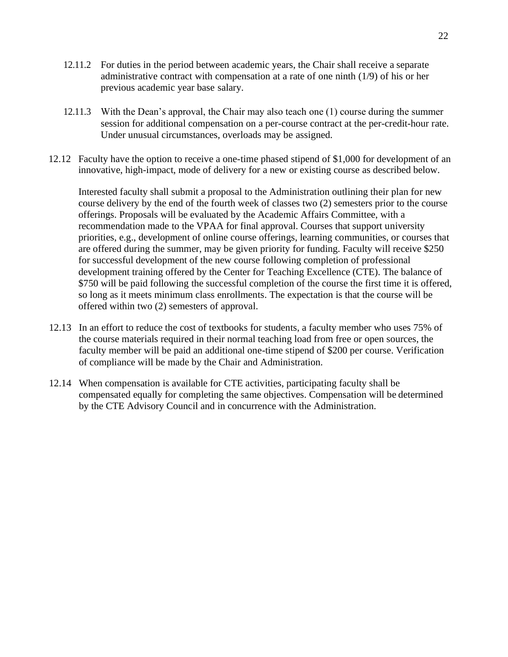- 12.11.2 For duties in the period between academic years, the Chair shall receive a separate administrative contract with compensation at a rate of one ninth (1/9) of his or her previous academic year base salary.
- 12.11.3 With the Dean's approval, the Chair may also teach one (1) course during the summer session for additional compensation on a per-course contract at the per-credit-hour rate. Under unusual circumstances, overloads may be assigned.
- 12.12 Faculty have the option to receive a one-time phased stipend of \$1,000 for development of an innovative, high-impact, mode of delivery for a new or existing course as described below.

Interested faculty shall submit a proposal to the Administration outlining their plan for new course delivery by the end of the fourth week of classes two (2) semesters prior to the course offerings. Proposals will be evaluated by the Academic Affairs Committee, with a recommendation made to the VPAA for final approval. Courses that support university priorities, e.g., development of online course offerings, learning communities, or courses that are offered during the summer, may be given priority for funding. Faculty will receive \$250 for successful development of the new course following completion of professional development training offered by the Center for Teaching Excellence (CTE). The balance of \$750 will be paid following the successful completion of the course the first time it is offered, so long as it meets minimum class enrollments. The expectation is that the course will be offered within two (2) semesters of approval.

- 12.13 In an effort to reduce the cost of textbooks for students, a faculty member who uses 75% of the course materials required in their normal teaching load from free or open sources, the faculty member will be paid an additional one-time stipend of \$200 per course. Verification of compliance will be made by the Chair and Administration.
- 12.14 When compensation is available for CTE activities, participating faculty shall be compensated equally for completing the same objectives. Compensation will be determined by the CTE Advisory Council and in concurrence with the Administration.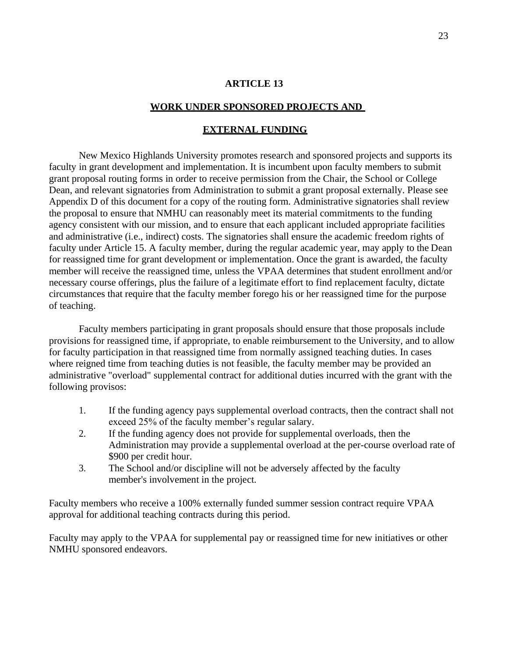#### **WORK UNDER SPONSORED PROJECTS AND**

#### **EXTERNAL FUNDING**

<span id="page-22-0"></span>New Mexico Highlands University promotes research and sponsored projects and supports its faculty in grant development and implementation. It is incumbent upon faculty members to submit grant proposal routing forms in order to receive permission from the Chair, the School or College Dean, and relevant signatories from Administration to submit a grant proposal externally. Please see Appendix D of this document for a copy of the routing form. Administrative signatories shall review the proposal to ensure that NMHU can reasonably meet its material commitments to the funding agency consistent with our mission, and to ensure that each applicant included appropriate facilities and administrative (i.e., indirect) costs. The signatories shall ensure the academic freedom rights of faculty under Article 15. A faculty member, during the regular academic year, may apply to the Dean for reassigned time for grant development or implementation. Once the grant is awarded, the faculty member will receive the reassigned time, unless the VPAA determines that student enrollment and/or necessary course offerings, plus the failure of a legitimate effort to find replacement faculty, dictate circumstances that require that the faculty member forego his or her reassigned time for the purpose of teaching.

Faculty members participating in grant proposals should ensure that those proposals include provisions for reassigned time, if appropriate, to enable reimbursement to the University, and to allow for faculty participation in that reassigned time from normally assigned teaching duties. In cases where reigned time from teaching duties is not feasible, the faculty member may be provided an administrative "overload" supplemental contract for additional duties incurred with the grant with the following provisos:

- 1. If the funding agency pays supplemental overload contracts, then the contract shall not exceed 25% of the faculty member's regular salary.
- 2. If the funding agency does not provide for supplemental overloads, then the Administration may provide a supplemental overload at the per-course overload rate of \$900 per credit hour.
- 3. The School and/or discipline will not be adversely affected by the faculty member's involvement in the project.

Faculty members who receive a 100% externally funded summer session contract require VPAA approval for additional teaching contracts during this period.

Faculty may apply to the VPAA for supplemental pay or reassigned time for new initiatives or other NMHU sponsored endeavors.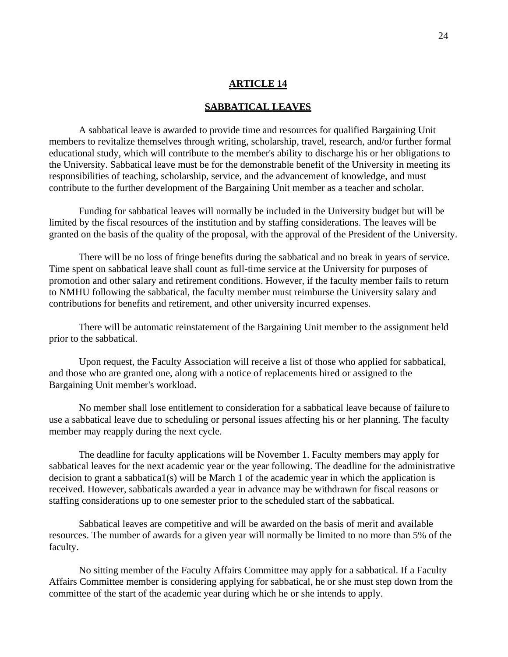#### **SABBATICAL LEAVES**

<span id="page-23-0"></span>A sabbatical leave is awarded to provide time and resources for qualified Bargaining Unit members to revitalize themselves through writing, scholarship, travel, research, and/or further formal educational study, which will contribute to the member's ability to discharge his or her obligations to the University. Sabbatical leave must be for the demonstrable benefit of the University in meeting its responsibilities of teaching, scholarship, service, and the advancement of knowledge, and must contribute to the further development of the Bargaining Unit member as a teacher and scholar.

Funding for sabbatical leaves will normally be included in the University budget but will be limited by the fiscal resources of the institution and by staffing considerations. The leaves will be granted on the basis of the quality of the proposal, with the approval of the President of the University.

There will be no loss of fringe benefits during the sabbatical and no break in years of service. Time spent on sabbatical leave shall count as full-time service at the University for purposes of promotion and other salary and retirement conditions. However, if the faculty member fails to return to NMHU following the sabbatical, the faculty member must reimburse the University salary and contributions for benefits and retirement, and other university incurred expenses.

There will be automatic reinstatement of the Bargaining Unit member to the assignment held prior to the sabbatical.

Upon request, the Faculty Association will receive a list of those who applied for sabbatical, and those who are granted one, along with a notice of replacements hired or assigned to the Bargaining Unit member's workload.

No member shall lose entitlement to consideration for a sabbatical leave because of failure to use a sabbatical leave due to scheduling or personal issues affecting his or her planning. The faculty member may reapply during the next cycle.

The deadline for faculty applications will be November 1. Faculty members may apply for sabbatical leaves for the next academic year or the year following. The deadline for the administrative decision to grant a sabbatica1(s) will be March 1 of the academic year in which the application is received. However, sabbaticals awarded a year in advance may be withdrawn for fiscal reasons or staffing considerations up to one semester prior to the scheduled start of the sabbatical.

Sabbatical leaves are competitive and will be awarded on the basis of merit and available resources. The number of awards for a given year will normally be limited to no more than 5% of the faculty.

No sitting member of the Faculty Affairs Committee may apply for a sabbatical. If a Faculty Affairs Committee member is considering applying for sabbatical, he or she must step down from the committee of the start of the academic year during which he or she intends to apply.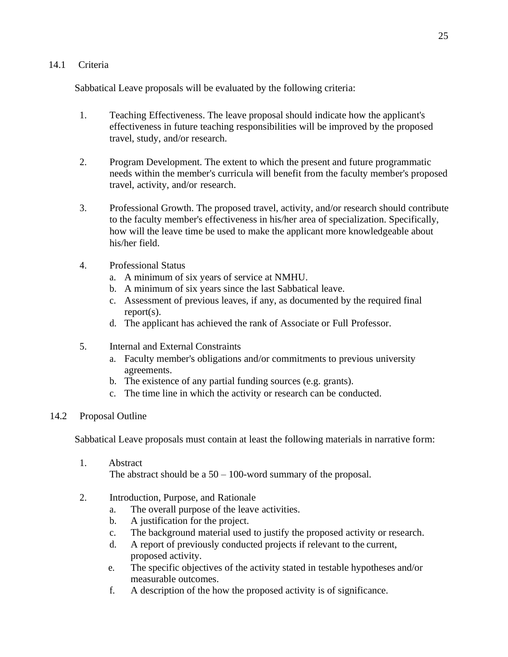## 14.1 Criteria

Sabbatical Leave proposals will be evaluated by the following criteria:

- 1. Teaching Effectiveness. The leave proposal should indicate how the applicant's effectiveness in future teaching responsibilities will be improved by the proposed travel, study, and/or research.
- 2. Program Development. The extent to which the present and future programmatic needs within the member's curricula will benefit from the faculty member's proposed travel, activity, and/or research.
- 3. Professional Growth. The proposed travel, activity, and/or research should contribute to the faculty member's effectiveness in his/her area of specialization. Specifically, how will the leave time be used to make the applicant more knowledgeable about his/her field.
- 4. Professional Status
	- a. A minimum of six years of service at NMHU.
	- b. A minimum of six years since the last Sabbatical leave.
	- c. Assessment of previous leaves, if any, as documented by the required final report(s).
	- d. The applicant has achieved the rank of Associate or Full Professor.
- 5. Internal and External Constraints
	- a. Faculty member's obligations and/or commitments to previous university agreements.
	- b. The existence of any partial funding sources (e.g. grants).
	- c. The time line in which the activity or research can be conducted.

## 14.2 Proposal Outline

Sabbatical Leave proposals must contain at least the following materials in narrative form:

- 1. Abstract The abstract should be a  $50 - 100$ -word summary of the proposal.
- 2. Introduction, Purpose, and Rationale
	- a. The overall purpose of the leave activities.
	- b. A justification for the project.
	- c. The background material used to justify the proposed activity or research.
	- d. A report of previously conducted projects if relevant to the current, proposed activity.
	- e. The specific objectives of the activity stated in testable hypotheses and/or measurable outcomes.
	- f. A description of the how the proposed activity is of significance.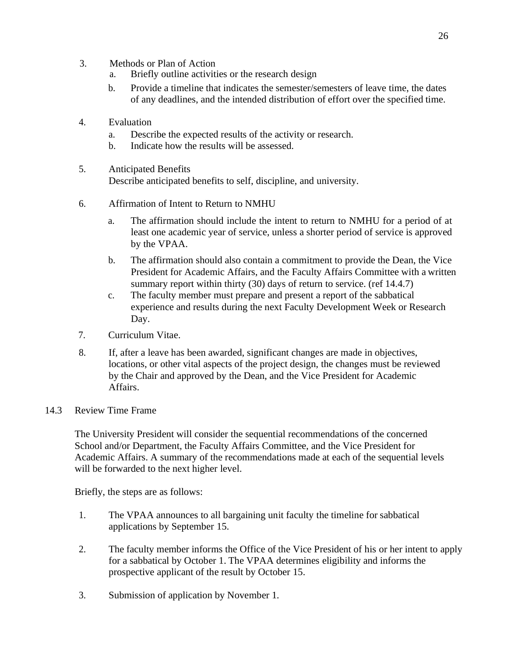- 3. Methods or Plan of Action
	- a. Briefly outline activities or the research design
	- b. Provide a timeline that indicates the semester/semesters of leave time, the dates of any deadlines, and the intended distribution of effort over the specified time.
- 4. Evaluation
	- a. Describe the expected results of the activity or research.
	- b. Indicate how the results will be assessed.
- 5. Anticipated Benefits Describe anticipated benefits to self, discipline, and university.
- 6. Affirmation of Intent to Return to NMHU
	- a. The affirmation should include the intent to return to NMHU for a period of at least one academic year of service, unless a shorter period of service is approved by the VPAA.
	- b. The affirmation should also contain a commitment to provide the Dean, the Vice President for Academic Affairs, and the Faculty Affairs Committee with a written summary report within thirty (30) days of return to service. (ref 14.4.7)
	- c. The faculty member must prepare and present a report of the sabbatical experience and results during the next Faculty Development Week or Research Day.
- 7. Curriculum Vitae.
- 8. If, after a leave has been awarded, significant changes are made in objectives, locations, or other vital aspects of the project design, the changes must be reviewed by the Chair and approved by the Dean, and the Vice President for Academic Affairs.
- 14.3 Review Time Frame

The University President will consider the sequential recommendations of the concerned School and/or Department, the Faculty Affairs Committee, and the Vice President for Academic Affairs. A summary of the recommendations made at each of the sequential levels will be forwarded to the next higher level.

Briefly, the steps are as follows:

- 1. The VPAA announces to all bargaining unit faculty the timeline for sabbatical applications by September 15.
- 2. The faculty member informs the Office of the Vice President of his or her intent to apply for a sabbatical by October 1. The VPAA determines eligibility and informs the prospective applicant of the result by October 15.
- 3. Submission of application by November 1.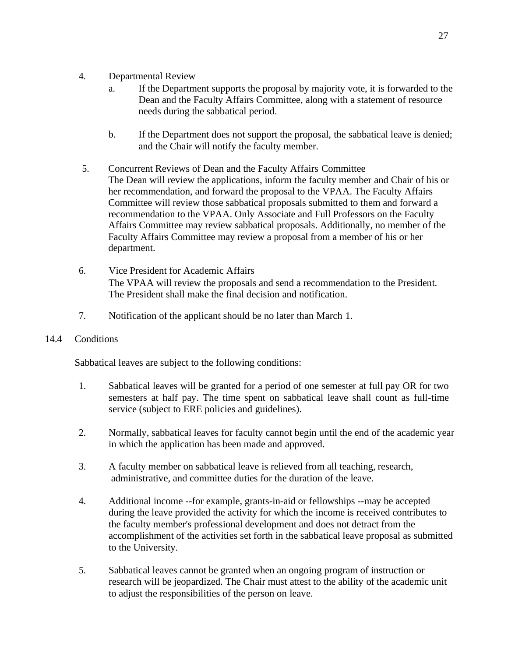- 4. Departmental Review
	- a. If the Department supports the proposal by majority vote, it is forwarded to the Dean and the Faculty Affairs Committee, along with a statement of resource needs during the sabbatical period.
	- b. If the Department does not support the proposal, the sabbatical leave is denied; and the Chair will notify the faculty member.
- 5. Concurrent Reviews of Dean and the Faculty Affairs Committee The Dean will review the applications, inform the faculty member and Chair of his or her recommendation, and forward the proposal to the VPAA. The Faculty Affairs Committee will review those sabbatical proposals submitted to them and forward a recommendation to the VPAA. Only Associate and Full Professors on the Faculty Affairs Committee may review sabbatical proposals. Additionally, no member of the Faculty Affairs Committee may review a proposal from a member of his or her department.
- 6. Vice President for Academic Affairs The VPAA will review the proposals and send a recommendation to the President. The President shall make the final decision and notification.
- 7. Notification of the applicant should be no later than March 1.
- 14.4 Conditions

Sabbatical leaves are subject to the following conditions:

- 1. Sabbatical leaves will be granted for a period of one semester at full pay OR for two semesters at half pay. The time spent on sabbatical leave shall count as full-time service (subject to ERE policies and guidelines).
- 2. Normally, sabbatical leaves for faculty cannot begin until the end of the academic year in which the application has been made and approved.
- 3. A faculty member on sabbatical leave is relieved from all teaching, research, administrative, and committee duties for the duration of the leave.
- 4. Additional income --for example, grants-in-aid or fellowships --may be accepted during the leave provided the activity for which the income is received contributes to the faculty member's professional development and does not detract from the accomplishment of the activities set forth in the sabbatical leave proposal as submitted to the University.
- 5. Sabbatical leaves cannot be granted when an ongoing program of instruction or research will be jeopardized. The Chair must attest to the ability of the academic unit to adjust the responsibilities of the person on leave.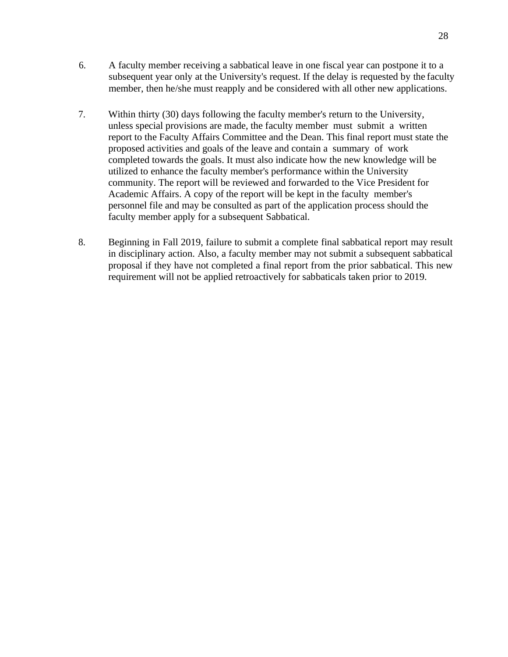- 6. A faculty member receiving a sabbatical leave in one fiscal year can postpone it to a subsequent year only at the University's request. If the delay is requested by the faculty member, then he/she must reapply and be considered with all other new applications.
- 7. Within thirty (30) days following the faculty member's return to the University, unless special provisions are made, the faculty member must submit a written report to the Faculty Affairs Committee and the Dean. This final report must state the proposed activities and goals of the leave and contain a summary of work completed towards the goals. It must also indicate how the new knowledge will be utilized to enhance the faculty member's performance within the University community. The report will be reviewed and forwarded to the Vice President for Academic Affairs. A copy of the report will be kept in the faculty member's personnel file and may be consulted as part of the application process should the faculty member apply for a subsequent Sabbatical.
- 8. Beginning in Fall 2019, failure to submit a complete final sabbatical report may result in disciplinary action. Also, a faculty member may not submit a subsequent sabbatical proposal if they have not completed a final report from the prior sabbatical. This new requirement will not be applied retroactively for sabbaticals taken prior to 2019.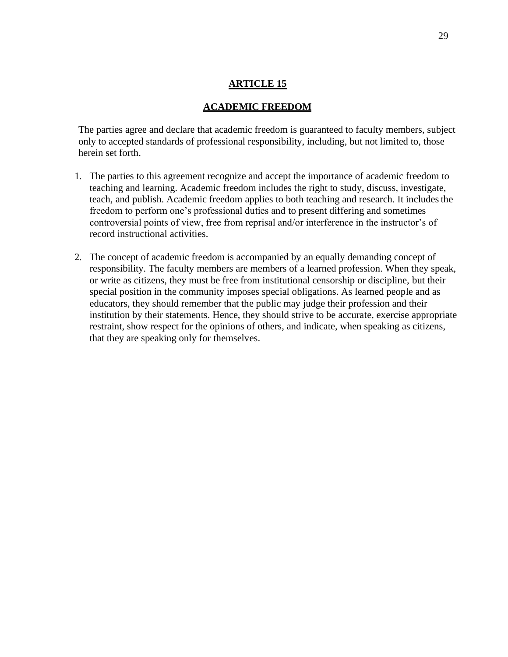#### **ACADEMIC FREEDOM**

<span id="page-28-0"></span>The parties agree and declare that academic freedom is guaranteed to faculty members, subject only to accepted standards of professional responsibility, including, but not limited to, those herein set forth.

- 1. The parties to this agreement recognize and accept the importance of academic freedom to teaching and learning. Academic freedom includes the right to study, discuss, investigate, teach, and publish. Academic freedom applies to both teaching and research. It includes the freedom to perform one's professional duties and to present differing and sometimes controversial points of view, free from reprisal and/or interference in the instructor's of record instructional activities.
- 2. The concept of academic freedom is accompanied by an equally demanding concept of responsibility. The faculty members are members of a learned profession. When they speak, or write as citizens, they must be free from institutional censorship or discipline, but their special position in the community imposes special obligations. As learned people and as educators, they should remember that the public may judge their profession and their institution by their statements. Hence, they should strive to be accurate, exercise appropriate restraint, show respect for the opinions of others, and indicate, when speaking as citizens, that they are speaking only for themselves.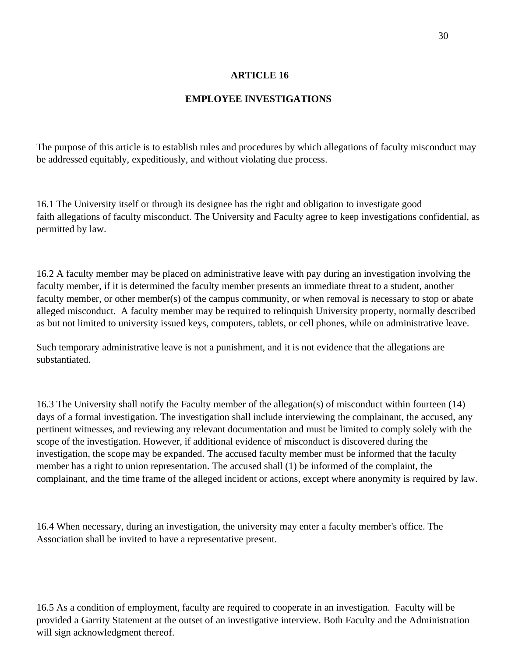## **EMPLOYEE INVESTIGATIONS**

The purpose of this article is to establish rules and procedures by which allegations of faculty misconduct may be addressed equitably, expeditiously, and without violating due process.

16.1 The University itself or through its designee has the right and obligation to investigate good faith allegations of faculty misconduct. The University and Faculty agree to keep investigations confidential, as permitted by law.

16.2 A faculty member may be placed on administrative leave with pay during an investigation involving the faculty member, if it is determined the faculty member presents an immediate threat to a student, another faculty member, or other member(s) of the campus community, or when removal is necessary to stop or abate alleged misconduct. A faculty member may be required to relinquish University property, normally described as but not limited to university issued keys, computers, tablets, or cell phones, while on administrative leave.

Such temporary administrative leave is not a punishment, and it is not evidence that the allegations are substantiated.

16.3 The University shall notify the Faculty member of the allegation(s) of misconduct within fourteen (14) days of a formal investigation. The investigation shall include interviewing the complainant, the accused, any pertinent witnesses, and reviewing any relevant documentation and must be limited to comply solely with the scope of the investigation. However, if additional evidence of misconduct is discovered during the investigation, the scope may be expanded. The accused faculty member must be informed that the faculty member has a right to union representation. The accused shall (1) be informed of the complaint, the complainant, and the time frame of the alleged incident or actions, except where anonymity is required by law.

16.4 When necessary, during an investigation, the university may enter a faculty member's office. The Association shall be invited to have a representative present.

16.5 As a condition of employment, faculty are required to cooperate in an investigation. Faculty will be provided a Garrity Statement at the outset of an investigative interview. Both Faculty and the Administration will sign acknowledgment thereof.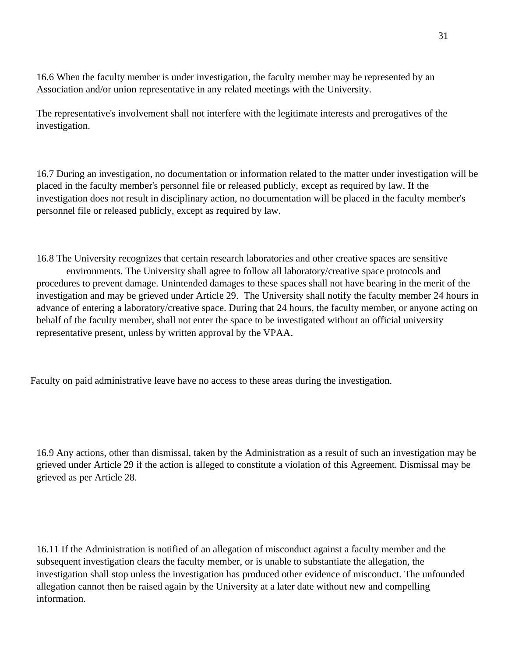16.6 When the faculty member is under investigation, the faculty member may be represented by an Association and/or union representative in any related meetings with the University.

The representative's involvement shall not interfere with the legitimate interests and prerogatives of the investigation.

16.7 During an investigation, no documentation or information related to the matter under investigation will be placed in the faculty member's personnel file or released publicly, except as required by law. If the investigation does not result in disciplinary action, no documentation will be placed in the faculty member's personnel file or released publicly, except as required by law.

16.8 The University recognizes that certain research laboratories and other creative spaces are sensitive environments. The University shall agree to follow all laboratory/creative space protocols and procedures to prevent damage. Unintended damages to these spaces shall not have bearing in the merit of the investigation and may be grieved under Article 29. The University shall notify the faculty member 24 hours in advance of entering a laboratory/creative space. During that 24 hours, the faculty member, or anyone acting on behalf of the faculty member, shall not enter the space to be investigated without an official university representative present, unless by written approval by the VPAA.

Faculty on paid administrative leave have no access to these areas during the investigation.

16.9 Any actions, other than dismissal, taken by the Administration as a result of such an investigation may be grieved under Article 29 if the action is alleged to constitute a violation of this Agreement. Dismissal may be grieved as per Article 28.

16.11 If the Administration is notified of an allegation of misconduct against a faculty member and the subsequent investigation clears the faculty member, or is unable to substantiate the allegation, the investigation shall stop unless the investigation has produced other evidence of misconduct. The unfounded allegation cannot then be raised again by the University at a later date without new and compelling information.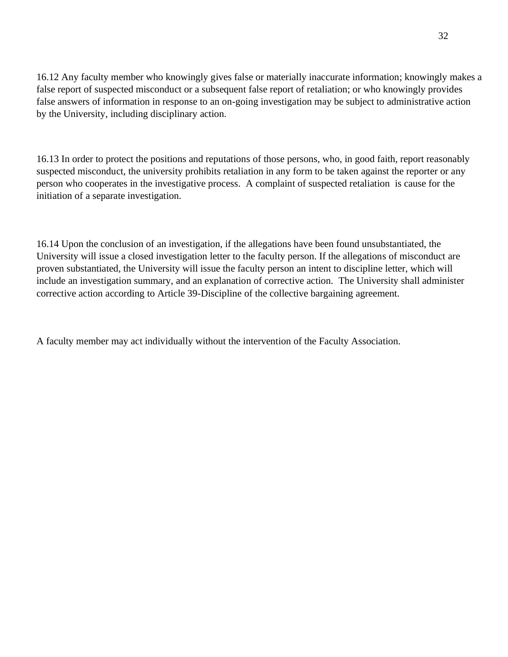16.12 Any faculty member who knowingly gives false or materially inaccurate information; knowingly makes a false report of suspected misconduct or a subsequent false report of retaliation; or who knowingly provides false answers of information in response to an on-going investigation may be subject to administrative action by the University, including disciplinary action.

16.13 In order to protect the positions and reputations of those persons, who, in good faith, report reasonably suspected misconduct, the university prohibits retaliation in any form to be taken against the reporter or any person who cooperates in the investigative process. A complaint of suspected retaliation is cause for the initiation of a separate investigation.

16.14 Upon the conclusion of an investigation, if the allegations have been found unsubstantiated, the University will issue a closed investigation letter to the faculty person. If the allegations of misconduct are proven substantiated, the University will issue the faculty person an intent to discipline letter, which will include an investigation summary, and an explanation of corrective action. The University shall administer corrective action according to Article 39-Discipline of the collective bargaining agreement.

A faculty member may act individually without the intervention of the Faculty Association.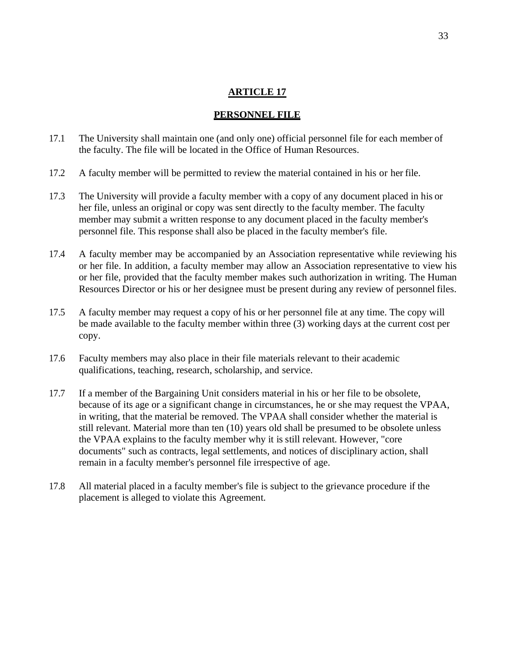#### **PERSONNEL FILE**

- <span id="page-32-0"></span>17.1 The University shall maintain one (and only one) official personnel file for each member of the faculty. The file will be located in the Office of Human Resources.
- 17.2 A faculty member will be permitted to review the material contained in his or her file.
- 17.3 The University will provide a faculty member with a copy of any document placed in his or her file, unless an original or copy was sent directly to the faculty member. The faculty member may submit a written response to any document placed in the faculty member's personnel file. This response shall also be placed in the faculty member's file.
- 17.4 A faculty member may be accompanied by an Association representative while reviewing his or her file. In addition, a faculty member may allow an Association representative to view his or her file, provided that the faculty member makes such authorization in writing. The Human Resources Director or his or her designee must be present during any review of personnel files.
- 17.5 A faculty member may request a copy of his or her personnel file at any time. The copy will be made available to the faculty member within three (3) working days at the current cost per copy.
- 17.6 Faculty members may also place in their file materials relevant to their academic qualifications, teaching, research, scholarship, and service.
- 17.7 If a member of the Bargaining Unit considers material in his or her file to be obsolete, because of its age or a significant change in circumstances, he or she may request the VPAA, in writing, that the material be removed. The VPAA shall consider whether the material is still relevant. Material more than ten (10) years old shall be presumed to be obsolete unless the VPAA explains to the faculty member why it is still relevant. However, "core documents" such as contracts, legal settlements, and notices of disciplinary action, shall remain in a faculty member's personnel file irrespective of age.
- 17.8 All material placed in a faculty member's file is subject to the grievance procedure if the placement is alleged to violate this Agreement.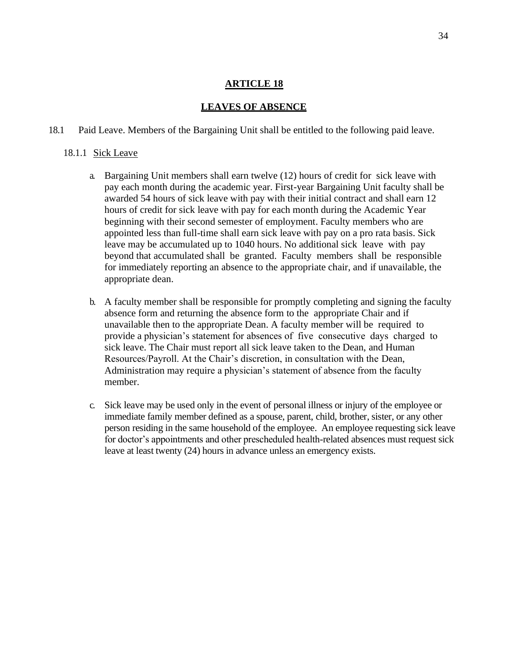### **LEAVES OF ABSENCE**

#### <span id="page-33-0"></span>18.1 Paid Leave. Members of the Bargaining Unit shall be entitled to the following paid leave.

#### 18.1.1 Sick Leave

- a. Bargaining Unit members shall earn twelve (12) hours of credit for sick leave with pay each month during the academic year. First-year Bargaining Unit faculty shall be awarded 54 hours of sick leave with pay with their initial contract and shall earn 12 hours of credit for sick leave with pay for each month during the Academic Year beginning with their second semester of employment. Faculty members who are appointed less than full-time shall earn sick leave with pay on a pro rata basis. Sick leave may be accumulated up to 1040 hours. No additional sick leave with pay beyond that accumulated shall be granted. Faculty members shall be responsible for immediately reporting an absence to the appropriate chair, and if unavailable, the appropriate dean.
- b. A faculty member shall be responsible for promptly completing and signing the faculty absence form and returning the absence form to the appropriate Chair and if unavailable then to the appropriate Dean. A faculty member will be required to provide a physician's statement for absences of five consecutive days charged to sick leave. The Chair must report all sick leave taken to the Dean, and Human Resources/Payroll. At the Chair's discretion, in consultation with the Dean, Administration may require a physician's statement of absence from the faculty member.
- c. Sick leave may be used only in the event of personal illness or injury of the employee or immediate family member defined as a spouse, parent, child, brother, sister, or any other person residing in the same household of the employee. An employee requesting sick leave for doctor's appointments and other prescheduled health-related absences must request sick leave at least twenty (24) hours in advance unless an emergency exists.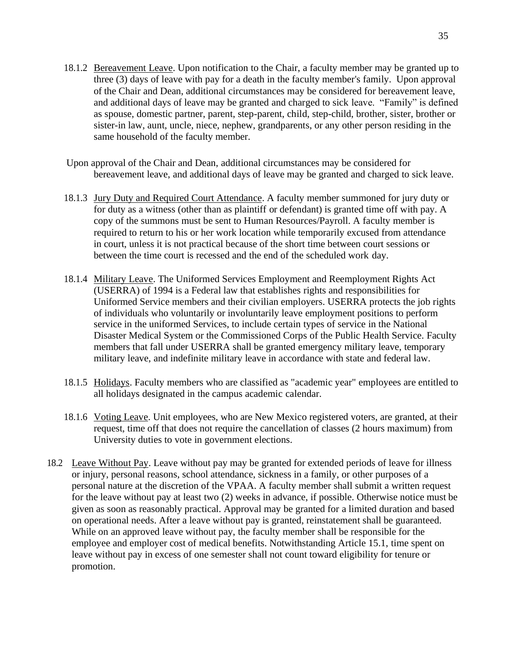- 18.1.2 Bereavement Leave. Upon notification to the Chair, a faculty member may be granted up to three (3) days of leave with pay for a death in the faculty member's family. Upon approval of the Chair and Dean, additional circumstances may be considered for bereavement leave, and additional days of leave may be granted and charged to sick leave. "Family" is defined as spouse, domestic partner, parent, step-parent, child, step-child, brother, sister, brother or sister-in law, aunt, uncle, niece, nephew, grandparents, or any other person residing in the same household of the faculty member.
- Upon approval of the Chair and Dean, additional circumstances may be considered for bereavement leave, and additional days of leave may be granted and charged to sick leave.
- 18.1.3 Jury Duty and Required Court Attendance. A faculty member summoned for jury duty or for duty as a witness (other than as plaintiff or defendant) is granted time off with pay. A copy of the summons must be sent to Human Resources/Payroll. A faculty member is required to return to his or her work location while temporarily excused from attendance in court, unless it is not practical because of the short time between court sessions or between the time court is recessed and the end of the scheduled work day.
- 18.1.4 Military Leave. The Uniformed Services Employment and Reemployment Rights Act (USERRA) of 1994 is a Federal law that establishes rights and responsibilities for Uniformed Service members and their civilian employers. USERRA protects the job rights of individuals who voluntarily or involuntarily leave employment positions to perform service in the uniformed Services, to include certain types of service in the National Disaster Medical System or the Commissioned Corps of the Public Health Service. Faculty members that fall under USERRA shall be granted emergency military leave, temporary military leave, and indefinite military leave in accordance with state and federal law.
- 18.1.5 Holidays. Faculty members who are classified as "academic year" employees are entitled to all holidays designated in the campus academic calendar.
- 18.1.6 Voting Leave. Unit employees, who are New Mexico registered voters, are granted, at their request, time off that does not require the cancellation of classes (2 hours maximum) from University duties to vote in government elections.
- 18.2 Leave Without Pay. Leave without pay may be granted for extended periods of leave for illness or injury, personal reasons, school attendance, sickness in a family, or other purposes of a personal nature at the discretion of the VPAA. A faculty member shall submit a written request for the leave without pay at least two (2) weeks in advance, if possible. Otherwise notice must be given as soon as reasonably practical. Approval may be granted for a limited duration and based on operational needs. After a leave without pay is granted, reinstatement shall be guaranteed. While on an approved leave without pay, the faculty member shall be responsible for the employee and employer cost of medical benefits. Notwithstanding Article 15.1, time spent on leave without pay in excess of one semester shall not count toward eligibility for tenure or promotion.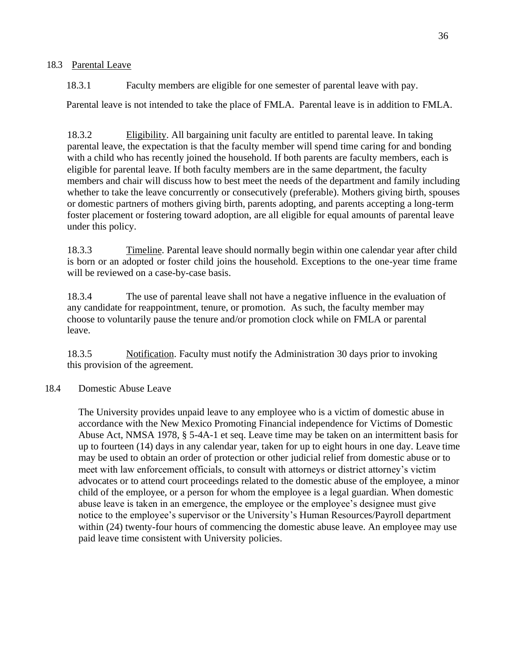### 18.3 Parental Leave

18.3.1 Faculty members are eligible for one semester of parental leave with pay.

Parental leave is not intended to take the place of FMLA. Parental leave is in addition to FMLA.

18.3.2 Eligibility. All bargaining unit faculty are entitled to parental leave. In taking parental leave, the expectation is that the faculty member will spend time caring for and bonding with a child who has recently joined the household. If both parents are faculty members, each is eligible for parental leave. If both faculty members are in the same department, the faculty members and chair will discuss how to best meet the needs of the department and family including whether to take the leave concurrently or consecutively (preferable). Mothers giving birth, spouses or domestic partners of mothers giving birth, parents adopting, and parents accepting a long-term foster placement or fostering toward adoption, are all eligible for equal amounts of parental leave under this policy.

18.3.3 Timeline. Parental leave should normally begin within one calendar year after child is born or an adopted or foster child joins the household. Exceptions to the one-year time frame will be reviewed on a case-by-case basis.

18.3.4 The use of parental leave shall not have a negative influence in the evaluation of any candidate for reappointment, tenure, or promotion. As such, the faculty member may choose to voluntarily pause the tenure and/or promotion clock while on FMLA or parental leave.

18.3.5 Notification. Faculty must notify the Administration 30 days prior to invoking this provision of the agreement.

## 18.4 Domestic Abuse Leave

The University provides unpaid leave to any employee who is a victim of domestic abuse in accordance with the New Mexico Promoting Financial independence for Victims of Domestic Abuse Act, NMSA 1978, § 5-4A-1 et seq. Leave time may be taken on an intermittent basis for up to fourteen (14) days in any calendar year, taken for up to eight hours in one day. Leave time may be used to obtain an order of protection or other judicial relief from domestic abuse or to meet with law enforcement officials, to consult with attorneys or district attorney's victim advocates or to attend court proceedings related to the domestic abuse of the employee, a minor child of the employee, or a person for whom the employee is a legal guardian. When domestic abuse leave is taken in an emergence, the employee or the employee's designee must give notice to the employee's supervisor or the University's Human Resources/Payroll department within (24) twenty-four hours of commencing the domestic abuse leave. An employee may use paid leave time consistent with University policies.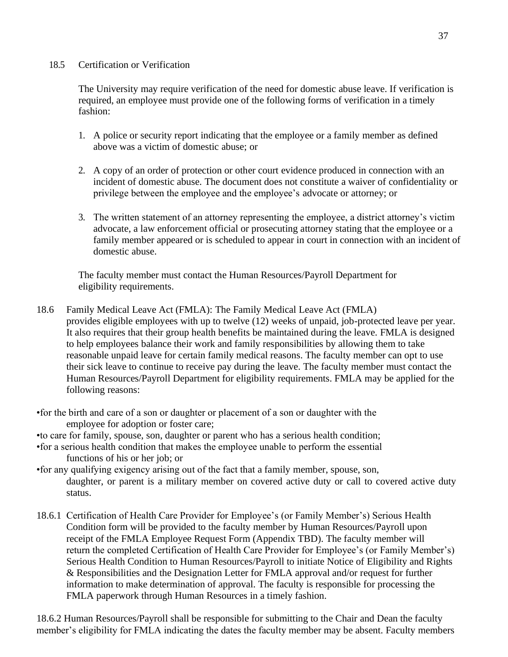# 18.5 Certification or Verification

The University may require verification of the need for domestic abuse leave. If verification is required, an employee must provide one of the following forms of verification in a timely fashion:

- 1. A police or security report indicating that the employee or a family member as defined above was a victim of domestic abuse; or
- 2. A copy of an order of protection or other court evidence produced in connection with an incident of domestic abuse. The document does not constitute a waiver of confidentiality or privilege between the employee and the employee's advocate or attorney; or
- 3. The written statement of an attorney representing the employee, a district attorney's victim advocate, a law enforcement official or prosecuting attorney stating that the employee or a family member appeared or is scheduled to appear in court in connection with an incident of domestic abuse.

The faculty member must contact the Human Resources/Payroll Department for eligibility requirements.

- 18.6 Family Medical Leave Act (FMLA): The Family Medical Leave Act (FMLA) provides eligible employees with up to twelve (12) weeks of unpaid, job-protected leave per year. It also requires that their group health benefits be maintained during the leave. FMLA is designed to help employees balance their work and family responsibilities by allowing them to take reasonable unpaid leave for certain family medical reasons. The faculty member can opt to use their sick leave to continue to receive pay during the leave. The faculty member must contact the Human Resources/Payroll Department for eligibility requirements. FMLA may be applied for the following reasons:
- •for the birth and care of a son or daughter or placement of a son or daughter with the employee for adoption or foster care;
- •to care for family, spouse, son, daughter or parent who has a serious health condition;
- •for a serious health condition that makes the employee unable to perform the essential functions of his or her job; or
- •for any qualifying exigency arising out of the fact that a family member, spouse, son, daughter, or parent is a military member on covered active duty or call to covered active duty status.
- 18.6.1 Certification of Health Care Provider for Employee's (or Family Member's) Serious Health Condition form will be provided to the faculty member by Human Resources/Payroll upon receipt of the FMLA Employee Request Form (Appendix TBD). The faculty member will return the completed Certification of Health Care Provider for Employee's (or Family Member's) Serious Health Condition to Human Resources/Payroll to initiate Notice of Eligibility and Rights & Responsibilities and the Designation Letter for FMLA approval and/or request for further information to make determination of approval. The faculty is responsible for processing the FMLA paperwork through Human Resources in a timely fashion.

18.6.2 Human Resources/Payroll shall be responsible for submitting to the Chair and Dean the faculty member's eligibility for FMLA indicating the dates the faculty member may be absent. Faculty members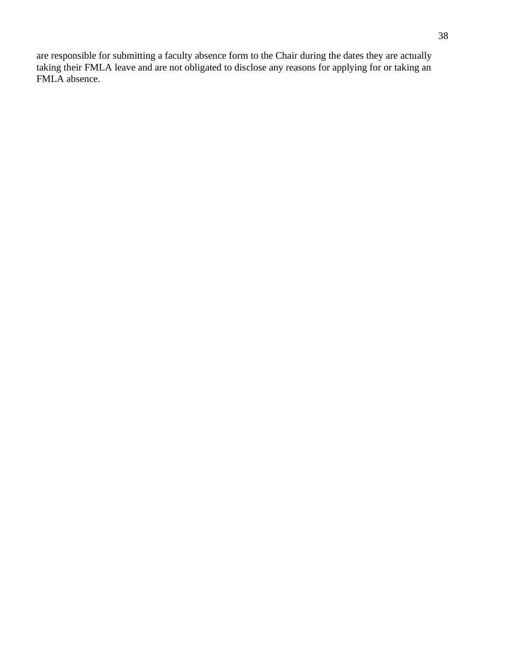are responsible for submitting a faculty absence form to the Chair during the dates they are actually taking their FMLA leave and are not obligated to disclose any reasons for applying for or taking an FMLA absence.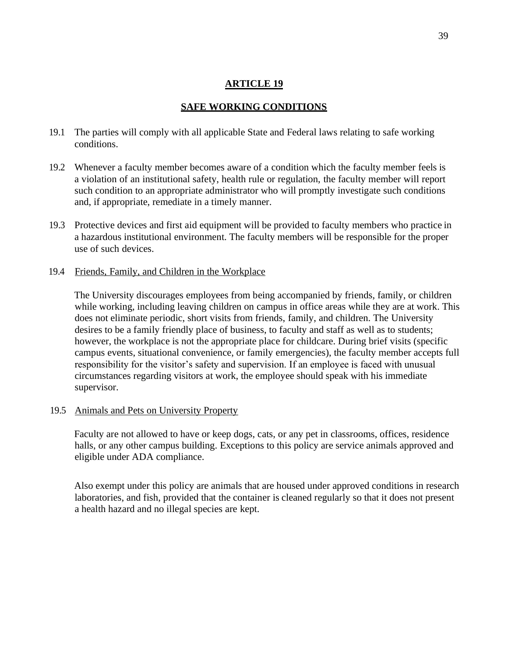# **SAFE WORKING CONDITIONS**

- 19.1 The parties will comply with all applicable State and Federal laws relating to safe working conditions.
- 19.2 Whenever a faculty member becomes aware of a condition which the faculty member feels is a violation of an institutional safety, health rule or regulation, the faculty member will report such condition to an appropriate administrator who will promptly investigate such conditions and, if appropriate, remediate in a timely manner.
- 19.3 Protective devices and first aid equipment will be provided to faculty members who practice in a hazardous institutional environment. The faculty members will be responsible for the proper use of such devices.
- 19.4 Friends, Family, and Children in the Workplace

The University discourages employees from being accompanied by friends, family, or children while working, including leaving children on campus in office areas while they are at work. This does not eliminate periodic, short visits from friends, family, and children. The University desires to be a family friendly place of business, to faculty and staff as well as to students; however, the workplace is not the appropriate place for childcare. During brief visits (specific campus events, situational convenience, or family emergencies), the faculty member accepts full responsibility for the visitor's safety and supervision. If an employee is faced with unusual circumstances regarding visitors at work, the employee should speak with his immediate supervisor.

19.5 Animals and Pets on University Property

Faculty are not allowed to have or keep dogs, cats, or any pet in classrooms, offices, residence halls, or any other campus building. Exceptions to this policy are service animals approved and eligible under ADA compliance.

Also exempt under this policy are animals that are housed under approved conditions in research laboratories, and fish, provided that the container is cleaned regularly so that it does not present a health hazard and no illegal species are kept.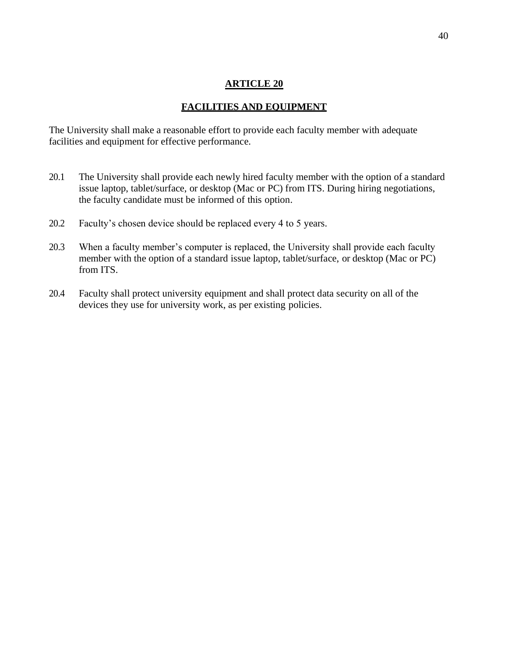# **FACILITIES AND EQUIPMENT**

The University shall make a reasonable effort to provide each faculty member with adequate facilities and equipment for effective performance.

- 20.1 The University shall provide each newly hired faculty member with the option of a standard issue laptop, tablet/surface, or desktop (Mac or PC) from ITS. During hiring negotiations, the faculty candidate must be informed of this option.
- 20.2 Faculty's chosen device should be replaced every 4 to 5 years.
- 20.3 When a faculty member's computer is replaced, the University shall provide each faculty member with the option of a standard issue laptop, tablet/surface, or desktop (Mac or PC) from ITS.
- 20.4 Faculty shall protect university equipment and shall protect data security on all of the devices they use for university work, as per existing policies.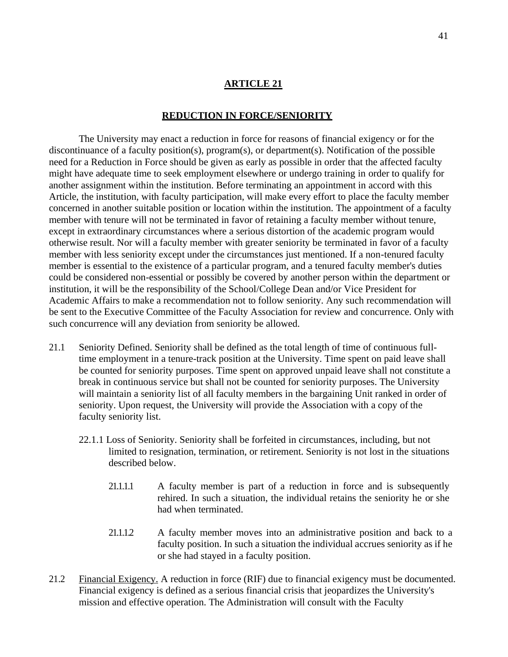### **REDUCTION IN FORCE/SENIORITY**

The University may enact a reduction in force for reasons of financial exigency or for the discontinuance of a faculty position(s), program(s), or department(s). Notification of the possible need for a Reduction in Force should be given as early as possible in order that the affected faculty might have adequate time to seek employment elsewhere or undergo training in order to qualify for another assignment within the institution. Before terminating an appointment in accord with this Article, the institution, with faculty participation, will make every effort to place the faculty member concerned in another suitable position or location within the institution. The appointment of a faculty member with tenure will not be terminated in favor of retaining a faculty member without tenure, except in extraordinary circumstances where a serious distortion of the academic program would otherwise result. Nor will a faculty member with greater seniority be terminated in favor of a faculty member with less seniority except under the circumstances just mentioned. If a non-tenured faculty member is essential to the existence of a particular program, and a tenured faculty member's duties could be considered non-essential or possibly be covered by another person within the department or institution, it will be the responsibility of the School/College Dean and/or Vice President for Academic Affairs to make a recommendation not to follow seniority. Any such recommendation will be sent to the Executive Committee of the Faculty Association for review and concurrence. Only with such concurrence will any deviation from seniority be allowed.

- 21.1 Seniority Defined. Seniority shall be defined as the total length of time of continuous fulltime employment in a tenure-track position at the University. Time spent on paid leave shall be counted for seniority purposes. Time spent on approved unpaid leave shall not constitute a break in continuous service but shall not be counted for seniority purposes. The University will maintain a seniority list of all faculty members in the bargaining Unit ranked in order of seniority. Upon request, the University will provide the Association with a copy of the faculty seniority list.
	- 22.1.1 Loss of Seniority. Seniority shall be forfeited in circumstances, including, but not limited to resignation, termination, or retirement. Seniority is not lost in the situations described below.
		- 21.1.1.1 A faculty member is part of a reduction in force and is subsequently rehired. In such a situation, the individual retains the seniority he or she had when terminated.
		- 21.1.1.2 A faculty member moves into an administrative position and back to a faculty position. In such a situation the individual accrues seniority as if he or she had stayed in a faculty position.
- 21.2 Financial Exigency. A reduction in force (RIF) due to financial exigency must be documented. Financial exigency is defined as a serious financial crisis that jeopardizes the University's mission and effective operation. The Administration will consult with the Faculty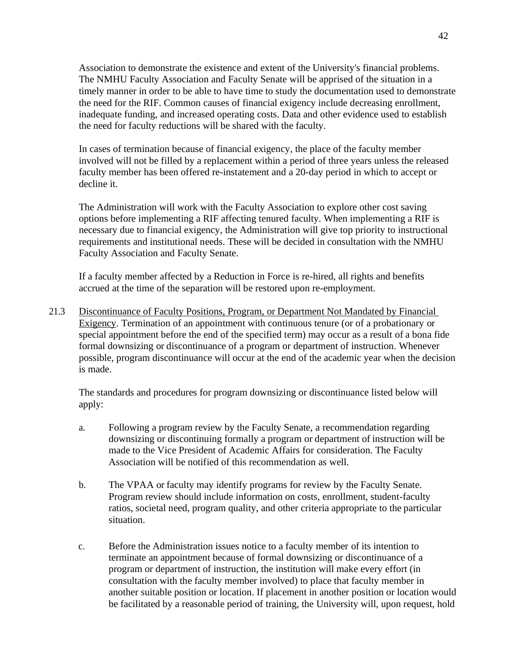Association to demonstrate the existence and extent of the University's financial problems. The NMHU Faculty Association and Faculty Senate will be apprised of the situation in a timely manner in order to be able to have time to study the documentation used to demonstrate the need for the RIF. Common causes of financial exigency include decreasing enrollment, inadequate funding, and increased operating costs. Data and other evidence used to establish the need for faculty reductions will be shared with the faculty.

In cases of termination because of financial exigency, the place of the faculty member involved will not be filled by a replacement within a period of three years unless the released faculty member has been offered re-instatement and a 20-day period in which to accept or decline it.

The Administration will work with the Faculty Association to explore other cost saving options before implementing a RIF affecting tenured faculty. When implementing a RIF is necessary due to financial exigency, the Administration will give top priority to instructional requirements and institutional needs. These will be decided in consultation with the NMHU Faculty Association and Faculty Senate.

If a faculty member affected by a Reduction in Force is re-hired, all rights and benefits accrued at the time of the separation will be restored upon re-employment.

21.3 Discontinuance of Faculty Positions, Program, or Department Not Mandated by Financial Exigency. Termination of an appointment with continuous tenure (or of a probationary or special appointment before the end of the specified term) may occur as a result of a bona fide formal downsizing or discontinuance of a program or department of instruction. Whenever possible, program discontinuance will occur at the end of the academic year when the decision is made.

The standards and procedures for program downsizing or discontinuance listed below will apply:

- a. Following a program review by the Faculty Senate, a recommendation regarding downsizing or discontinuing formally a program or department of instruction will be made to the Vice President of Academic Affairs for consideration. The Faculty Association will be notified of this recommendation as well.
- b. The VPAA or faculty may identify programs for review by the Faculty Senate. Program review should include information on costs, enrollment, student-faculty ratios, societal need, program quality, and other criteria appropriate to the particular situation.
- c. Before the Administration issues notice to a faculty member of its intention to terminate an appointment because of formal downsizing or discontinuance of a program or department of instruction, the institution will make every effort (in consultation with the faculty member involved) to place that faculty member in another suitable position or location. If placement in another position or location would be facilitated by a reasonable period of training, the University will, upon request, hold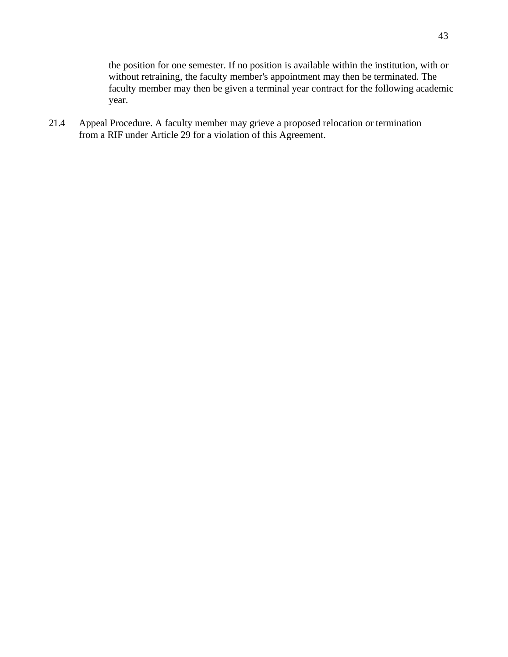the position for one semester. If no position is available within the institution, with or without retraining, the faculty member's appointment may then be terminated. The faculty member may then be given a terminal year contract for the following academic year.

21.4 Appeal Procedure. A faculty member may grieve a proposed relocation or termination from a RIF under Article 29 for a violation of this Agreement.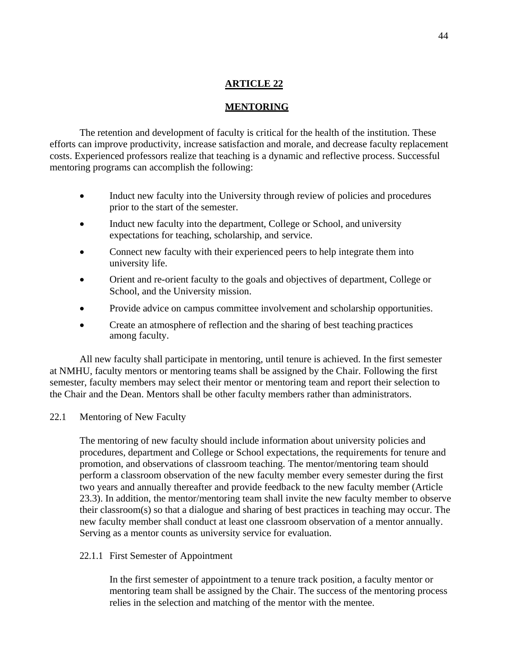## **MENTORING**

The retention and development of faculty is critical for the health of the institution. These efforts can improve productivity, increase satisfaction and morale, and decrease faculty replacement costs. Experienced professors realize that teaching is a dynamic and reflective process. Successful mentoring programs can accomplish the following:

- Induct new faculty into the University through review of policies and procedures prior to the start of the semester.
- Induct new faculty into the department, College or School, and university expectations for teaching, scholarship, and service.
- Connect new faculty with their experienced peers to help integrate them into university life.
- Orient and re-orient faculty to the goals and objectives of department, College or School, and the University mission.
- Provide advice on campus committee involvement and scholarship opportunities.
- Create an atmosphere of reflection and the sharing of best teaching practices among faculty.

All new faculty shall participate in mentoring, until tenure is achieved. In the first semester at NMHU, faculty mentors or mentoring teams shall be assigned by the Chair. Following the first semester, faculty members may select their mentor or mentoring team and report their selection to the Chair and the Dean. Mentors shall be other faculty members rather than administrators.

22.1 Mentoring of New Faculty

The mentoring of new faculty should include information about university policies and procedures, department and College or School expectations, the requirements for tenure and promotion, and observations of classroom teaching. The mentor/mentoring team should perform a classroom observation of the new faculty member every semester during the first two years and annually thereafter and provide feedback to the new faculty member (Article 23.3). In addition, the mentor/mentoring team shall invite the new faculty member to observe their classroom(s) so that a dialogue and sharing of best practices in teaching may occur. The new faculty member shall conduct at least one classroom observation of a mentor annually. Serving as a mentor counts as university service for evaluation.

## 22.1.1 First Semester of Appointment

In the first semester of appointment to a tenure track position, a faculty mentor or mentoring team shall be assigned by the Chair. The success of the mentoring process relies in the selection and matching of the mentor with the mentee.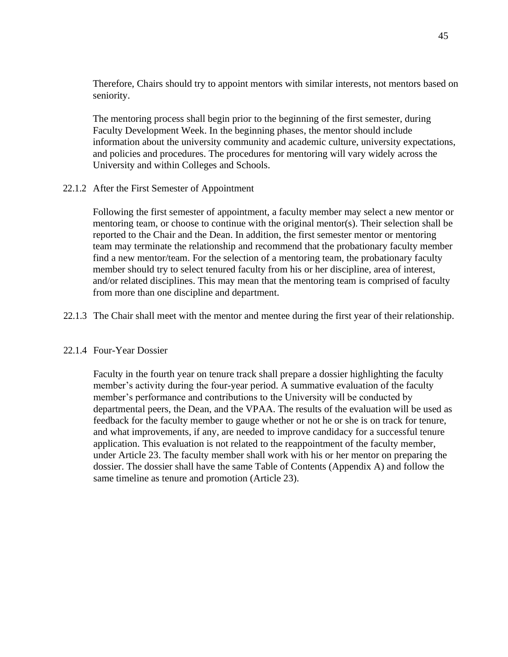Therefore, Chairs should try to appoint mentors with similar interests, not mentors based on seniority.

The mentoring process shall begin prior to the beginning of the first semester, during Faculty Development Week. In the beginning phases, the mentor should include information about the university community and academic culture, university expectations, and policies and procedures. The procedures for mentoring will vary widely across the University and within Colleges and Schools.

## 22.1.2 After the First Semester of Appointment

Following the first semester of appointment, a faculty member may select a new mentor or mentoring team, or choose to continue with the original mentor(s). Their selection shall be reported to the Chair and the Dean. In addition, the first semester mentor or mentoring team may terminate the relationship and recommend that the probationary faculty member find a new mentor/team. For the selection of a mentoring team, the probationary faculty member should try to select tenured faculty from his or her discipline, area of interest, and/or related disciplines. This may mean that the mentoring team is comprised of faculty from more than one discipline and department.

## 22.1.3 The Chair shall meet with the mentor and mentee during the first year of their relationship.

## 22.1.4 Four-Year Dossier

Faculty in the fourth year on tenure track shall prepare a dossier highlighting the faculty member's activity during the four-year period. A summative evaluation of the faculty member's performance and contributions to the University will be conducted by departmental peers, the Dean, and the VPAA. The results of the evaluation will be used as feedback for the faculty member to gauge whether or not he or she is on track for tenure, and what improvements, if any, are needed to improve candidacy for a successful tenure application. This evaluation is not related to the reappointment of the faculty member, under Article 23. The faculty member shall work with his or her mentor on preparing the dossier. The dossier shall have the same Table of Contents (Appendix A) and follow the same timeline as tenure and promotion (Article 23).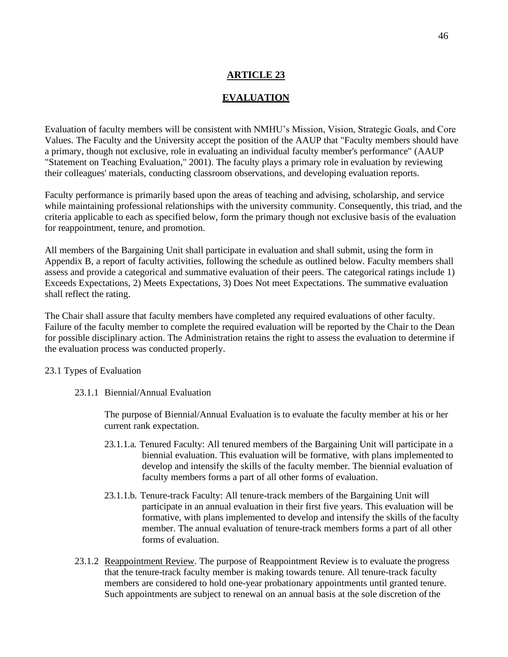# **EVALUATION**

Evaluation of faculty members will be consistent with NMHU's Mission, Vision, Strategic Goals, and Core Values. The Faculty and the University accept the position of the AAUP that "Faculty members should have a primary, though not exclusive, role in evaluating an individual faculty member's performance" (AAUP "Statement on Teaching Evaluation," 2001). The faculty plays a primary role in evaluation by reviewing their colleagues' materials, conducting classroom observations, and developing evaluation reports.

Faculty performance is primarily based upon the areas of teaching and advising, scholarship, and service while maintaining professional relationships with the university community. Consequently, this triad, and the criteria applicable to each as specified below, form the primary though not exclusive basis of the evaluation for reappointment, tenure, and promotion.

All members of the Bargaining Unit shall participate in evaluation and shall submit, using the form in Appendix B, a report of faculty activities, following the schedule as outlined below. Faculty members shall assess and provide a categorical and summative evaluation of their peers. The categorical ratings include 1) Exceeds Expectations, 2) Meets Expectations, 3) Does Not meet Expectations. The summative evaluation shall reflect the rating.

The Chair shall assure that faculty members have completed any required evaluations of other faculty. Failure of the faculty member to complete the required evaluation will be reported by the Chair to the Dean for possible disciplinary action. The Administration retains the right to assess the evaluation to determine if the evaluation process was conducted properly.

## 23.1 Types of Evaluation

23.1.1 Biennial/Annual Evaluation

The purpose of Biennial/Annual Evaluation is to evaluate the faculty member at his or her current rank expectation.

- 23.1.1.a. Tenured Faculty: All tenured members of the Bargaining Unit will participate in a biennial evaluation. This evaluation will be formative, with plans implemented to develop and intensify the skills of the faculty member. The biennial evaluation of faculty members forms a part of all other forms of evaluation.
- 23.1.1.b. Tenure-track Faculty: All tenure-track members of the Bargaining Unit will participate in an annual evaluation in their first five years. This evaluation will be formative, with plans implemented to develop and intensify the skills of the faculty member. The annual evaluation of tenure-track members forms a part of all other forms of evaluation.
- 23.1.2 Reappointment Review. The purpose of Reappointment Review is to evaluate the progress that the tenure-track faculty member is making towards tenure. All tenure-track faculty members are considered to hold one-year probationary appointments until granted tenure. Such appointments are subject to renewal on an annual basis at the sole discretion of the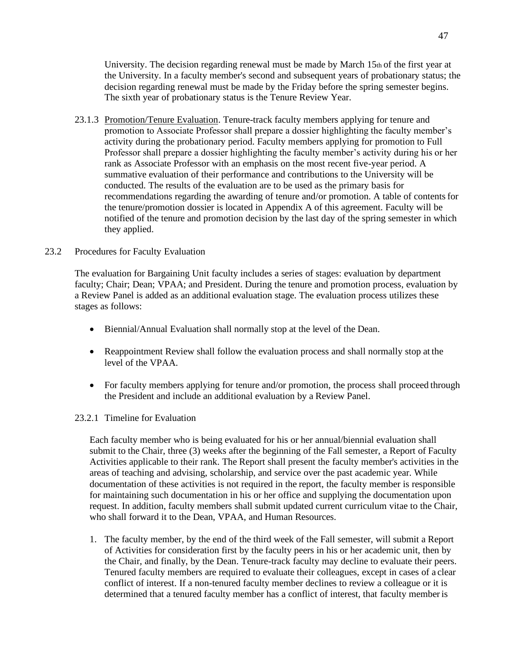University. The decision regarding renewal must be made by March 15th of the first year at the University. In a faculty member's second and subsequent years of probationary status; the decision regarding renewal must be made by the Friday before the spring semester begins. The sixth year of probationary status is the Tenure Review Year.

23.1.3 Promotion/Tenure Evaluation. Tenure-track faculty members applying for tenure and promotion to Associate Professor shall prepare a dossier highlighting the faculty member's activity during the probationary period. Faculty members applying for promotion to Full Professor shall prepare a dossier highlighting the faculty member's activity during his or her rank as Associate Professor with an emphasis on the most recent five-year period. A summative evaluation of their performance and contributions to the University will be conducted. The results of the evaluation are to be used as the primary basis for recommendations regarding the awarding of tenure and/or promotion. A table of contents for the tenure/promotion dossier is located in Appendix A of this agreement. Faculty will be notified of the tenure and promotion decision by the last day of the spring semester in which they applied.

## 23.2 Procedures for Faculty Evaluation

The evaluation for Bargaining Unit faculty includes a series of stages: evaluation by department faculty; Chair; Dean; VPAA; and President. During the tenure and promotion process, evaluation by a Review Panel is added as an additional evaluation stage. The evaluation process utilizes these stages as follows:

- Biennial/Annual Evaluation shall normally stop at the level of the Dean.
- Reappointment Review shall follow the evaluation process and shall normally stop at the level of the VPAA.
- For faculty members applying for tenure and/or promotion, the process shall proceed through the President and include an additional evaluation by a Review Panel.

## 23.2.1 Timeline for Evaluation

Each faculty member who is being evaluated for his or her annual/biennial evaluation shall submit to the Chair, three (3) weeks after the beginning of the Fall semester, a Report of Faculty Activities applicable to their rank. The Report shall present the faculty member's activities in the areas of teaching and advising, scholarship, and service over the past academic year. While documentation of these activities is not required in the report, the faculty member is responsible for maintaining such documentation in his or her office and supplying the documentation upon request. In addition, faculty members shall submit updated current curriculum vitae to the Chair, who shall forward it to the Dean, VPAA, and Human Resources.

1. The faculty member, by the end of the third week of the Fall semester, will submit a Report of Activities for consideration first by the faculty peers in his or her academic unit, then by the Chair, and finally, by the Dean. Tenure-track faculty may decline to evaluate their peers. Tenured faculty members are required to evaluate their colleagues, except in cases of a clear conflict of interest. If a non-tenured faculty member declines to review a colleague or it is determined that a tenured faculty member has a conflict of interest, that faculty memberis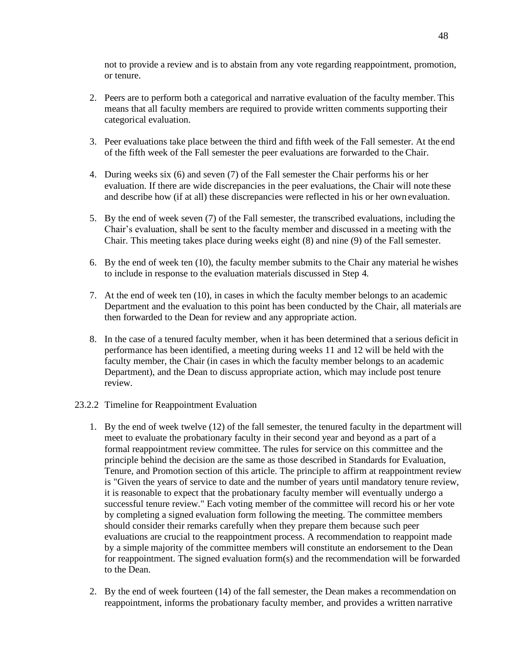not to provide a review and is to abstain from any vote regarding reappointment, promotion, or tenure.

- 2. Peers are to perform both a categorical and narrative evaluation of the faculty member. This means that all faculty members are required to provide written comments supporting their categorical evaluation.
- 3. Peer evaluations take place between the third and fifth week of the Fall semester. At the end of the fifth week of the Fall semester the peer evaluations are forwarded to the Chair.
- 4. During weeks six (6) and seven (7) of the Fall semester the Chair performs his or her evaluation. If there are wide discrepancies in the peer evaluations, the Chair will note these and describe how (if at all) these discrepancies were reflected in his or her own evaluation.
- 5. By the end of week seven (7) of the Fall semester, the transcribed evaluations, including the Chair's evaluation, shall be sent to the faculty member and discussed in a meeting with the Chair. This meeting takes place during weeks eight (8) and nine (9) of the Fall semester.
- 6. By the end of week ten (10), the faculty member submits to the Chair any material he wishes to include in response to the evaluation materials discussed in Step 4.
- 7. At the end of week ten (10), in cases in which the faculty member belongs to an academic Department and the evaluation to this point has been conducted by the Chair, all materials are then forwarded to the Dean for review and any appropriate action.
- 8. In the case of a tenured faculty member, when it has been determined that a serious deficit in performance has been identified, a meeting during weeks 11 and 12 will be held with the faculty member, the Chair (in cases in which the faculty member belongs to an academic Department), and the Dean to discuss appropriate action, which may include post tenure review.
- 23.2.2 Timeline for Reappointment Evaluation
	- 1. By the end of week twelve (12) of the fall semester, the tenured faculty in the department will meet to evaluate the probationary faculty in their second year and beyond as a part of a formal reappointment review committee. The rules for service on this committee and the principle behind the decision are the same as those described in Standards for Evaluation, Tenure, and Promotion section of this article. The principle to affirm at reappointment review is "Given the years of service to date and the number of years until mandatory tenure review, it is reasonable to expect that the probationary faculty member will eventually undergo a successful tenure review." Each voting member of the committee will record his or her vote by completing a signed evaluation form following the meeting. The committee members should consider their remarks carefully when they prepare them because such peer evaluations are crucial to the reappointment process. A recommendation to reappoint made by a simple majority of the committee members will constitute an endorsement to the Dean for reappointment. The signed evaluation form(s) and the recommendation will be forwarded to the Dean.
	- 2. By the end of week fourteen (14) of the fall semester, the Dean makes a recommendation on reappointment, informs the probationary faculty member, and provides a written narrative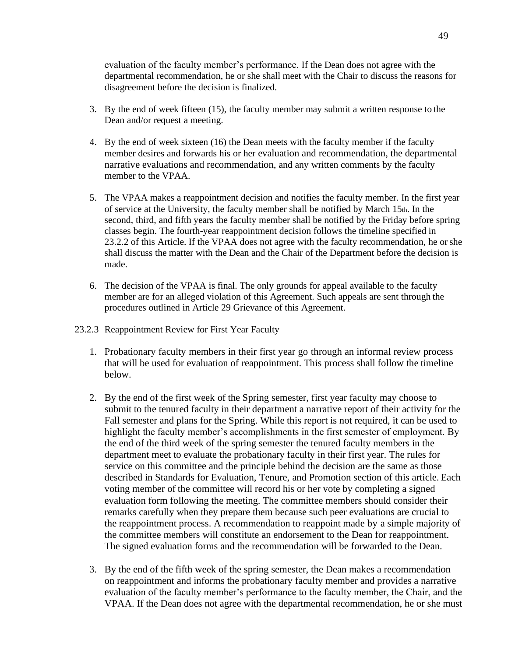evaluation of the faculty member's performance. If the Dean does not agree with the departmental recommendation, he or she shall meet with the Chair to discuss the reasons for disagreement before the decision is finalized.

- 3. By the end of week fifteen (15), the faculty member may submit a written response to the Dean and/or request a meeting.
- 4. By the end of week sixteen (16) the Dean meets with the faculty member if the faculty member desires and forwards his or her evaluation and recommendation, the departmental narrative evaluations and recommendation, and any written comments by the faculty member to the VPAA.
- 5. The VPAA makes a reappointment decision and notifies the faculty member. In the first year of service at the University, the faculty member shall be notified by March 15th. In the second, third, and fifth years the faculty member shall be notified by the Friday before spring classes begin. The fourth-year reappointment decision follows the timeline specified in 23.2.2 of this Article. If the VPAA does not agree with the faculty recommendation, he orshe shall discuss the matter with the Dean and the Chair of the Department before the decision is made.
- 6. The decision of the VPAA is final. The only grounds for appeal available to the faculty member are for an alleged violation of this Agreement. Such appeals are sent through the procedures outlined in Article 29 Grievance of this Agreement.
- 23.2.3 Reappointment Review for First Year Faculty
	- 1. Probationary faculty members in their first year go through an informal review process that will be used for evaluation of reappointment. This process shall follow the timeline below.
	- 2. By the end of the first week of the Spring semester, first year faculty may choose to submit to the tenured faculty in their department a narrative report of their activity for the Fall semester and plans for the Spring. While this report is not required, it can be used to highlight the faculty member's accomplishments in the first semester of employment. By the end of the third week of the spring semester the tenured faculty members in the department meet to evaluate the probationary faculty in their first year. The rules for service on this committee and the principle behind the decision are the same as those described in Standards for Evaluation, Tenure, and Promotion section of this article. Each voting member of the committee will record his or her vote by completing a signed evaluation form following the meeting. The committee members should consider their remarks carefully when they prepare them because such peer evaluations are crucial to the reappointment process. A recommendation to reappoint made by a simple majority of the committee members will constitute an endorsement to the Dean for reappointment. The signed evaluation forms and the recommendation will be forwarded to the Dean.
	- 3. By the end of the fifth week of the spring semester, the Dean makes a recommendation on reappointment and informs the probationary faculty member and provides a narrative evaluation of the faculty member's performance to the faculty member, the Chair, and the VPAA. If the Dean does not agree with the departmental recommendation, he or she must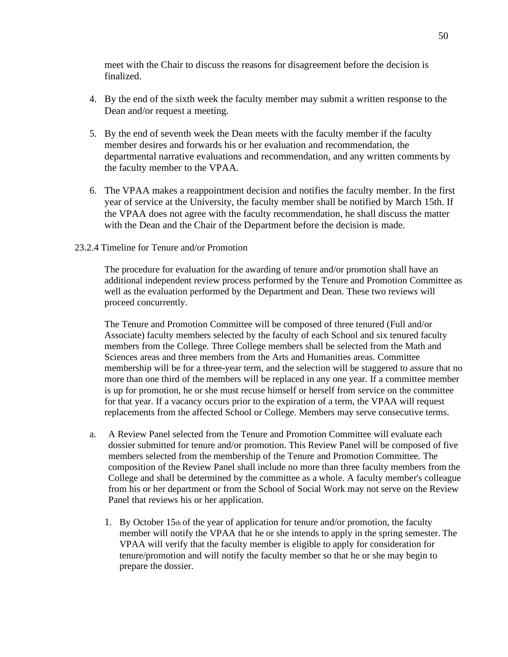meet with the Chair to discuss the reasons for disagreement before the decision is finalized.

- 4. By the end of the sixth week the faculty member may submit a written response to the Dean and/or request a meeting.
- 5. By the end of seventh week the Dean meets with the faculty member if the faculty member desires and forwards his or her evaluation and recommendation, the departmental narrative evaluations and recommendation, and any written comments by the faculty member to the VPAA.
- 6. The VPAA makes a reappointment decision and notifies the faculty member. In the first year of service at the University, the faculty member shall be notified by March 15th. If the VPAA does not agree with the faculty recommendation, he shall discuss the matter with the Dean and the Chair of the Department before the decision is made.

## 23.2.4 Timeline for Tenure and/or Promotion

The procedure for evaluation for the awarding of tenure and/or promotion shall have an additional independent review process performed by the Tenure and Promotion Committee as well as the evaluation performed by the Department and Dean. These two reviews will proceed concurrently.

The Tenure and Promotion Committee will be composed of three tenured (Full and/or Associate) faculty members selected by the faculty of each School and six tenured faculty members from the College. Three College members shall be selected from the Math and Sciences areas and three members from the Arts and Humanities areas. Committee membership will be for a three-year term, and the selection will be staggered to assure that no more than one third of the members will be replaced in any one year. If a committee member is up for promotion, he or she must recuse himself or herself from service on the committee for that year. If a vacancy occurs prior to the expiration of a term, the VPAA will request replacements from the affected School or College. Members may serve consecutive terms.

- a. A Review Panel selected from the Tenure and Promotion Committee will evaluate each dossier submitted for tenure and/or promotion. This Review Panel will be composed of five members selected from the membership of the Tenure and Promotion Committee. The composition of the Review Panel shall include no more than three faculty members from the College and shall be determined by the committee as a whole. A faculty member's colleague from his or her department or from the School of Social Work may not serve on the Review Panel that reviews his or her application.
	- 1. By October 15th of the year of application for tenure and/or promotion, the faculty member will notify the VPAA that he or she intends to apply in the spring semester. The VPAA will verify that the faculty member is eligible to apply for consideration for tenure/promotion and will notify the faculty member so that he or she may begin to prepare the dossier.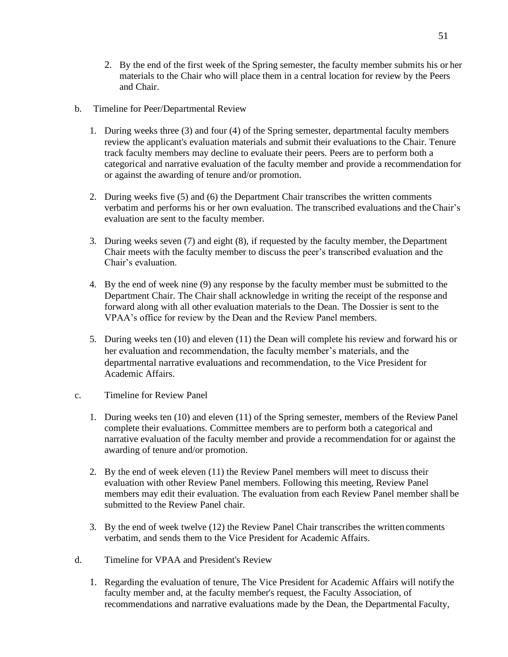- 2. By the end of the first week of the Spring semester, the faculty member submits his or her materials to the Chair who will place them in a central location for review by the Peers and Chair.
- b. Timeline for Peer/Departmental Review
	- 1. During weeks three (3) and four (4) of the Spring semester, departmental faculty members review the applicant's evaluation materials and submit their evaluations to the Chair. Tenure track faculty members may decline to evaluate their peers. Peers are to perform both a categorical and narrative evaluation of the faculty member and provide a recommendation for or against the awarding of tenure and/or promotion.
	- 2. During weeks five (5) and (6) the Department Chair transcribes the written comments verbatim and performs his or her own evaluation. The transcribed evaluations and theChair's evaluation are sent to the faculty member.
	- 3. During weeks seven (7) and eight (8), if requested by the faculty member, the Department Chair meets with the faculty member to discuss the peer's transcribed evaluation and the Chair's evaluation.
	- 4. By the end of week nine (9) any response by the faculty member must be submitted to the Department Chair. The Chair shall acknowledge in writing the receipt of the response and forward along with all other evaluation materials to the Dean. The Dossier is sent to the VPAA's office for review by the Dean and the Review Panel members.
	- 5. During weeks ten (10) and eleven (11) the Dean will complete his review and forward his or her evaluation and recommendation, the faculty member's materials, and the departmental narrative evaluations and recommendation, to the Vice President for Academic Affairs.
- c. Timeline for Review Panel
	- 1. During weeks ten (10) and eleven (11) of the Spring semester, members of the Review Panel complete their evaluations. Committee members are to perform both a categorical and narrative evaluation of the faculty member and provide a recommendation for or against the awarding of tenure and/or promotion.
	- 2. By the end of week eleven (11) the Review Panel members will meet to discuss their evaluation with other Review Panel members. Following this meeting, Review Panel members may edit their evaluation. The evaluation from each Review Panel member shall be submitted to the Review Panel chair.
	- 3. By the end of week twelve (12) the Review Panel Chair transcribes the written comments verbatim, and sends them to the Vice President for Academic Affairs.
- d. Timeline for VPAA and President's Review
	- 1. Regarding the evaluation of tenure, The Vice President for Academic Affairs will notify the faculty member and, at the faculty member's request, the Faculty Association, of recommendations and narrative evaluations made by the Dean, the Departmental Faculty,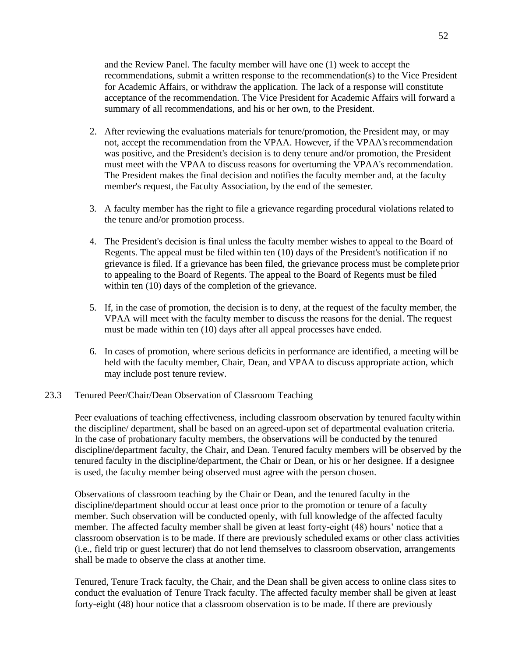and the Review Panel. The faculty member will have one (1) week to accept the recommendations, submit a written response to the recommendation(s) to the Vice President for Academic Affairs, or withdraw the application. The lack of a response will constitute acceptance of the recommendation. The Vice President for Academic Affairs will forward a summary of all recommendations, and his or her own, to the President.

- 2. After reviewing the evaluations materials for tenure/promotion, the President may, or may not, accept the recommendation from the VPAA. However, if the VPAA'srecommendation was positive, and the President's decision is to deny tenure and/or promotion, the President must meet with the VPAA to discuss reasons for overturning the VPAA's recommendation. The President makes the final decision and notifies the faculty member and, at the faculty member's request, the Faculty Association, by the end of the semester.
- 3. A faculty member has the right to file a grievance regarding procedural violations related to the tenure and/or promotion process.
- 4. The President's decision is final unless the faculty member wishes to appeal to the Board of Regents. The appeal must be filed within ten (10) days of the President's notification if no grievance is filed. If a grievance has been filed, the grievance process must be complete prior to appealing to the Board of Regents. The appeal to the Board of Regents must be filed within ten (10) days of the completion of the grievance.
- 5. If, in the case of promotion, the decision is to deny, at the request of the faculty member, the VPAA will meet with the faculty member to discuss the reasons for the denial. The request must be made within ten (10) days after all appeal processes have ended.
- 6. In cases of promotion, where serious deficits in performance are identified, a meeting will be held with the faculty member, Chair, Dean, and VPAA to discuss appropriate action, which may include post tenure review.

#### 23.3 Tenured Peer/Chair/Dean Observation of Classroom Teaching

Peer evaluations of teaching effectiveness, including classroom observation by tenured faculty within the discipline/ department, shall be based on an agreed-upon set of departmental evaluation criteria. In the case of probationary faculty members, the observations will be conducted by the tenured discipline/department faculty, the Chair, and Dean. Tenured faculty members will be observed by the tenured faculty in the discipline/department, the Chair or Dean, or his or her designee. If a designee is used, the faculty member being observed must agree with the person chosen.

Observations of classroom teaching by the Chair or Dean, and the tenured faculty in the discipline/department should occur at least once prior to the promotion or tenure of a faculty member. Such observation will be conducted openly, with full knowledge of the affected faculty member. The affected faculty member shall be given at least forty-eight (48) hours' notice that a classroom observation is to be made. If there are previously scheduled exams or other class activities (i.e., field trip or guest lecturer) that do not lend themselves to classroom observation, arrangements shall be made to observe the class at another time.

Tenured, Tenure Track faculty, the Chair, and the Dean shall be given access to online class sites to conduct the evaluation of Tenure Track faculty. The affected faculty member shall be given at least forty-eight (48) hour notice that a classroom observation is to be made. If there are previously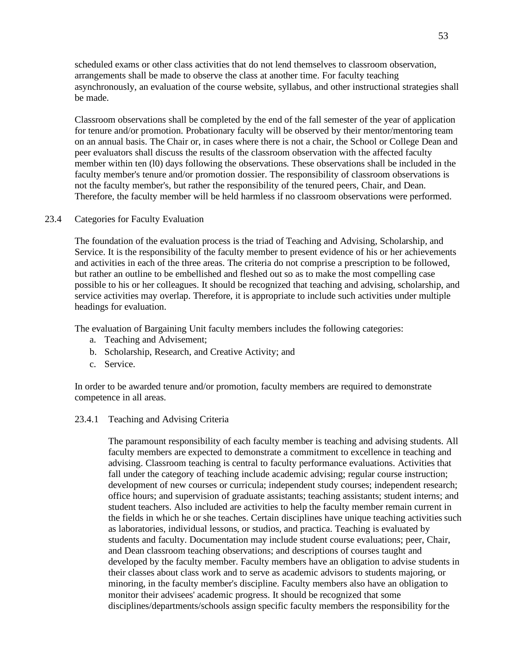scheduled exams or other class activities that do not lend themselves to classroom observation, arrangements shall be made to observe the class at another time. For faculty teaching asynchronously, an evaluation of the course website, syllabus, and other instructional strategies shall be made.

Classroom observations shall be completed by the end of the fall semester of the year of application for tenure and/or promotion. Probationary faculty will be observed by their mentor/mentoring team on an annual basis. The Chair or, in cases where there is not a chair, the School or College Dean and peer evaluators shall discuss the results of the classroom observation with the affected faculty member within ten (l0) days following the observations. These observations shall be included in the faculty member's tenure and/or promotion dossier. The responsibility of classroom observations is not the faculty member's, but rather the responsibility of the tenured peers, Chair, and Dean. Therefore, the faculty member will be held harmless if no classroom observations were performed.

#### 23.4 Categories for Faculty Evaluation

The foundation of the evaluation process is the triad of Teaching and Advising, Scholarship, and Service. It is the responsibility of the faculty member to present evidence of his or her achievements and activities in each of the three areas. The criteria do not comprise a prescription to be followed, but rather an outline to be embellished and fleshed out so as to make the most compelling case possible to his or her colleagues. It should be recognized that teaching and advising, scholarship, and service activities may overlap. Therefore, it is appropriate to include such activities under multiple headings for evaluation.

The evaluation of Bargaining Unit faculty members includes the following categories:

- a. Teaching and Advisement;
- b. Scholarship, Research, and Creative Activity; and
- c. Service.

In order to be awarded tenure and/or promotion, faculty members are required to demonstrate competence in all areas.

### 23.4.1 Teaching and Advising Criteria

The paramount responsibility of each faculty member is teaching and advising students. All faculty members are expected to demonstrate a commitment to excellence in teaching and advising. Classroom teaching is central to faculty performance evaluations. Activities that fall under the category of teaching include academic advising; regular course instruction; development of new courses or curricula; independent study courses; independent research; office hours; and supervision of graduate assistants; teaching assistants; student interns; and student teachers. Also included are activities to help the faculty member remain current in the fields in which he or she teaches. Certain disciplines have unique teaching activities such as laboratories, individual lessons, or studios, and practica. Teaching is evaluated by students and faculty. Documentation may include student course evaluations; peer, Chair, and Dean classroom teaching observations; and descriptions of courses taught and developed by the faculty member. Faculty members have an obligation to advise students in their classes about class work and to serve as academic advisors to students majoring, or minoring, in the faculty member's discipline. Faculty members also have an obligation to monitor their advisees' academic progress. It should be recognized that some disciplines/departments/schools assign specific faculty members the responsibility for the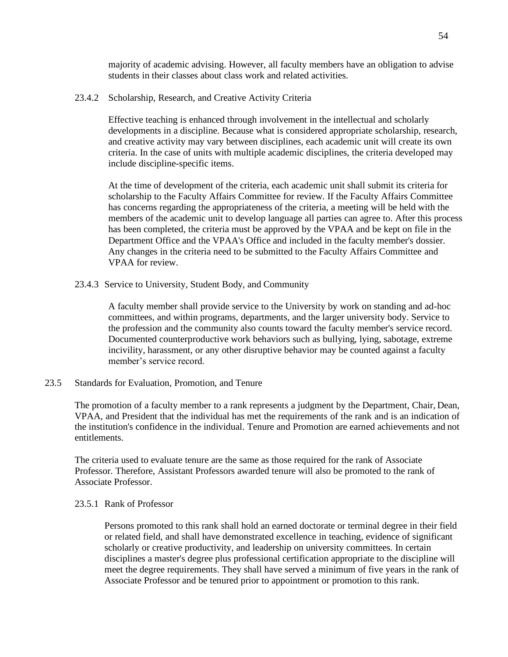majority of academic advising. However, all faculty members have an obligation to advise students in their classes about class work and related activities.

### 23.4.2 Scholarship, Research, and Creative Activity Criteria

Effective teaching is enhanced through involvement in the intellectual and scholarly developments in a discipline. Because what is considered appropriate scholarship, research, and creative activity may vary between disciplines, each academic unit will create its own criteria. In the case of units with multiple academic disciplines, the criteria developed may include discipline-specific items.

At the time of development of the criteria, each academic unit shall submit its criteria for scholarship to the Faculty Affairs Committee for review. If the Faculty Affairs Committee has concerns regarding the appropriateness of the criteria, a meeting will be held with the members of the academic unit to develop language all parties can agree to. After this process has been completed, the criteria must be approved by the VPAA and be kept on file in the Department Office and the VPAA's Office and included in the faculty member's dossier. Any changes in the criteria need to be submitted to the Faculty Affairs Committee and VPAA for review.

23.4.3 Service to University, Student Body, and Community

A faculty member shall provide service to the University by work on standing and ad-hoc committees, and within programs, departments, and the larger university body. Service to the profession and the community also counts toward the faculty member's service record. Documented counterproductive work behaviors such as bullying, lying, sabotage, extreme incivility, harassment, or any other disruptive behavior may be counted against a faculty member's service record.

23.5 Standards for Evaluation, Promotion, and Tenure

The promotion of a faculty member to a rank represents a judgment by the Department, Chair, Dean, VPAA, and President that the individual has met the requirements of the rank and is an indication of the institution's confidence in the individual. Tenure and Promotion are earned achievements and not entitlements.

The criteria used to evaluate tenure are the same as those required for the rank of Associate Professor. Therefore, Assistant Professors awarded tenure will also be promoted to the rank of Associate Professor.

## 23.5.1 Rank of Professor

Persons promoted to this rank shall hold an earned doctorate or terminal degree in their field or related field, and shall have demonstrated excellence in teaching, evidence of significant scholarly or creative productivity, and leadership on university committees. In certain disciplines a master's degree plus professional certification appropriate to the discipline will meet the degree requirements. They shall have served a minimum of five years in the rank of Associate Professor and be tenured prior to appointment or promotion to this rank.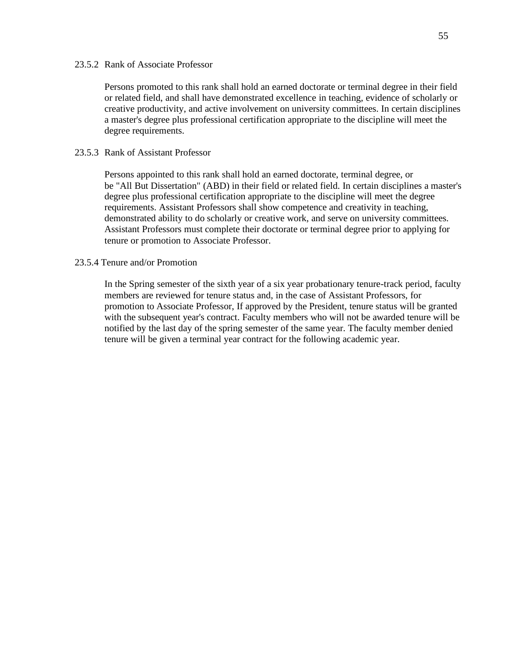#### 23.5.2 Rank of Associate Professor

Persons promoted to this rank shall hold an earned doctorate or terminal degree in their field or related field, and shall have demonstrated excellence in teaching, evidence of scholarly or creative productivity, and active involvement on university committees. In certain disciplines a master's degree plus professional certification appropriate to the discipline will meet the degree requirements.

#### 23.5.3 Rank of Assistant Professor

Persons appointed to this rank shall hold an earned doctorate, terminal degree, or be "All But Dissertation" (ABD) in their field or related field. In certain disciplines a master's degree plus professional certification appropriate to the discipline will meet the degree requirements. Assistant Professors shall show competence and creativity in teaching, demonstrated ability to do scholarly or creative work, and serve on university committees. Assistant Professors must complete their doctorate or terminal degree prior to applying for tenure or promotion to Associate Professor.

#### 23.5.4 Tenure and/or Promotion

In the Spring semester of the sixth year of a six year probationary tenure-track period, faculty members are reviewed for tenure status and, in the case of Assistant Professors, for promotion to Associate Professor, If approved by the President, tenure status will be granted with the subsequent year's contract. Faculty members who will not be awarded tenure will be notified by the last day of the spring semester of the same year. The faculty member denied tenure will be given a terminal year contract for the following academic year.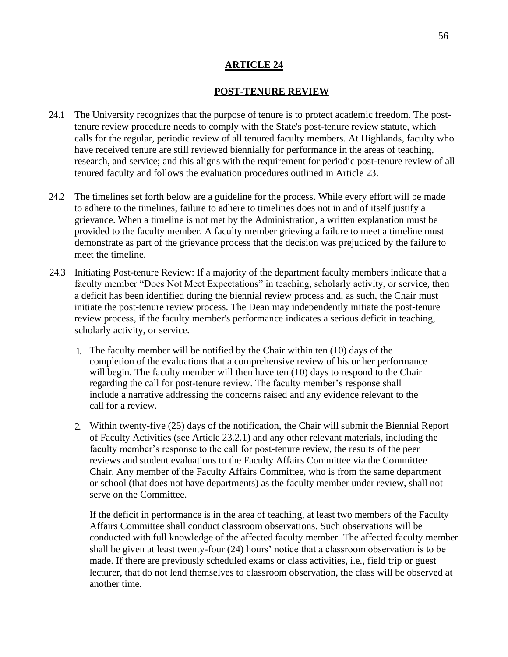## **POST-TENURE REVIEW**

- 24.1 The University recognizes that the purpose of tenure is to protect academic freedom. The posttenure review procedure needs to comply with the State's post-tenure review statute, which calls for the regular, periodic review of all tenured faculty members. At Highlands, faculty who have received tenure are still reviewed biennially for performance in the areas of teaching, research, and service; and this aligns with the requirement for periodic post-tenure review of all tenured faculty and follows the evaluation procedures outlined in Article 23.
- 24.2 The timelines set forth below are a guideline for the process. While every effort will be made to adhere to the timelines, failure to adhere to timelines does not in and of itself justify a grievance. When a timeline is not met by the Administration, a written explanation must be provided to the faculty member. A faculty member grieving a failure to meet a timeline must demonstrate as part of the grievance process that the decision was prejudiced by the failure to meet the timeline.
- 24.3 Initiating Post-tenure Review: If a majority of the department faculty members indicate that a faculty member "Does Not Meet Expectations" in teaching, scholarly activity, or service, then a deficit has been identified during the biennial review process and, as such, the Chair must initiate the post-tenure review process. The Dean may independently initiate the post-tenure review process, if the faculty member's performance indicates a serious deficit in teaching, scholarly activity, or service.
	- 1. The faculty member will be notified by the Chair within ten (10) days of the completion of the evaluations that a comprehensive review of his or her performance will begin. The faculty member will then have ten (10) days to respond to the Chair regarding the call for post-tenure review. The faculty member's response shall include a narrative addressing the concerns raised and any evidence relevant to the call for a review.
	- 2. Within twenty-five (25) days of the notification, the Chair will submit the Biennial Report of Faculty Activities (see Article 23.2.1) and any other relevant materials, including the faculty member's response to the call for post-tenure review, the results of the peer reviews and student evaluations to the Faculty Affairs Committee via the Committee Chair. Any member of the Faculty Affairs Committee, who is from the same department or school (that does not have departments) as the faculty member under review, shall not serve on the Committee.

If the deficit in performance is in the area of teaching, at least two members of the Faculty Affairs Committee shall conduct classroom observations. Such observations will be conducted with full knowledge of the affected faculty member. The affected faculty member shall be given at least twenty-four (24) hours' notice that a classroom observation is to be made. If there are previously scheduled exams or class activities, i.e., field trip or guest lecturer, that do not lend themselves to classroom observation, the class will be observed at another time.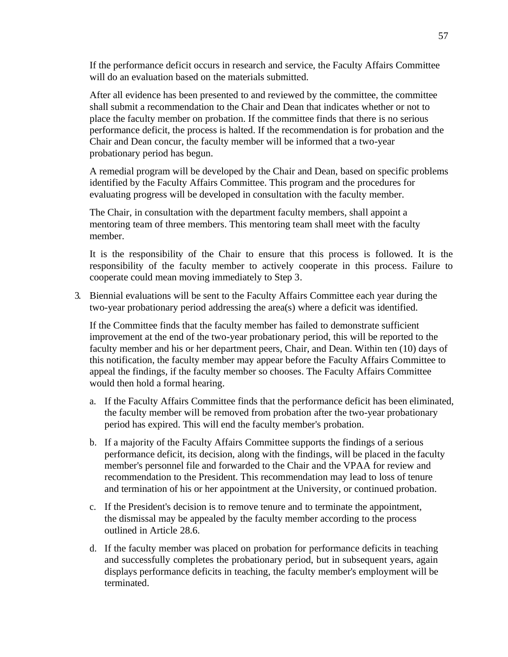If the performance deficit occurs in research and service, the Faculty Affairs Committee will do an evaluation based on the materials submitted.

After all evidence has been presented to and reviewed by the committee, the committee shall submit a recommendation to the Chair and Dean that indicates whether or not to place the faculty member on probation. If the committee finds that there is no serious performance deficit, the process is halted. If the recommendation is for probation and the Chair and Dean concur, the faculty member will be informed that a two-year probationary period has begun.

A remedial program will be developed by the Chair and Dean, based on specific problems identified by the Faculty Affairs Committee. This program and the procedures for evaluating progress will be developed in consultation with the faculty member.

The Chair, in consultation with the department faculty members, shall appoint a mentoring team of three members. This mentoring team shall meet with the faculty member.

It is the responsibility of the Chair to ensure that this process is followed. It is the responsibility of the faculty member to actively cooperate in this process. Failure to cooperate could mean moving immediately to Step 3.

3. Biennial evaluations will be sent to the Faculty Affairs Committee each year during the two-year probationary period addressing the area(s) where a deficit was identified.

If the Committee finds that the faculty member has failed to demonstrate sufficient improvement at the end of the two-year probationary period, this will be reported to the faculty member and his or her department peers, Chair, and Dean. Within ten (10) days of this notification, the faculty member may appear before the Faculty Affairs Committee to appeal the findings, if the faculty member so chooses. The Faculty Affairs Committee would then hold a formal hearing.

- a. If the Faculty Affairs Committee finds that the performance deficit has been eliminated, the faculty member will be removed from probation after the two-year probationary period has expired. This will end the faculty member's probation.
- b. If a majority of the Faculty Affairs Committee supports the findings of a serious performance deficit, its decision, along with the findings, will be placed in the faculty member's personnel file and forwarded to the Chair and the VPAA for review and recommendation to the President. This recommendation may lead to loss of tenure and termination of his or her appointment at the University, or continued probation.
- c. If the President's decision is to remove tenure and to terminate the appointment, the dismissal may be appealed by the faculty member according to the process outlined in Article 28.6.
- d. If the faculty member was placed on probation for performance deficits in teaching and successfully completes the probationary period, but in subsequent years, again displays performance deficits in teaching, the faculty member's employment will be terminated.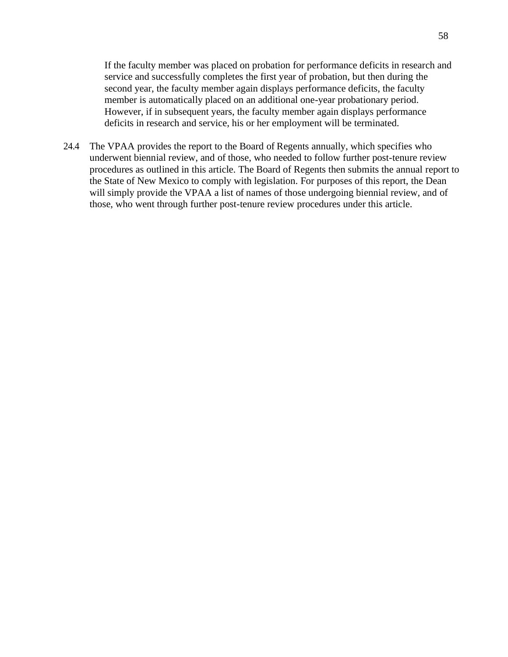If the faculty member was placed on probation for performance deficits in research and service and successfully completes the first year of probation, but then during the second year, the faculty member again displays performance deficits, the faculty member is automatically placed on an additional one-year probationary period. However, if in subsequent years, the faculty member again displays performance deficits in research and service, his or her employment will be terminated.

24.4 The VPAA provides the report to the Board of Regents annually, which specifies who underwent biennial review, and of those, who needed to follow further post-tenure review procedures as outlined in this article. The Board of Regents then submits the annual report to the State of New Mexico to comply with legislation. For purposes of this report, the Dean will simply provide the VPAA a list of names of those undergoing biennial review, and of those, who went through further post-tenure review procedures under this article.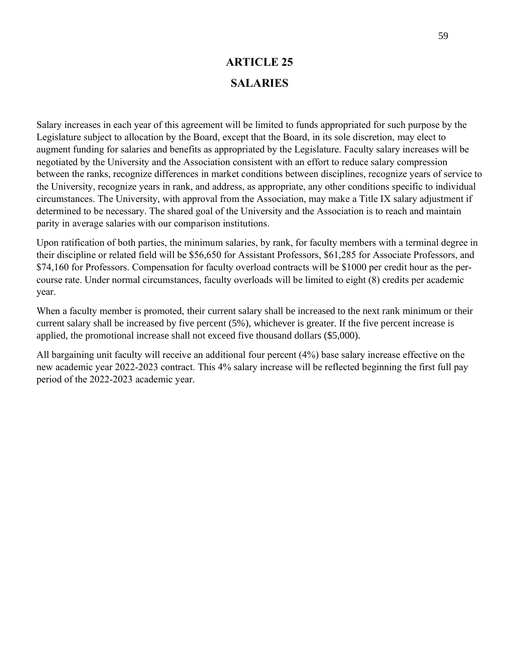# **ARTICLE 25 SALARIES**

Salary increases in each year of this agreement will be limited to funds appropriated for such purpose by the Legislature subject to allocation by the Board, except that the Board, in its sole discretion, may elect to augment funding for salaries and benefits as appropriated by the Legislature. Faculty salary increases will be negotiated by the University and the Association consistent with an effort to reduce salary compression between the ranks, recognize differences in market conditions between disciplines, recognize years of service to the University, recognize years in rank, and address, as appropriate, any other conditions specific to individual circumstances. The University, with approval from the Association, may make a Title IX salary adjustment if determined to be necessary. The shared goal of the University and the Association is to reach and maintain parity in average salaries with our comparison institutions.

Upon ratification of both parties, the minimum salaries, by rank, for faculty members with a terminal degree in their discipline or related field will be \$56,650 for Assistant Professors, \$61,285 for Associate Professors, and \$74,160 for Professors. Compensation for faculty overload contracts will be \$1000 per credit hour as the percourse rate. Under normal circumstances, faculty overloads will be limited to eight (8) credits per academic year.

When a faculty member is promoted, their current salary shall be increased to the next rank minimum or their current salary shall be increased by five percent (5%), whichever is greater. If the five percent increase is applied, the promotional increase shall not exceed five thousand dollars (\$5,000).

All bargaining unit faculty will receive an additional four percent (4%) base salary increase effective on the new academic year 2022-2023 contract. This 4% salary increase will be reflected beginning the first full pay period of the 2022-2023 academic year.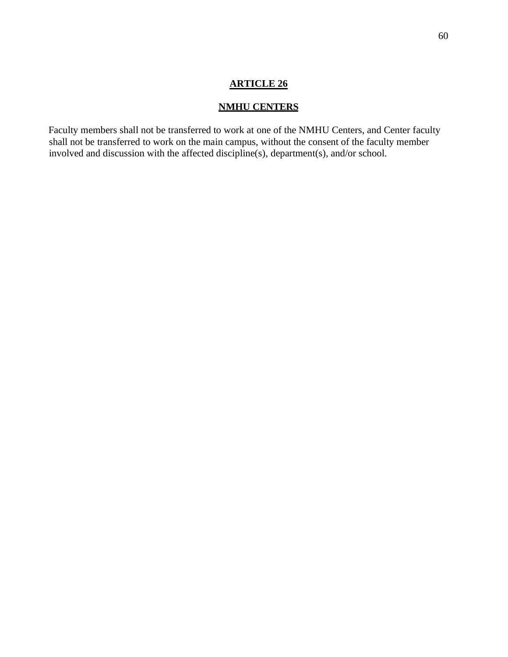# **NMHU CENTERS**

Faculty members shall not be transferred to work at one of the NMHU Centers, and Center faculty shall not be transferred to work on the main campus, without the consent of the faculty member involved and discussion with the affected discipline(s), department(s), and/or school.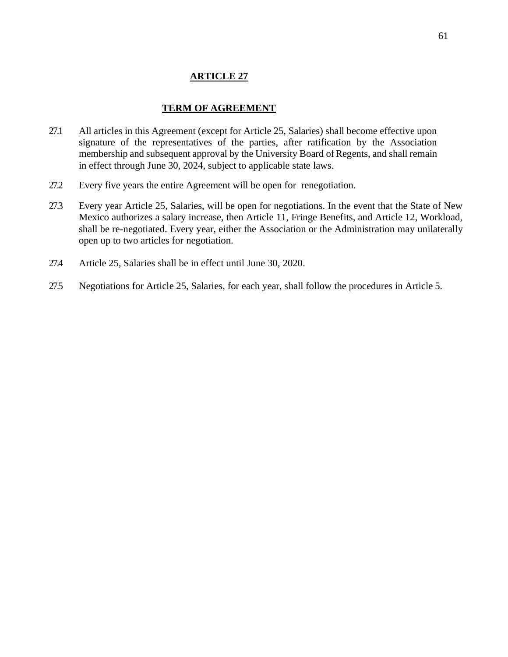## **TERM OF AGREEMENT**

- 27.1 All articles in this Agreement (except for Article 25, Salaries) shall become effective upon signature of the representatives of the parties, after ratification by the Association membership and subsequent approval by the University Board of Regents, and shall remain in effect through June 30, 2024, subject to applicable state laws.
- 27.2 Every five years the entire Agreement will be open for renegotiation.
- 27.3 Every year Article 25, Salaries, will be open for negotiations. In the event that the State of New Mexico authorizes a salary increase, then Article 11, Fringe Benefits, and Article 12, Workload, shall be re-negotiated. Every year, either the Association or the Administration may unilaterally open up to two articles for negotiation.
- 27.4 Article 25, Salaries shall be in effect until June 30, 2020.
- 27.5 Negotiations for Article 25, Salaries, for each year, shall follow the procedures in Article 5.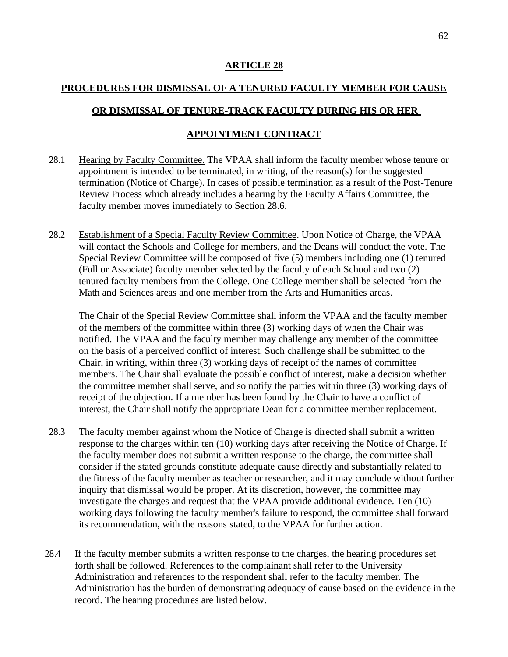# **PROCEDURES FOR DISMISSAL OF A TENURED FACULTY MEMBER FOR CAUSE OR DISMISSAL OF TENURE-TRACK FACULTY DURING HIS OR HER APPOINTMENT CONTRACT**

- 28.1 Hearing by Faculty Committee. The VPAA shall inform the faculty member whose tenure or appointment is intended to be terminated, in writing, of the reason(s) for the suggested termination (Notice of Charge). In cases of possible termination as a result of the Post-Tenure Review Process which already includes a hearing by the Faculty Affairs Committee, the faculty member moves immediately to Section 28.6.
- 28.2 Establishment of a Special Faculty Review Committee. Upon Notice of Charge, the VPAA will contact the Schools and College for members, and the Deans will conduct the vote. The Special Review Committee will be composed of five (5) members including one (1) tenured (Full or Associate) faculty member selected by the faculty of each School and two (2) tenured faculty members from the College. One College member shall be selected from the Math and Sciences areas and one member from the Arts and Humanities areas.

The Chair of the Special Review Committee shall inform the VPAA and the faculty member of the members of the committee within three (3) working days of when the Chair was notified. The VPAA and the faculty member may challenge any member of the committee on the basis of a perceived conflict of interest. Such challenge shall be submitted to the Chair, in writing, within three (3) working days of receipt of the names of committee members. The Chair shall evaluate the possible conflict of interest, make a decision whether the committee member shall serve, and so notify the parties within three (3) working days of receipt of the objection. If a member has been found by the Chair to have a conflict of interest, the Chair shall notify the appropriate Dean for a committee member replacement.

- 28.3 The faculty member against whom the Notice of Charge is directed shall submit a written response to the charges within ten (10) working days after receiving the Notice of Charge. If the faculty member does not submit a written response to the charge, the committee shall consider if the stated grounds constitute adequate cause directly and substantially related to the fitness of the faculty member as teacher or researcher, and it may conclude without further inquiry that dismissal would be proper. At its discretion, however, the committee may investigate the charges and request that the VPAA provide additional evidence. Ten (10) working days following the faculty member's failure to respond, the committee shall forward its recommendation, with the reasons stated, to the VPAA for further action.
- 28.4 If the faculty member submits a written response to the charges, the hearing procedures set forth shall be followed. References to the complainant shall refer to the University Administration and references to the respondent shall refer to the faculty member. The Administration has the burden of demonstrating adequacy of cause based on the evidence in the record. The hearing procedures are listed below.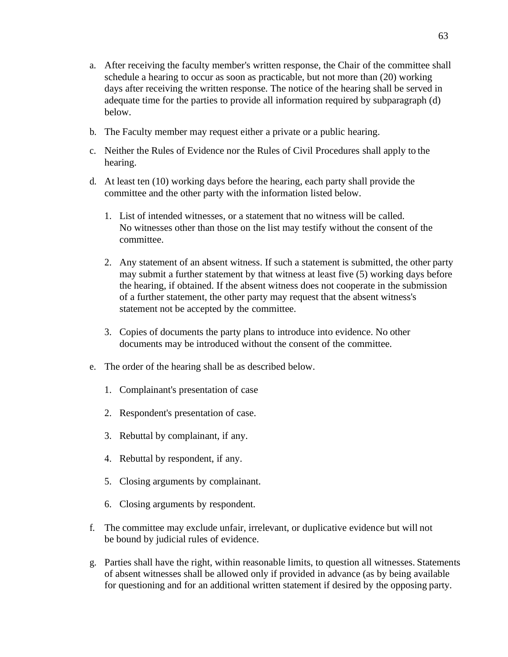- a. After receiving the faculty member's written response, the Chair of the committee shall schedule a hearing to occur as soon as practicable, but not more than (20) working days after receiving the written response. The notice of the hearing shall be served in adequate time for the parties to provide all information required by subparagraph (d) below.
- b. The Faculty member may request either a private or a public hearing.
- c. Neither the Rules of Evidence nor the Rules of Civil Procedures shall apply to the hearing.
- d. At least ten (10) working days before the hearing, each party shall provide the committee and the other party with the information listed below.
	- 1. List of intended witnesses, or a statement that no witness will be called. No witnesses other than those on the list may testify without the consent of the committee.
	- 2. Any statement of an absent witness. If such a statement is submitted, the other party may submit a further statement by that witness at least five (5) working days before the hearing, if obtained. If the absent witness does not cooperate in the submission of a further statement, the other party may request that the absent witness's statement not be accepted by the committee.
	- 3. Copies of documents the party plans to introduce into evidence. No other documents may be introduced without the consent of the committee.
- e. The order of the hearing shall be as described below.
	- 1. Complainant's presentation of case
	- 2. Respondent's presentation of case.
	- 3. Rebuttal by complainant, if any.
	- 4. Rebuttal by respondent, if any.
	- 5. Closing arguments by complainant.
	- 6. Closing arguments by respondent.
- f. The committee may exclude unfair, irrelevant, or duplicative evidence but will not be bound by judicial rules of evidence.
- g. Parties shall have the right, within reasonable limits, to question all witnesses. Statements of absent witnesses shall be allowed only if provided in advance (as by being available for questioning and for an additional written statement if desired by the opposing party.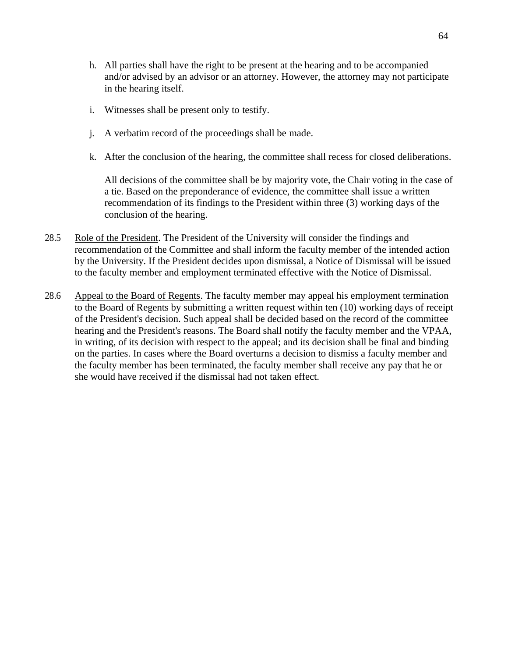- h. All parties shall have the right to be present at the hearing and to be accompanied and/or advised by an advisor or an attorney. However, the attorney may not participate in the hearing itself.
- i. Witnesses shall be present only to testify.
- j. A verbatim record of the proceedings shall be made.
- k. After the conclusion of the hearing, the committee shall recess for closed deliberations.

All decisions of the committee shall be by majority vote, the Chair voting in the case of a tie. Based on the preponderance of evidence, the committee shall issue a written recommendation of its findings to the President within three (3) working days of the conclusion of the hearing.

- 28.5 Role of the President. The President of the University will consider the findings and recommendation of the Committee and shall inform the faculty member of the intended action by the University. If the President decides upon dismissal, a Notice of Dismissal will be issued to the faculty member and employment terminated effective with the Notice of Dismissal.
- 28.6 Appeal to the Board of Regents. The faculty member may appeal his employment termination to the Board of Regents by submitting a written request within ten (10) working days of receipt of the President's decision. Such appeal shall be decided based on the record of the committee hearing and the President's reasons. The Board shall notify the faculty member and the VPAA, in writing, of its decision with respect to the appeal; and its decision shall be final and binding on the parties. In cases where the Board overturns a decision to dismiss a faculty member and the faculty member has been terminated, the faculty member shall receive any pay that he or she would have received if the dismissal had not taken effect.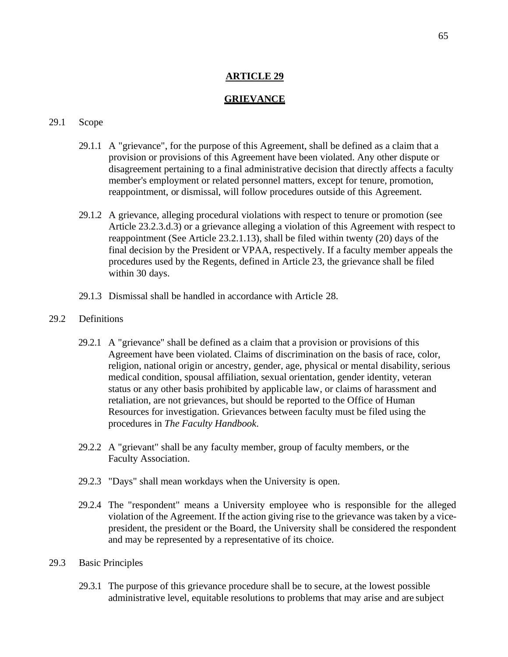## **GRIEVANCE**

## 29.1 Scope

- 29.1.1 A "grievance", for the purpose of this Agreement, shall be defined as a claim that a provision or provisions of this Agreement have been violated. Any other dispute or disagreement pertaining to a final administrative decision that directly affects a faculty member's employment or related personnel matters, except for tenure, promotion, reappointment, or dismissal, will follow procedures outside of this Agreement.
- 29.1.2 A grievance, alleging procedural violations with respect to tenure or promotion (see Article 23.2.3.d.3) or a grievance alleging a violation of this Agreement with respect to reappointment (See Article 23.2.1.13), shall be filed within twenty (20) days of the final decision by the President or VPAA, respectively. If a faculty member appeals the procedures used by the Regents, defined in Article 23, the grievance shall be filed within 30 days.
- 29.1.3 Dismissal shall be handled in accordance with Article 28.

## 29.2 Definitions

- 29.2.1 A "grievance" shall be defined as a claim that a provision or provisions of this Agreement have been violated. Claims of discrimination on the basis of race, color, religion, national origin or ancestry, gender, age, physical or mental disability, serious medical condition, spousal affiliation, sexual orientation, gender identity, veteran status or any other basis prohibited by applicable law, or claims of harassment and retaliation, are not grievances, but should be reported to the Office of Human Resources for investigation. Grievances between faculty must be filed using the procedures in *The Faculty Handbook*.
- 29.2.2 A "grievant" shall be any faculty member, group of faculty members, or the Faculty Association.
- 29.2.3 "Days" shall mean workdays when the University is open.
- 29.2.4 The "respondent" means a University employee who is responsible for the alleged violation of the Agreement. If the action giving rise to the grievance was taken by a vicepresident, the president or the Board, the University shall be considered the respondent and may be represented by a representative of its choice.
- 29.3 Basic Principles
	- 29.3.1 The purpose of this grievance procedure shall be to secure, at the lowest possible administrative level, equitable resolutions to problems that may arise and are subject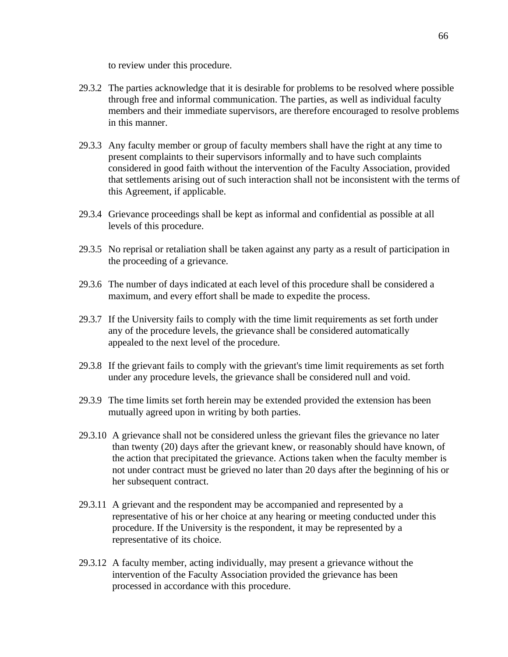to review under this procedure.

- 29.3.2 The parties acknowledge that it is desirable for problems to be resolved where possible through free and informal communication. The parties, as well as individual faculty members and their immediate supervisors, are therefore encouraged to resolve problems in this manner.
- 29.3.3 Any faculty member or group of faculty members shall have the right at any time to present complaints to their supervisors informally and to have such complaints considered in good faith without the intervention of the Faculty Association, provided that settlements arising out of such interaction shall not be inconsistent with the terms of this Agreement, if applicable.
- 29.3.4 Grievance proceedings shall be kept as informal and confidential as possible at all levels of this procedure.
- 29.3.5 No reprisal or retaliation shall be taken against any party as a result of participation in the proceeding of a grievance.
- 29.3.6 The number of days indicated at each level of this procedure shall be considered a maximum, and every effort shall be made to expedite the process.
- 29.3.7 If the University fails to comply with the time limit requirements as set forth under any of the procedure levels, the grievance shall be considered automatically appealed to the next level of the procedure.
- 29.3.8 If the grievant fails to comply with the grievant's time limit requirements as set forth under any procedure levels, the grievance shall be considered null and void.
- 29.3.9 The time limits set forth herein may be extended provided the extension has been mutually agreed upon in writing by both parties.
- 29.3.10 A grievance shall not be considered unless the grievant files the grievance no later than twenty (20) days after the grievant knew, or reasonably should have known, of the action that precipitated the grievance. Actions taken when the faculty member is not under contract must be grieved no later than 20 days after the beginning of his or her subsequent contract.
- 29.3.11 A grievant and the respondent may be accompanied and represented by a representative of his or her choice at any hearing or meeting conducted under this procedure. If the University is the respondent, it may be represented by a representative of its choice.
- 29.3.12 A faculty member, acting individually, may present a grievance without the intervention of the Faculty Association provided the grievance has been processed in accordance with this procedure.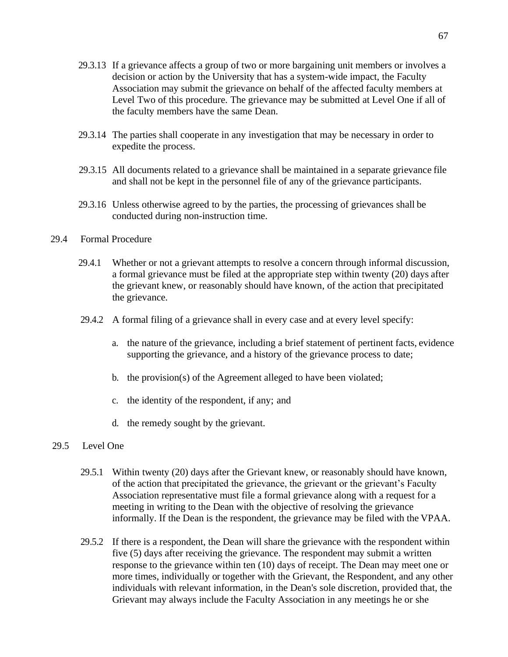- 29.3.13 If a grievance affects a group of two or more bargaining unit members or involves a decision or action by the University that has a system-wide impact, the Faculty Association may submit the grievance on behalf of the affected faculty members at Level Two of this procedure. The grievance may be submitted at Level One if all of the faculty members have the same Dean.
- 29.3.14 The parties shall cooperate in any investigation that may be necessary in order to expedite the process.
- 29.3.15 All documents related to a grievance shall be maintained in a separate grievance file and shall not be kept in the personnel file of any of the grievance participants.
- 29.3.16 Unless otherwise agreed to by the parties, the processing of grievances shall be conducted during non-instruction time.

## 29.4 Formal Procedure

- 29.4.1 Whether or not a grievant attempts to resolve a concern through informal discussion, a formal grievance must be filed at the appropriate step within twenty (20) days after the grievant knew, or reasonably should have known, of the action that precipitated the grievance.
- 29.4.2 A formal filing of a grievance shall in every case and at every level specify:
	- a. the nature of the grievance, including a brief statement of pertinent facts, evidence supporting the grievance, and a history of the grievance process to date;
	- b. the provision(s) of the Agreement alleged to have been violated;
	- c. the identity of the respondent, if any; and
	- d. the remedy sought by the grievant.

## 29.5 Level One

- 29.5.1 Within twenty (20) days after the Grievant knew, or reasonably should have known, of the action that precipitated the grievance, the grievant or the grievant's Faculty Association representative must file a formal grievance along with a request for a meeting in writing to the Dean with the objective of resolving the grievance informally. If the Dean is the respondent, the grievance may be filed with the VPAA.
- 29.5.2 If there is a respondent, the Dean will share the grievance with the respondent within five (5) days after receiving the grievance. The respondent may submit a written response to the grievance within ten (10) days of receipt. The Dean may meet one or more times, individually or together with the Grievant, the Respondent, and any other individuals with relevant information, in the Dean's sole discretion, provided that, the Grievant may always include the Faculty Association in any meetings he or she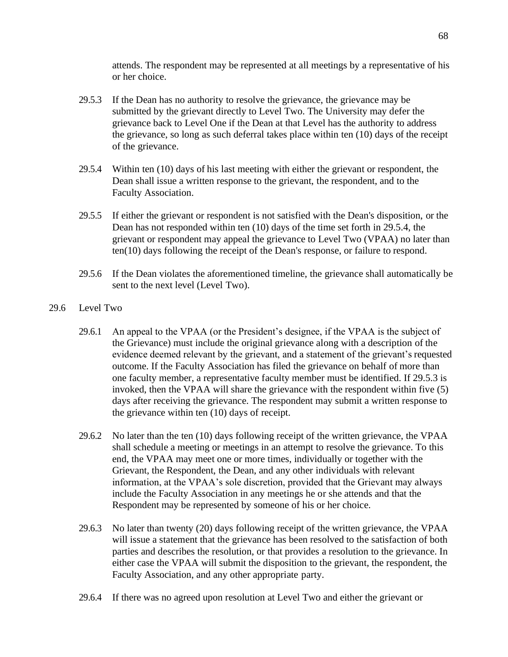attends. The respondent may be represented at all meetings by a representative of his or her choice.

- 29.5.3 If the Dean has no authority to resolve the grievance, the grievance may be submitted by the grievant directly to Level Two. The University may defer the grievance back to Level One if the Dean at that Level has the authority to address the grievance, so long as such deferral takes place within ten (10) days of the receipt of the grievance.
- 29.5.4 Within ten (10) days of his last meeting with either the grievant or respondent, the Dean shall issue a written response to the grievant, the respondent, and to the Faculty Association.
- 29.5.5 If either the grievant or respondent is not satisfied with the Dean's disposition, or the Dean has not responded within ten (10) days of the time set forth in 29.5.4, the grievant or respondent may appeal the grievance to Level Two (VPAA) no later than ten(10) days following the receipt of the Dean's response, or failure to respond.
- 29.5.6 If the Dean violates the aforementioned timeline, the grievance shall automatically be sent to the next level (Level Two).
- 29.6 Level Two
	- 29.6.1 An appeal to the VPAA (or the President's designee, if the VPAA is the subject of the Grievance) must include the original grievance along with a description of the evidence deemed relevant by the grievant, and a statement of the grievant's requested outcome. If the Faculty Association has filed the grievance on behalf of more than one faculty member, a representative faculty member must be identified. If 29.5.3 is invoked, then the VPAA will share the grievance with the respondent within five (5) days after receiving the grievance. The respondent may submit a written response to the grievance within ten (10) days of receipt.
	- 29.6.2 No later than the ten (10) days following receipt of the written grievance, the VPAA shall schedule a meeting or meetings in an attempt to resolve the grievance. To this end, the VPAA may meet one or more times, individually or together with the Grievant, the Respondent, the Dean, and any other individuals with relevant information, at the VPAA's sole discretion, provided that the Grievant may always include the Faculty Association in any meetings he or she attends and that the Respondent may be represented by someone of his or her choice.
	- 29.6.3 No later than twenty (20) days following receipt of the written grievance, the VPAA will issue a statement that the grievance has been resolved to the satisfaction of both parties and describes the resolution, or that provides a resolution to the grievance. In either case the VPAA will submit the disposition to the grievant, the respondent, the Faculty Association, and any other appropriate party.
	- 29.6.4 If there was no agreed upon resolution at Level Two and either the grievant or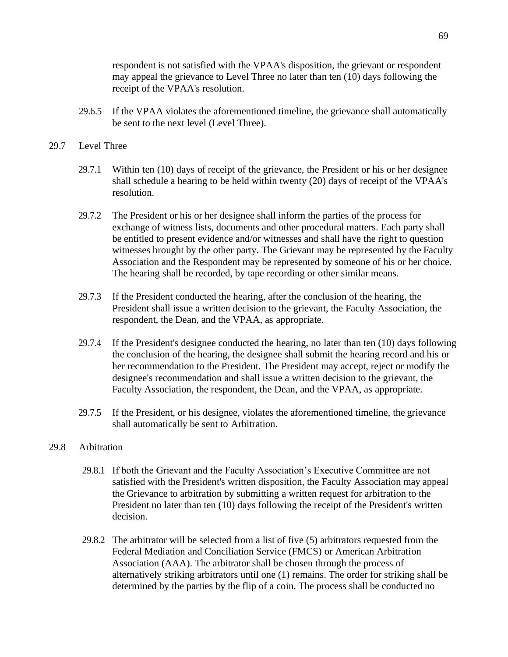respondent is not satisfied with the VPAA's disposition, the grievant or respondent may appeal the grievance to Level Three no later than ten (10) days following the receipt of the VPAA's resolution.

29.6.5 If the VPAA violates the aforementioned timeline, the grievance shall automatically be sent to the next level (Level Three).

## 29.7 Level Three

- 29.7.1 Within ten (10) days of receipt of the grievance, the President or his or her designee shall schedule a hearing to be held within twenty (20) days of receipt of the VPAA's resolution.
- 29.7.2 The President or his or her designee shall inform the parties of the process for exchange of witness lists, documents and other procedural matters. Each party shall be entitled to present evidence and/or witnesses and shall have the right to question witnesses brought by the other party. The Grievant may be represented by the Faculty Association and the Respondent may be represented by someone of his or her choice. The hearing shall be recorded, by tape recording or other similar means.
- 29.7.3 If the President conducted the hearing, after the conclusion of the hearing, the President shall issue a written decision to the grievant, the Faculty Association, the respondent, the Dean, and the VPAA, as appropriate.
- 29.7.4 If the President's designee conducted the hearing, no later than ten (10) days following the conclusion of the hearing, the designee shall submit the hearing record and his or her recommendation to the President. The President may accept, reject or modify the designee's recommendation and shall issue a written decision to the grievant, the Faculty Association, the respondent, the Dean, and the VPAA, as appropriate.
- 29.7.5 If the President, or his designee, violates the aforementioned timeline, the grievance shall automatically be sent to Arbitration.

## 29.8 Arbitration

- 29.8.1 If both the Grievant and the Faculty Association's Executive Committee are not satisfied with the President's written disposition, the Faculty Association may appeal the Grievance to arbitration by submitting a written request for arbitration to the President no later than ten (10) days following the receipt of the President's written decision.
- 29.8.2 The arbitrator will be selected from a list of five (5) arbitrators requested from the Federal Mediation and Conciliation Service (FMCS) or American Arbitration Association (AAA). The arbitrator shall be chosen through the process of alternatively striking arbitrators until one (1) remains. The order for striking shall be determined by the parties by the flip of a coin. The process shall be conducted no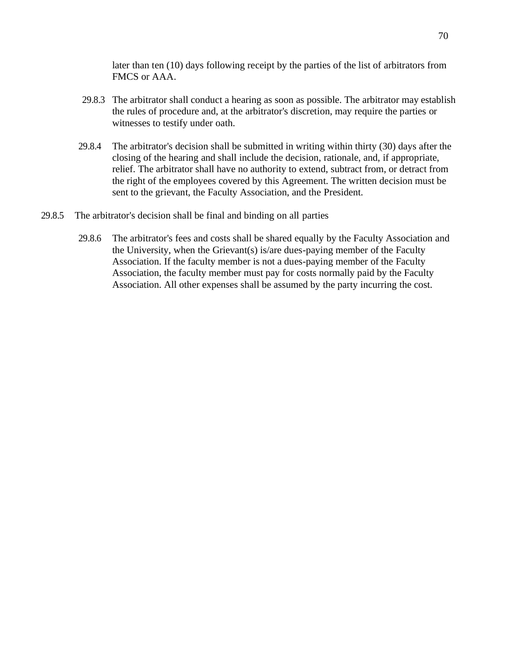later than ten (10) days following receipt by the parties of the list of arbitrators from FMCS or AAA.

- 29.8.3 The arbitrator shall conduct a hearing as soon as possible. The arbitrator may establish the rules of procedure and, at the arbitrator's discretion, may require the parties or witnesses to testify under oath.
- 29.8.4 The arbitrator's decision shall be submitted in writing within thirty (30) days after the closing of the hearing and shall include the decision, rationale, and, if appropriate, relief. The arbitrator shall have no authority to extend, subtract from, or detract from the right of the employees covered by this Agreement. The written decision must be sent to the grievant, the Faculty Association, and the President.
- 29.8.5 The arbitrator's decision shall be final and binding on all parties
	- 29.8.6 The arbitrator's fees and costs shall be shared equally by the Faculty Association and the University, when the Grievant(s) is/are dues-paying member of the Faculty Association. If the faculty member is not a dues-paying member of the Faculty Association, the faculty member must pay for costs normally paid by the Faculty Association. All other expenses shall be assumed by the party incurring the cost.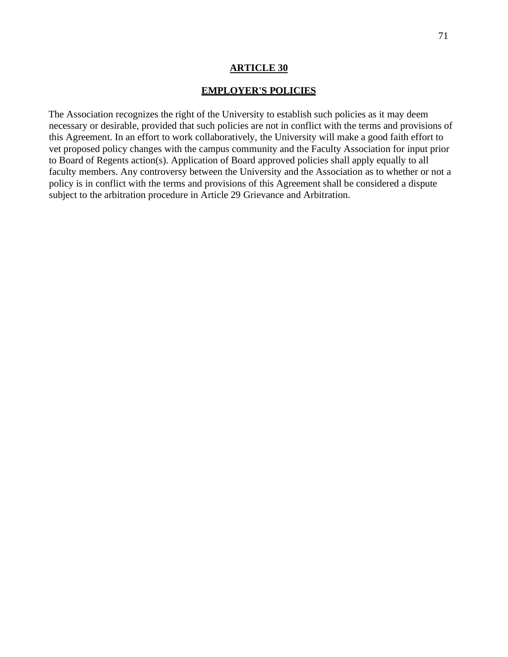#### **EMPLOYER'S POLICIES**

The Association recognizes the right of the University to establish such policies as it may deem necessary or desirable, provided that such policies are not in conflict with the terms and provisions of this Agreement. In an effort to work collaboratively, the University will make a good faith effort to vet proposed policy changes with the campus community and the Faculty Association for input prior to Board of Regents action(s). Application of Board approved policies shall apply equally to all faculty members. Any controversy between the University and the Association as to whether or not a policy is in conflict with the terms and provisions of this Agreement shall be considered a dispute subject to the arbitration procedure in Article 29 Grievance and Arbitration.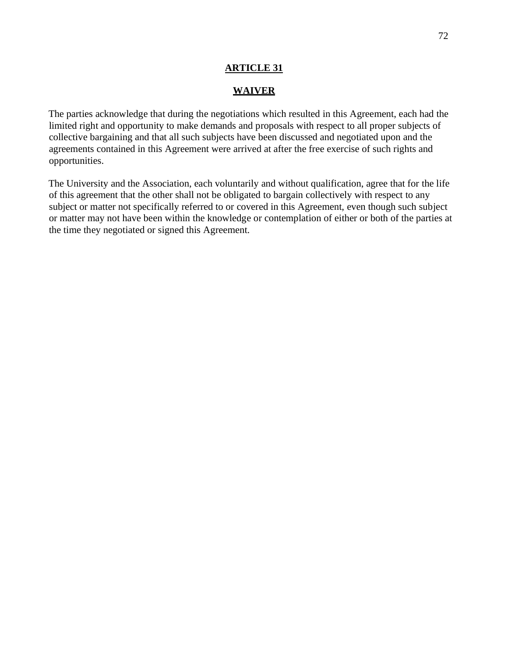#### **WAIVER**

The parties acknowledge that during the negotiations which resulted in this Agreement, each had the limited right and opportunity to make demands and proposals with respect to all proper subjects of collective bargaining and that all such subjects have been discussed and negotiated upon and the agreements contained in this Agreement were arrived at after the free exercise of such rights and opportunities.

The University and the Association, each voluntarily and without qualification, agree that for the life of this agreement that the other shall not be obligated to bargain collectively with respect to any subject or matter not specifically referred to or covered in this Agreement, even though such subject or matter may not have been within the knowledge or contemplation of either or both of the parties at the time they negotiated or signed this Agreement.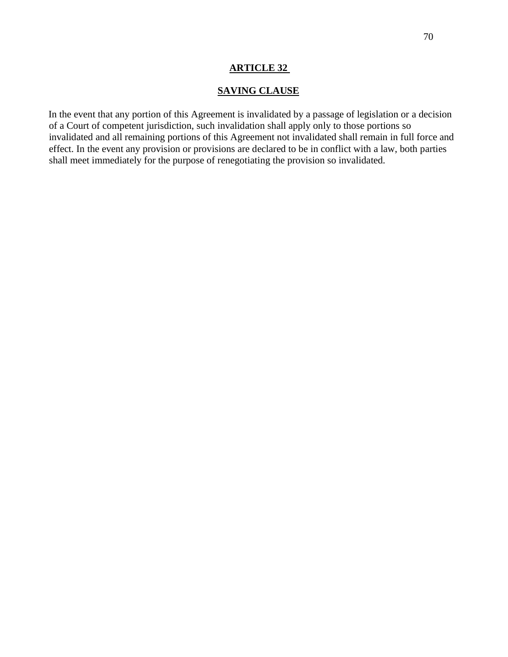## **SAVING CLAUSE**

In the event that any portion of this Agreement is invalidated by a passage of legislation or a decision of a Court of competent jurisdiction, such invalidation shall apply only to those portions so invalidated and all remaining portions of this Agreement not invalidated shall remain in full force and effect. In the event any provision or provisions are declared to be in conflict with a law, both parties shall meet immediately for the purpose of renegotiating the provision so invalidated.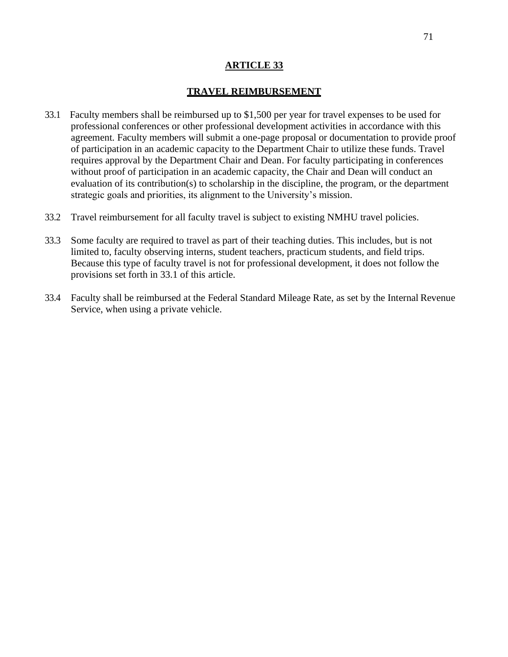#### **TRAVEL REIMBURSEMENT**

- 33.1 Faculty members shall be reimbursed up to \$1,500 per year for travel expenses to be used for professional conferences or other professional development activities in accordance with this agreement. Faculty members will submit a one-page proposal or documentation to provide proof of participation in an academic capacity to the Department Chair to utilize these funds. Travel requires approval by the Department Chair and Dean. For faculty participating in conferences without proof of participation in an academic capacity, the Chair and Dean will conduct an evaluation of its contribution(s) to scholarship in the discipline, the program, or the department strategic goals and priorities, its alignment to the University's mission.
- 33.2 Travel reimbursement for all faculty travel is subject to existing NMHU travel policies.
- 33.3 Some faculty are required to travel as part of their teaching duties. This includes, but is not limited to, faculty observing interns, student teachers, practicum students, and field trips. Because this type of faculty travel is not for professional development, it does not follow the provisions set forth in 33.1 of this article.
- 33.4 Faculty shall be reimbursed at the Federal Standard Mileage Rate, as set by the Internal Revenue Service, when using a private vehicle.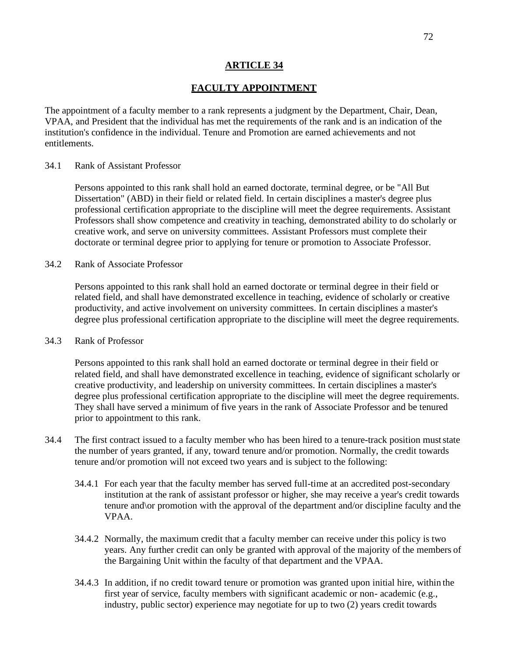### **FACULTY APPOINTMENT**

The appointment of a faculty member to a rank represents a judgment by the Department, Chair, Dean, VPAA, and President that the individual has met the requirements of the rank and is an indication of the institution's confidence in the individual. Tenure and Promotion are earned achievements and not entitlements.

#### 34.1 Rank of Assistant Professor

Persons appointed to this rank shall hold an earned doctorate, terminal degree, or be "All But Dissertation" (ABD) in their field or related field. In certain disciplines a master's degree plus professional certification appropriate to the discipline will meet the degree requirements. Assistant Professors shall show competence and creativity in teaching, demonstrated ability to do scholarly or creative work, and serve on university committees. Assistant Professors must complete their doctorate or terminal degree prior to applying for tenure or promotion to Associate Professor.

34.2 Rank of Associate Professor

Persons appointed to this rank shall hold an earned doctorate or terminal degree in their field or related field, and shall have demonstrated excellence in teaching, evidence of scholarly or creative productivity, and active involvement on university committees. In certain disciplines a master's degree plus professional certification appropriate to the discipline will meet the degree requirements.

#### 34.3 Rank of Professor

Persons appointed to this rank shall hold an earned doctorate or terminal degree in their field or related field, and shall have demonstrated excellence in teaching, evidence of significant scholarly or creative productivity, and leadership on university committees. In certain disciplines a master's degree plus professional certification appropriate to the discipline will meet the degree requirements. They shall have served a minimum of five years in the rank of Associate Professor and be tenured prior to appointment to this rank.

- 34.4 The first contract issued to a faculty member who has been hired to a tenure-track position muststate the number of years granted, if any, toward tenure and/or promotion. Normally, the credit towards tenure and/or promotion will not exceed two years and is subject to the following:
	- 34.4.1 For each year that the faculty member has served full-time at an accredited post-secondary institution at the rank of assistant professor or higher, she may receive a year's credit towards tenure and\or promotion with the approval of the department and/or discipline faculty and the VPAA.
	- 34.4.2 Normally, the maximum credit that a faculty member can receive under this policy is two years. Any further credit can only be granted with approval of the majority of the members of the Bargaining Unit within the faculty of that department and the VPAA.
	- 34.4.3 In addition, if no credit toward tenure or promotion was granted upon initial hire, within the first year of service, faculty members with significant academic or non- academic (e.g., industry, public sector) experience may negotiate for up to two (2) years credit towards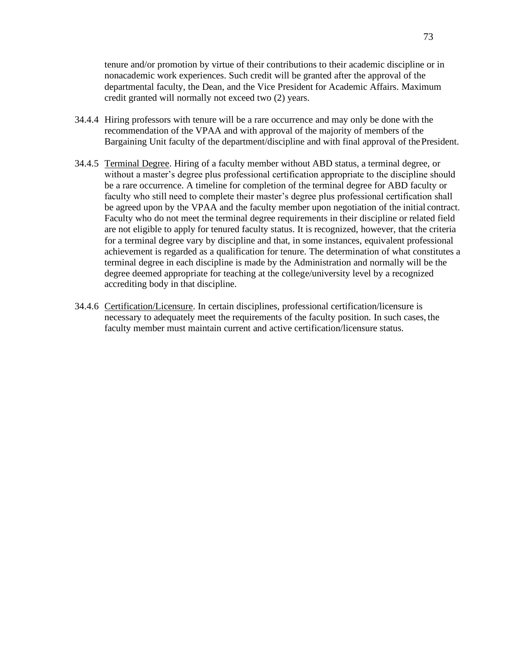tenure and/or promotion by virtue of their contributions to their academic discipline or in nonacademic work experiences. Such credit will be granted after the approval of the departmental faculty, the Dean, and the Vice President for Academic Affairs. Maximum credit granted will normally not exceed two (2) years.

- 34.4.4 Hiring professors with tenure will be a rare occurrence and may only be done with the recommendation of the VPAA and with approval of the majority of members of the Bargaining Unit faculty of the department/discipline and with final approval of the President.
- 34.4.5 Terminal Degree. Hiring of a faculty member without ABD status, a terminal degree, or without a master's degree plus professional certification appropriate to the discipline should be a rare occurrence. A timeline for completion of the terminal degree for ABD faculty or faculty who still need to complete their master's degree plus professional certification shall be agreed upon by the VPAA and the faculty member upon negotiation of the initial contract. Faculty who do not meet the terminal degree requirements in their discipline or related field are not eligible to apply for tenured faculty status. It is recognized, however, that the criteria for a terminal degree vary by discipline and that, in some instances, equivalent professional achievement is regarded as a qualification for tenure. The determination of what constitutes a terminal degree in each discipline is made by the Administration and normally will be the degree deemed appropriate for teaching at the college/university level by a recognized accrediting body in that discipline.
- 34.4.6 Certification/Licensure. In certain disciplines, professional certification/licensure is necessary to adequately meet the requirements of the faculty position. In such cases, the faculty member must maintain current and active certification/licensure status.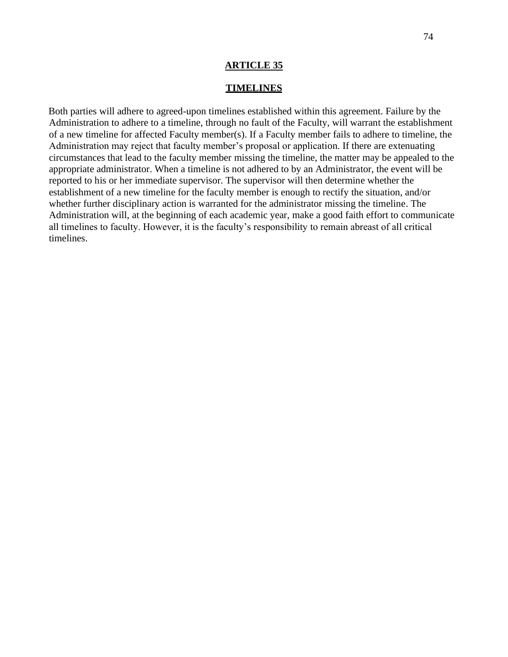#### **TIMELINES**

Both parties will adhere to agreed-upon timelines established within this agreement. Failure by the Administration to adhere to a timeline, through no fault of the Faculty, will warrant the establishment of a new timeline for affected Faculty member(s). If a Faculty member fails to adhere to timeline, the Administration may reject that faculty member's proposal or application. If there are extenuating circumstances that lead to the faculty member missing the timeline, the matter may be appealed to the appropriate administrator. When a timeline is not adhered to by an Administrator, the event will be reported to his or her immediate supervisor. The supervisor will then determine whether the establishment of a new timeline for the faculty member is enough to rectify the situation, and/or whether further disciplinary action is warranted for the administrator missing the timeline. The Administration will, at the beginning of each academic year, make a good faith effort to communicate all timelines to faculty. However, it is the faculty's responsibility to remain abreast of all critical timelines.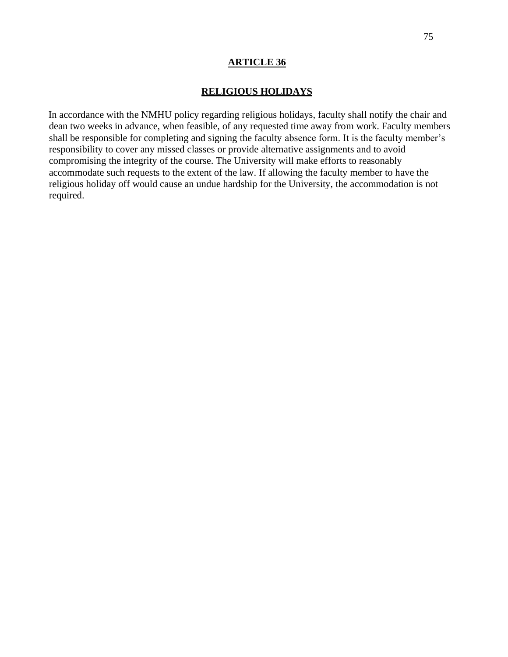## **RELIGIOUS HOLIDAYS**

In accordance with the NMHU policy regarding religious holidays, faculty shall notify the chair and dean two weeks in advance, when feasible, of any requested time away from work. Faculty members shall be responsible for completing and signing the faculty absence form. It is the faculty member's responsibility to cover any missed classes or provide alternative assignments and to avoid compromising the integrity of the course. The University will make efforts to reasonably accommodate such requests to the extent of the law. If allowing the faculty member to have the religious holiday off would cause an undue hardship for the University, the accommodation is not required.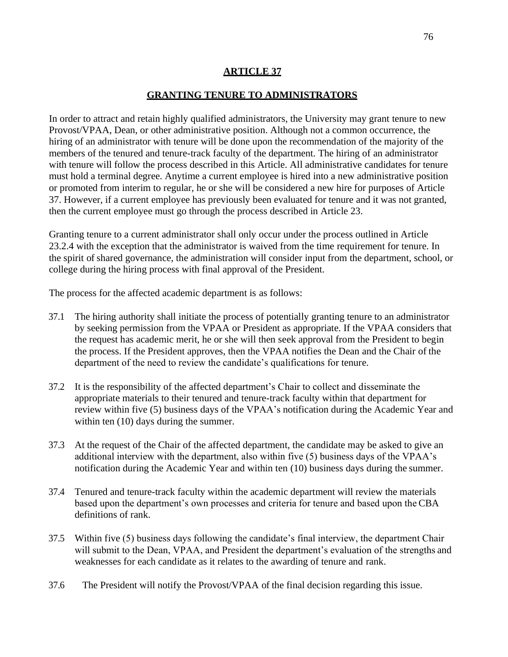## **GRANTING TENURE TO ADMINISTRATORS**

In order to attract and retain highly qualified administrators, the University may grant tenure to new Provost/VPAA, Dean, or other administrative position. Although not a common occurrence, the hiring of an administrator with tenure will be done upon the recommendation of the majority of the members of the tenured and tenure-track faculty of the department. The hiring of an administrator with tenure will follow the process described in this Article. All administrative candidates for tenure must hold a terminal degree. Anytime a current employee is hired into a new administrative position or promoted from interim to regular, he or she will be considered a new hire for purposes of Article 37. However, if a current employee has previously been evaluated for tenure and it was not granted, then the current employee must go through the process described in Article 23.

Granting tenure to a current administrator shall only occur under the process outlined in Article 23.2.4 with the exception that the administrator is waived from the time requirement for tenure. In the spirit of shared governance, the administration will consider input from the department, school, or college during the hiring process with final approval of the President.

The process for the affected academic department is as follows:

- 37.1 The hiring authority shall initiate the process of potentially granting tenure to an administrator by seeking permission from the VPAA or President as appropriate. If the VPAA considers that the request has academic merit, he or she will then seek approval from the President to begin the process. If the President approves, then the VPAA notifies the Dean and the Chair of the department of the need to review the candidate's qualifications for tenure.
- 37.2 It is the responsibility of the affected department's Chair to collect and disseminate the appropriate materials to their tenured and tenure-track faculty within that department for review within five (5) business days of the VPAA's notification during the Academic Year and within ten  $(10)$  days during the summer.
- 37.3 At the request of the Chair of the affected department, the candidate may be asked to give an additional interview with the department, also within five (5) business days of the VPAA's notification during the Academic Year and within ten (10) business days during the summer.
- 37.4 Tenured and tenure-track faculty within the academic department will review the materials based upon the department's own processes and criteria for tenure and based upon the CBA definitions of rank.
- 37.5 Within five (5) business days following the candidate's final interview, the department Chair will submit to the Dean, VPAA, and President the department's evaluation of the strengths and weaknesses for each candidate as it relates to the awarding of tenure and rank.
- 37.6 The President will notify the Provost/VPAA of the final decision regarding this issue.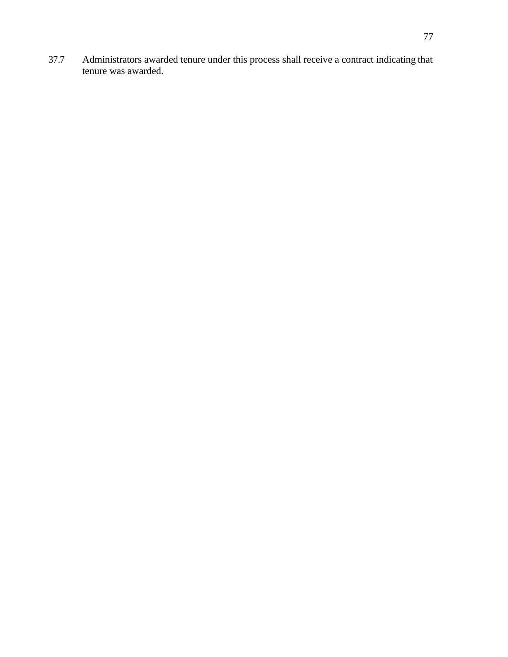37.7 Administrators awarded tenure under this process shall receive a contract indicating that tenure was awarded.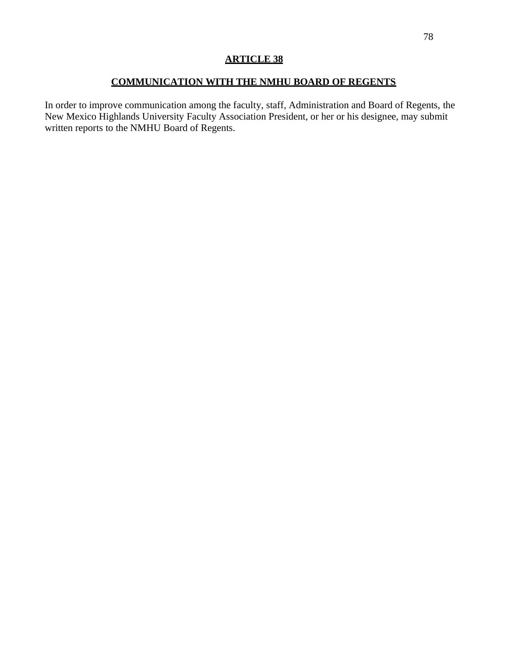## **COMMUNICATION WITH THE NMHU BOARD OF REGENTS**

In order to improve communication among the faculty, staff, Administration and Board of Regents, the New Mexico Highlands University Faculty Association President, or her or his designee, may submit written reports to the NMHU Board of Regents.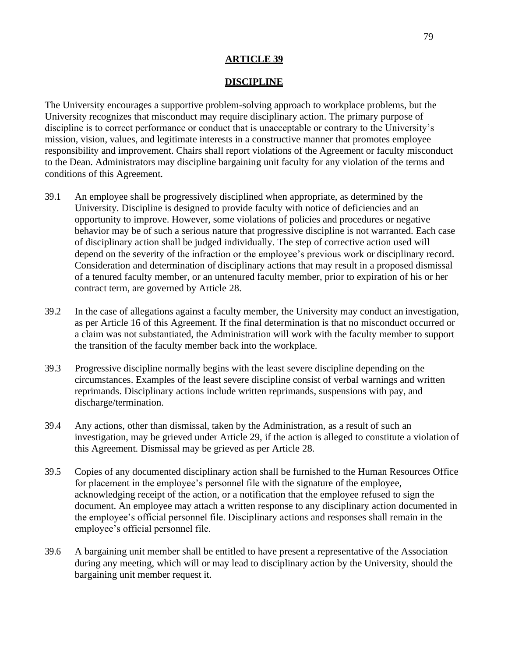## **DISCIPLINE**

The University encourages a supportive problem-solving approach to workplace problems, but the University recognizes that misconduct may require disciplinary action. The primary purpose of discipline is to correct performance or conduct that is unacceptable or contrary to the University's mission, vision, values, and legitimate interests in a constructive manner that promotes employee responsibility and improvement. Chairs shall report violations of the Agreement or faculty misconduct to the Dean. Administrators may discipline bargaining unit faculty for any violation of the terms and conditions of this Agreement.

- 39.1 An employee shall be progressively disciplined when appropriate, as determined by the University. Discipline is designed to provide faculty with notice of deficiencies and an opportunity to improve. However, some violations of policies and procedures or negative behavior may be of such a serious nature that progressive discipline is not warranted. Each case of disciplinary action shall be judged individually. The step of corrective action used will depend on the severity of the infraction or the employee's previous work or disciplinary record. Consideration and determination of disciplinary actions that may result in a proposed dismissal of a tenured faculty member, or an untenured faculty member, prior to expiration of his or her contract term, are governed by Article 28.
- 39.2 In the case of allegations against a faculty member, the University may conduct an investigation, as per Article 16 of this Agreement. If the final determination is that no misconduct occurred or a claim was not substantiated, the Administration will work with the faculty member to support the transition of the faculty member back into the workplace.
- 39.3 Progressive discipline normally begins with the least severe discipline depending on the circumstances. Examples of the least severe discipline consist of verbal warnings and written reprimands. Disciplinary actions include written reprimands, suspensions with pay, and discharge/termination.
- 39.4 Any actions, other than dismissal, taken by the Administration, as a result of such an investigation, may be grieved under Article 29, if the action is alleged to constitute a violation of this Agreement. Dismissal may be grieved as per Article 28.
- 39.5 Copies of any documented disciplinary action shall be furnished to the Human Resources Office for placement in the employee's personnel file with the signature of the employee, acknowledging receipt of the action, or a notification that the employee refused to sign the document. An employee may attach a written response to any disciplinary action documented in the employee's official personnel file. Disciplinary actions and responses shall remain in the employee's official personnel file.
- 39.6 A bargaining unit member shall be entitled to have present a representative of the Association during any meeting, which will or may lead to disciplinary action by the University, should the bargaining unit member request it.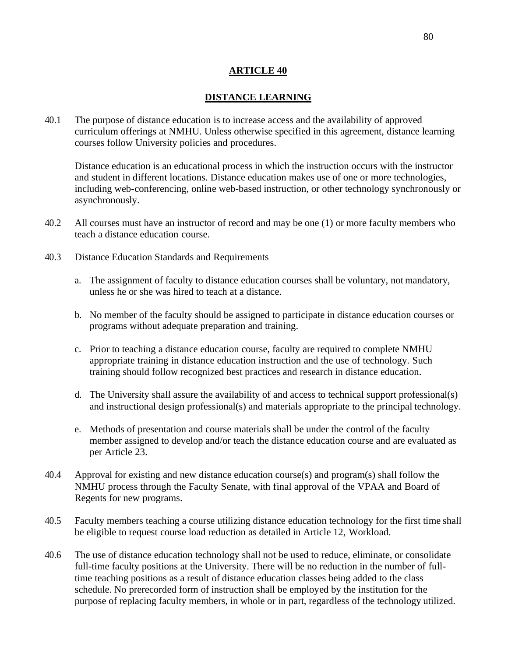## **DISTANCE LEARNING**

40.1 The purpose of distance education is to increase access and the availability of approved curriculum offerings at NMHU. Unless otherwise specified in this agreement, distance learning courses follow University policies and procedures.

Distance education is an educational process in which the instruction occurs with the instructor and student in different locations. Distance education makes use of one or more technologies, including web-conferencing, online web-based instruction, or other technology synchronously or asynchronously.

- 40.2 All courses must have an instructor of record and may be one (1) or more faculty members who teach a distance education course.
- 40.3 Distance Education Standards and Requirements
	- a. The assignment of faculty to distance education courses shall be voluntary, not mandatory, unless he or she was hired to teach at a distance.
	- b. No member of the faculty should be assigned to participate in distance education courses or programs without adequate preparation and training.
	- c. Prior to teaching a distance education course, faculty are required to complete NMHU appropriate training in distance education instruction and the use of technology. Such training should follow recognized best practices and research in distance education.
	- d. The University shall assure the availability of and access to technical support professional(s) and instructional design professional(s) and materials appropriate to the principal technology.
	- e. Methods of presentation and course materials shall be under the control of the faculty member assigned to develop and/or teach the distance education course and are evaluated as per Article 23.
- 40.4 Approval for existing and new distance education course(s) and program(s) shall follow the NMHU process through the Faculty Senate, with final approval of the VPAA and Board of Regents for new programs.
- 40.5 Faculty members teaching a course utilizing distance education technology for the first time shall be eligible to request course load reduction as detailed in Article 12, Workload.
- 40.6 The use of distance education technology shall not be used to reduce, eliminate, or consolidate full-time faculty positions at the University. There will be no reduction in the number of fulltime teaching positions as a result of distance education classes being added to the class schedule. No prerecorded form of instruction shall be employed by the institution for the purpose of replacing faculty members, in whole or in part, regardless of the technology utilized.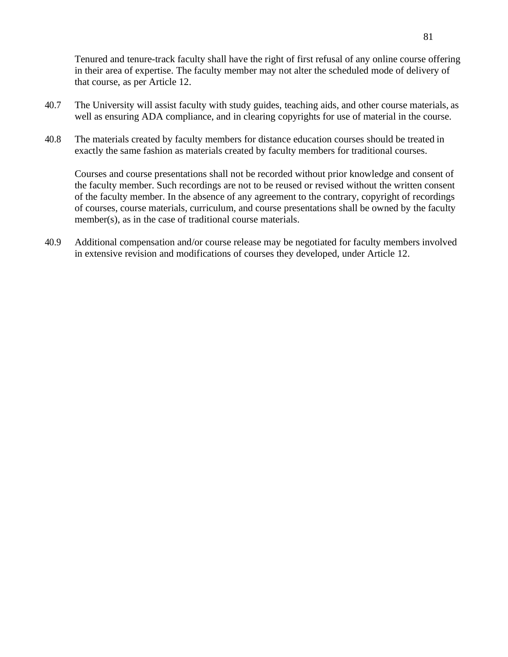Tenured and tenure-track faculty shall have the right of first refusal of any online course offering in their area of expertise. The faculty member may not alter the scheduled mode of delivery of that course, as per Article 12.

- 40.7 The University will assist faculty with study guides, teaching aids, and other course materials, as well as ensuring ADA compliance, and in clearing copyrights for use of material in the course.
- 40.8 The materials created by faculty members for distance education courses should be treated in exactly the same fashion as materials created by faculty members for traditional courses.

Courses and course presentations shall not be recorded without prior knowledge and consent of the faculty member. Such recordings are not to be reused or revised without the written consent of the faculty member. In the absence of any agreement to the contrary, copyright of recordings of courses, course materials, curriculum, and course presentations shall be owned by the faculty member(s), as in the case of traditional course materials.

40.9 Additional compensation and/or course release may be negotiated for faculty members involved in extensive revision and modifications of courses they developed, under Article 12.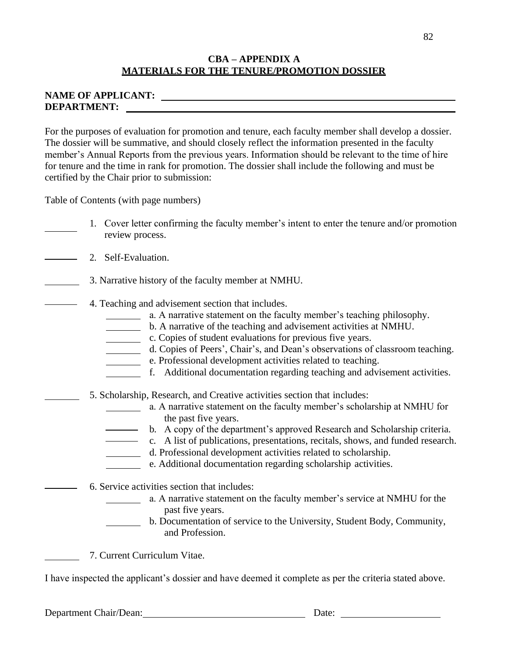## **CBA – APPENDIX A MATERIALS FOR THE TENURE/PROMOTION DOSSIER**

## **NAME OF APPLICANT: DEPARTMENT:**

For the purposes of evaluation for promotion and tenure, each faculty member shall develop a dossier. The dossier will be summative, and should closely reflect the information presented in the faculty member's Annual Reports from the previous years. Information should be relevant to the time of hire for tenure and the time in rank for promotion. The dossier shall include the following and must be certified by the Chair prior to submission:

Table of Contents (with page numbers)

- 1. Cover letter confirming the faculty member's intent to enter the tenure and/or promotion review process.
- 2. Self-Evaluation.
	- 3. Narrative history of the faculty member at NMHU.
	- 4. Teaching and advisement section that includes.
		- a. A narrative statement on the faculty member's teaching philosophy.
		- b. A narrative of the teaching and advisement activities at NMHU.
		- c. Copies of student evaluations for previous five years.
		- d. Copies of Peers', Chair's, and Dean's observations of classroom teaching.
		- e. Professional development activities related to teaching.
		- f. Additional documentation regarding teaching and advisement activities.
		- 5. Scholarship, Research, and Creative activities section that includes:
			- a. A narrative statement on the faculty member's scholarship at NMHU for the past five years.
				- b. A copy of the department's approved Research and Scholarship criteria.
			- c. A list of publications, presentations, recitals, shows, and funded research.
				- d. Professional development activities related to scholarship.
				- e. Additional documentation regarding scholarship activities.
		- 6. Service activities section that includes:
			- a. A narrative statement on the faculty member's service at NMHU for the past five years.
			- b. Documentation of service to the University, Student Body, Community, and Profession.
		- 7. Current Curriculum Vitae.

I have inspected the applicant's dossier and have deemed it complete as per the criteria stated above.

Department Chair/Dean: Date: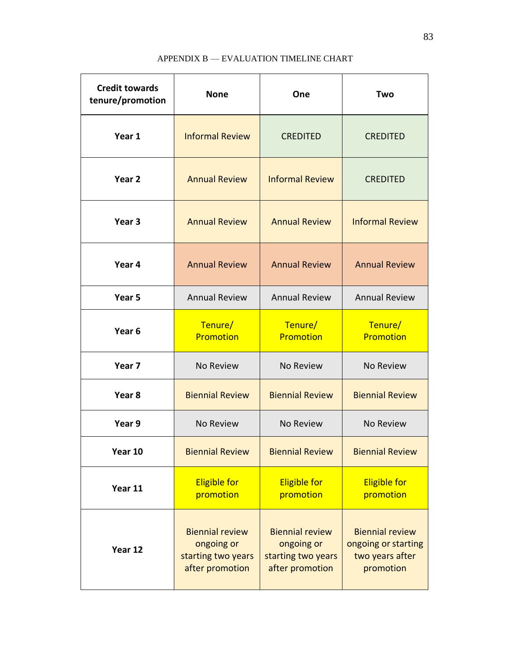## APPENDIX B — EVALUATION TIMELINE CHART

| <b>Credit towards</b><br>tenure/promotion | <b>None</b>                                                                   | One                                                                           | Two                                                                           |  |
|-------------------------------------------|-------------------------------------------------------------------------------|-------------------------------------------------------------------------------|-------------------------------------------------------------------------------|--|
| Year 1                                    | <b>Informal Review</b>                                                        | <b>CREDITED</b>                                                               | <b>CREDITED</b>                                                               |  |
| Year 2                                    | <b>Annual Review</b>                                                          | <b>Informal Review</b>                                                        | <b>CREDITED</b>                                                               |  |
| Year <sub>3</sub>                         | <b>Annual Review</b>                                                          | <b>Annual Review</b>                                                          | <b>Informal Review</b>                                                        |  |
| Year 4                                    | <b>Annual Review</b>                                                          | <b>Annual Review</b>                                                          | <b>Annual Review</b>                                                          |  |
| Year 5                                    | <b>Annual Review</b>                                                          | <b>Annual Review</b>                                                          | <b>Annual Review</b>                                                          |  |
| Year <sub>6</sub>                         | Tenure/<br>Promotion                                                          | Tenure/<br>Promotion                                                          | Tenure/<br><b>Promotion</b>                                                   |  |
| Year 7                                    | No Review                                                                     | No Review                                                                     | No Review                                                                     |  |
| Year <sub>8</sub>                         | <b>Biennial Review</b>                                                        | <b>Biennial Review</b>                                                        | <b>Biennial Review</b>                                                        |  |
| Year 9                                    | No Review                                                                     | No Review                                                                     | No Review                                                                     |  |
| Year 10                                   | <b>Biennial Review</b>                                                        | <b>Biennial Review</b>                                                        | <b>Biennial Review</b>                                                        |  |
| Year 11                                   | <b>Eligible for</b><br>promotion                                              | <b>Eligible for</b><br>promotion                                              | <b>Eligible for</b><br>promotion                                              |  |
| Year 12                                   | <b>Biennial review</b><br>ongoing or<br>starting two years<br>after promotion | <b>Biennial review</b><br>ongoing or<br>starting two years<br>after promotion | <b>Biennial review</b><br>ongoing or starting<br>two years after<br>promotion |  |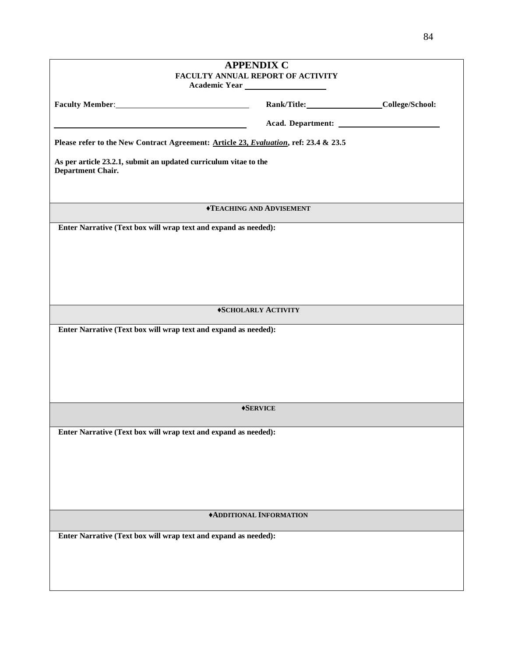| <b>APPENDIX C</b><br>FACULTY ANNUAL REPORT OF ACTIVITY                                       |                                        |  |  |  |
|----------------------------------------------------------------------------------------------|----------------------------------------|--|--|--|
|                                                                                              | Rank/Title: College/School:            |  |  |  |
| <u> 1989 - Johann Barn, fransk politik fotograf (d. 1982)</u>                                |                                        |  |  |  |
| Please refer to the New Contract Agreement: Article 23, Evaluation, ref: 23.4 & 23.5         |                                        |  |  |  |
| As per article 23.2.1, submit an updated curriculum vitae to the<br><b>Department Chair.</b> |                                        |  |  |  |
|                                                                                              | <b><i>◆TEACHING AND ADVISEMENT</i></b> |  |  |  |
| Enter Narrative (Text box will wrap text and expand as needed):                              |                                        |  |  |  |
|                                                                                              |                                        |  |  |  |
|                                                                                              |                                        |  |  |  |
|                                                                                              |                                        |  |  |  |
|                                                                                              | *SCHOLARLY ACTIVITY                    |  |  |  |
| Enter Narrative (Text box will wrap text and expand as needed):                              |                                        |  |  |  |
|                                                                                              |                                        |  |  |  |
|                                                                                              |                                        |  |  |  |
|                                                                                              |                                        |  |  |  |
|                                                                                              | <b>+SERVICE</b>                        |  |  |  |
| Enter Narrative (Text box will wrap text and expand as needed):                              |                                        |  |  |  |
|                                                                                              |                                        |  |  |  |
|                                                                                              |                                        |  |  |  |
|                                                                                              |                                        |  |  |  |
|                                                                                              |                                        |  |  |  |
| <b>*ADDITIONAL INFORMATION</b>                                                               |                                        |  |  |  |
| Enter Narrative (Text box will wrap text and expand as needed):                              |                                        |  |  |  |
|                                                                                              |                                        |  |  |  |
|                                                                                              |                                        |  |  |  |
|                                                                                              |                                        |  |  |  |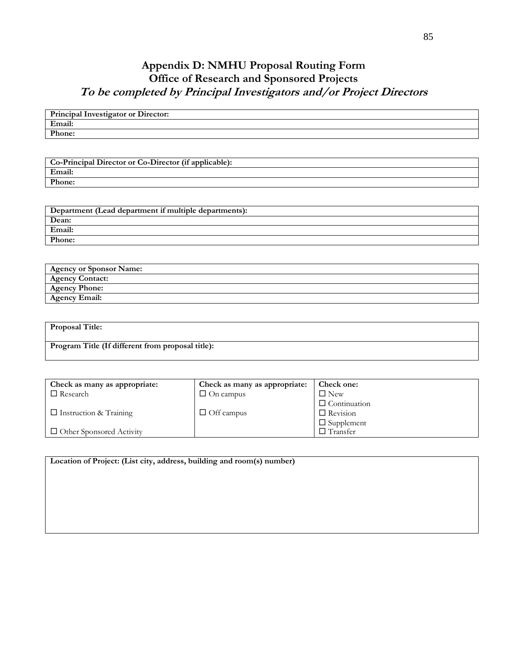# **Appendix D: NMHU Proposal Routing Form Office of Research and Sponsored Projects To be completed by Principal Investigators and/or Project Directors**

| <b>Principal Investigator or Director:</b> |
|--------------------------------------------|
| Email:                                     |
| Phone:                                     |

**Co-Principal Director or Co-Director (if applicable): Email: Phone:**

| Department (Lead department if multiple departments): |
|-------------------------------------------------------|
| Dean:                                                 |
| Email:                                                |
| Phone:                                                |

| <b>Agency or Sponsor Name:</b> |  |
|--------------------------------|--|
| <b>Agency Contact:</b>         |  |
| <b>Agency Phone:</b>           |  |
| <b>Agency Email:</b>           |  |

| <b>Proposal Title:</b>                            |  |
|---------------------------------------------------|--|
|                                                   |  |
| Program Title (If different from proposal title): |  |
|                                                   |  |

| Check as many as appropriate:   | Check as many as appropriate: | Check one:          |
|---------------------------------|-------------------------------|---------------------|
| $\Box$ Research                 | $\Box$ On campus              | $\Box$ New          |
|                                 |                               | $\Box$ Continuation |
| $\Box$ Instruction & Training   | $\Box$ Off campus             | $\Box$ Revision     |
|                                 |                               | $\Box$ Supplement   |
| $\Box$ Other Sponsored Activity |                               | $\Box$ Transfer     |

| Location of Project: (List city, address, building and room(s) number) |  |  |
|------------------------------------------------------------------------|--|--|
|                                                                        |  |  |
|                                                                        |  |  |
|                                                                        |  |  |
|                                                                        |  |  |
|                                                                        |  |  |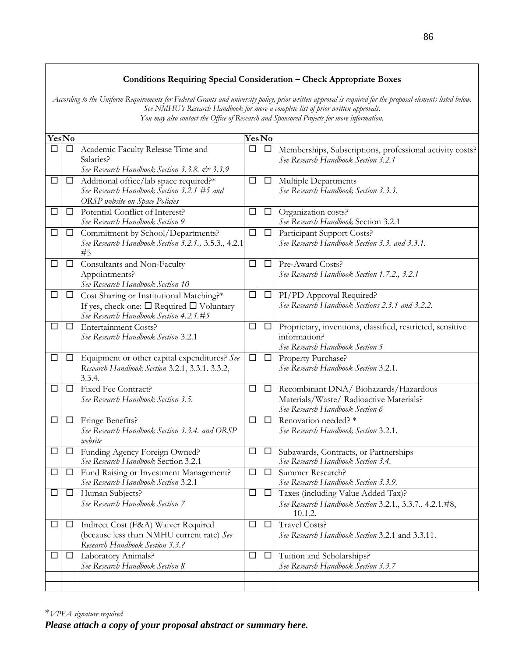## **Conditions Requiring Special Consideration – Check Appropriate Boxes**

*According to the Uniform Requirements for Federal Grants and university policy, prior written approval is required for the proposal elements listed below. See NMHU's Research Handbook for more a complete list of prior written approvals. You may also contact the Office of Research and Sponsored Projects for more information.*

|        | <b>YesNo</b> |                                                                                                                                                 |        | <b>YesNo</b> |                                                                                                                     |
|--------|--------------|-------------------------------------------------------------------------------------------------------------------------------------------------|--------|--------------|---------------------------------------------------------------------------------------------------------------------|
| □      | $\Box$       | Academic Faculty Release Time and<br>Salaries?<br>See Research Handbook Section 3.3.8. & 3.3.9                                                  | □      | $\Box$       | Memberships, Subscriptions, professional activity costs?<br>See Research Handbook Section 3.2.1                     |
| $\Box$ | $\Box$       | Additional office/lab space required?*<br>See Research Handbook Section 3.2.1 #5 and<br>ORSP website on Space Policies                          | $\Box$ | $\Box$       | Multiple Departments<br>See Research Handbook Section 3.3.3.                                                        |
| $\Box$ | $\Box$       | Potential Conflict of Interest?<br>See Research Handbook Section 9                                                                              | □      | $\Box$       | Organization costs?<br>See Research Handbook Section 3.2.1                                                          |
| □      | $\Box$       | Commitment by School/Departments?<br>See Research Handbook Section 3.2.1., 3.5.3., 4.2.1<br>#5                                                  | $\Box$ | $\Box$       | Participant Support Costs?<br>See Research Handbook Section 3.3. and 3.3.1.                                         |
| □      | $\Box$       | Consultants and Non-Faculty<br>Appointments?<br>See Research Handbook Section 10                                                                | $\Box$ | $\Box$       | Pre-Award Costs?<br>See Research Handbook Section 1.7.2., 3.2.1                                                     |
| $\Box$ | $\Box$       | Cost Sharing or Institutional Matching?*<br>If yes, check one: $\square$ Required $\square$ Voluntary<br>See Research Handbook Section 4.2.1.#5 | $\Box$ | $\Box$       | PI/PD Approval Required?<br>See Research Handbook Sections 2.3.1 and 3.2.2.                                         |
| $\Box$ | $\Box$       | Entertainment Costs?<br>See Research Handbook Section 3.2.1                                                                                     | $\Box$ | $\Box$       | Proprietary, inventions, classified, restricted, sensitive<br>information?<br>See Research Handbook Section 5       |
| □      | $\Box$       | Equipment or other capital expenditures? See<br>Research Handbook Section 3.2.1, 3.3.1. 3.3.2,<br>3.3.4.                                        | $\Box$ |              | $\Box$ Property Purchase?<br>See Research Handbook Section 3.2.1.                                                   |
| □      | □            | Fixed Fee Contract?<br>See Research Handbook Section 3.5.                                                                                       | $\Box$ | $\Box$       | Recombinant DNA/ Biohazards/Hazardous<br>Materials/Waste/ Radioactive Materials?<br>See Research Handbook Section 6 |
| □      | $\Box$       | Fringe Benefits?<br>See Research Handbook Section 3.3.4. and ORSP<br>website                                                                    | $\Box$ | $\Box$       | Renovation needed? *<br>See Research Handbook Section 3.2.1.                                                        |
| □      | $\Box$       | Funding Agency Foreign Owned?<br>See Research Handbook Section 3.2.1                                                                            | □      | $\Box$       | Subawards, Contracts, or Partnerships<br>See Research Handbook Section 3.4.                                         |
| □      | $\Box$       | Fund Raising or Investment Management?<br>See Research Handbook Section 3.2.1                                                                   | $\Box$ | $\Box$       | Summer Research?<br>See Research Handbook Section 3.3.9.                                                            |
| □      | $\Box$       | Human Subjects?<br>See Research Handbook Section 7                                                                                              | $\Box$ | $\Box$       | Taxes (including Value Added Tax)?<br>See Research Handbook Section 3.2.1., 3.3.7., 4.2.1.#8,<br>10.1.2.            |
| $\Box$ | $\Box$       | Indirect Cost (F&A) Waiver Required<br>(because less than NMHU current rate) See<br>Research Handbook Section 3.3.?                             | $\Box$ | □            | <b>Travel Costs?</b><br>See Research Handbook Section 3.2.1 and 3.3.11.                                             |
| $\Box$ | $\Box$       | Laboratory Animals?<br>See Research Handbook Section 8                                                                                          | $\Box$ | $\Box$       | Tuition and Scholarships?<br>See Research Handbook Section 3.3.7                                                    |
|        |              |                                                                                                                                                 |        |              |                                                                                                                     |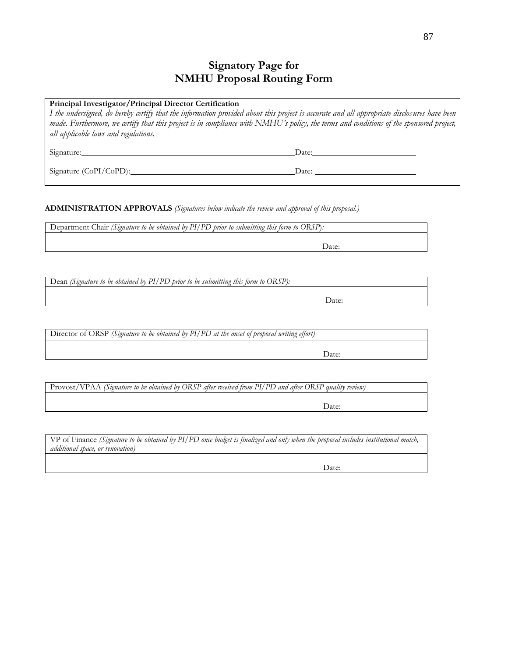## **Signatory Page for NMHU Proposal Routing Form**

| Principal Investigator/Principal Director Certification<br>I the undersigned, do hereby certify that the information provided about this project is accurate and all appropriate disclosures have been<br>made. Furthermore, we certify that this project is in compliance with NMHU's policy, the terms and conditions of the sponsored project,<br>all applicable laws and regulations. |                                                                                                                                                                                                                                |  |  |
|-------------------------------------------------------------------------------------------------------------------------------------------------------------------------------------------------------------------------------------------------------------------------------------------------------------------------------------------------------------------------------------------|--------------------------------------------------------------------------------------------------------------------------------------------------------------------------------------------------------------------------------|--|--|
| Signature:                                                                                                                                                                                                                                                                                                                                                                                | Date: the contract of the contract of the contract of the contract of the contract of the contract of the contract of the contract of the contract of the contract of the contract of the contract of the contract of the cont |  |  |
| Signature (CoPI/CoPD):                                                                                                                                                                                                                                                                                                                                                                    | Date:                                                                                                                                                                                                                          |  |  |

**ADMINISTRATION APPROVALS** *(Signatures below indicate the review and approval of this proposal.)*

Department Chair *(Signature to be obtained by PI/PD prior to submitting this form to ORSP*)*:*

Date:

Dean *(Signature to be obtained by PI/PD prior to be submitting this form to ORSP):*

Date:

Director of ORSP *(Signature to be obtained by PI/PD at the onset of proposal writing effort)*

Date:

Provost/VPAA *(Signature to be obtained by ORSP after received from PI/PD and after ORSP quality review)*

Date:

VP of Finance *(Signature to be obtained by PI/PD once budget is finalized and only when the proposal includes institutional match, additional space, or renovation)*

Date: